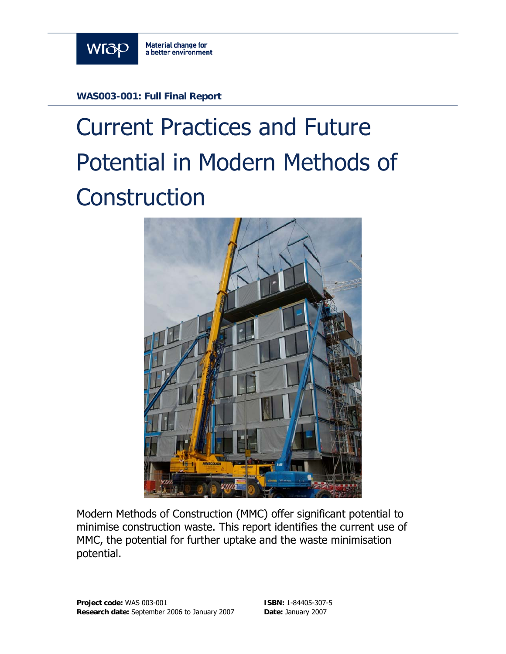

**WAS003-001: Full Final Report** 

# Current Practices and Future Potential in Modern Methods of **Construction**



Modern Methods of Construction (MMC) offer significant potential to minimise construction waste. This report identifies the current use of MMC, the potential for further uptake and the waste minimisation potential.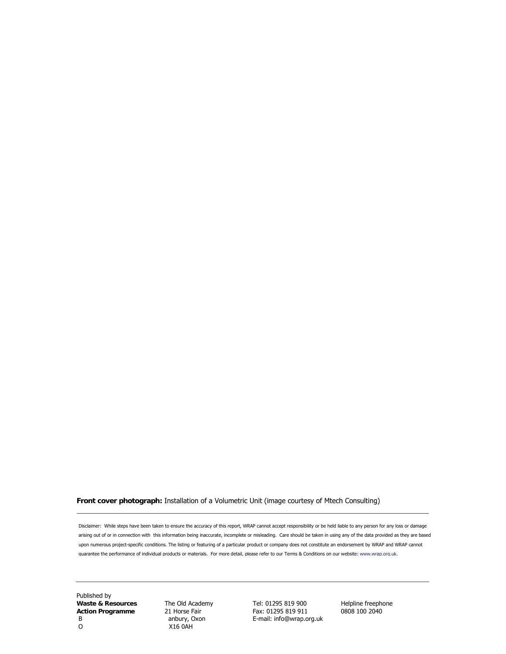#### **Front cover photograph:** Installation of a Volumetric Unit (image courtesy of Mtech Consulting)

Disclaimer: While steps have been taken to ensure the accuracy of this report, WRAP cannot accept responsibility or be held liable to any person for any loss or damage arising out of or in connection with this information being inaccurate, incomplete or misleading. Care should be taken in using any of the data provided as they are based upon numerous project-specific conditions. The listing or featuring of a particular product or company does not constitute an endorsement by WRAP and WRAP cannot guarantee the performance of individual products or materials. For more detail, please refer to our Terms & Conditions on our website: www.wrap.org.uk.

Published by **Action Programme** 21 Horse Fair B anbury, Oxon E-mail: info@wrap.org.uk<br>
O X16 0AH

O X16 0AH

**Waste & Resources** The Old Academy Tel: 01295 819 900 Helpline freephone<br> **Action Programme** 21 Horse Fair Fax: 01295 819 911 0808 100 2040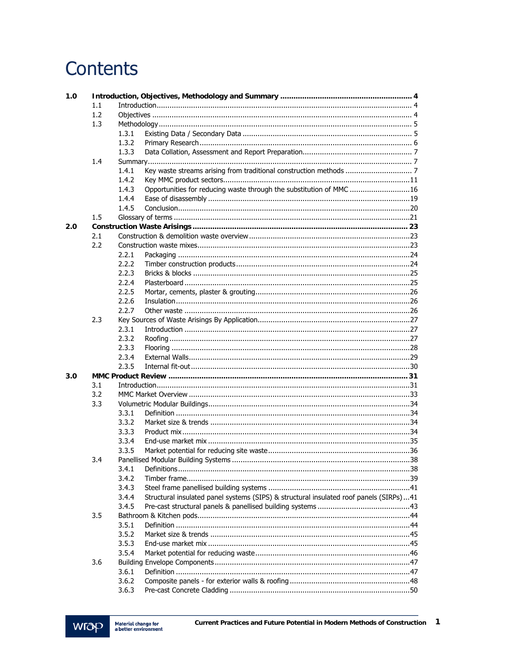# Contents

| 1.0 |     |       |                                                                                        |     |
|-----|-----|-------|----------------------------------------------------------------------------------------|-----|
|     | 1.1 |       |                                                                                        |     |
|     | 1.2 |       |                                                                                        |     |
|     | 1.3 |       |                                                                                        |     |
|     |     | 1.3.1 |                                                                                        |     |
|     |     | 1.3.2 |                                                                                        |     |
|     |     | 1.3.3 |                                                                                        |     |
|     | 1.4 |       |                                                                                        |     |
|     |     | 1.4.1 |                                                                                        |     |
|     |     | 1.4.2 |                                                                                        |     |
|     |     | 1.4.3 | Opportunities for reducing waste through the substitution of MMC 16                    |     |
|     |     | 1.4.4 |                                                                                        |     |
|     |     | 1.4.5 |                                                                                        |     |
|     | 1.5 |       |                                                                                        |     |
| 2.0 |     |       |                                                                                        |     |
|     | 2.1 |       |                                                                                        |     |
|     | 2.2 |       |                                                                                        |     |
|     |     | 2.2.1 |                                                                                        |     |
|     |     | 2.2.2 |                                                                                        |     |
|     |     | 2.2.3 |                                                                                        |     |
|     |     | 2.2.4 |                                                                                        |     |
|     |     | 2.2.5 |                                                                                        |     |
|     |     | 2.2.6 |                                                                                        |     |
|     |     | 2.2.7 |                                                                                        |     |
|     | 2.3 |       |                                                                                        |     |
|     |     | 2.3.1 |                                                                                        |     |
|     |     | 2.3.2 |                                                                                        |     |
|     |     | 2.3.3 |                                                                                        |     |
|     |     | 2.3.4 |                                                                                        |     |
|     |     | 2.3.5 |                                                                                        |     |
| 3.0 |     |       |                                                                                        |     |
|     | 3.1 |       |                                                                                        |     |
|     | 3.2 |       |                                                                                        |     |
|     | 3.3 |       |                                                                                        |     |
|     |     | 3.3.1 |                                                                                        |     |
|     |     | 3.3.2 |                                                                                        |     |
|     |     | 3.3.3 |                                                                                        |     |
|     |     | 3.3.4 |                                                                                        |     |
|     |     | 3.3.5 |                                                                                        |     |
|     | 3.4 |       |                                                                                        | .38 |
|     |     | 3.4.1 |                                                                                        |     |
|     |     | 3.4.2 |                                                                                        |     |
|     |     | 3.4.3 |                                                                                        |     |
|     |     | 3.4.4 | Structural insulated panel systems (SIPS) & structural insulated roof panels (SIRPs)41 |     |
|     |     | 3.4.5 |                                                                                        |     |
|     | 3.5 |       |                                                                                        |     |
|     |     | 3.5.1 |                                                                                        |     |
|     |     | 3.5.2 |                                                                                        |     |
|     |     | 3.5.3 |                                                                                        |     |
|     |     | 3.5.4 |                                                                                        |     |
|     | 3.6 |       |                                                                                        |     |
|     |     | 3.6.1 |                                                                                        |     |
|     |     | 3.6.2 |                                                                                        |     |
|     |     | 3.6.3 |                                                                                        |     |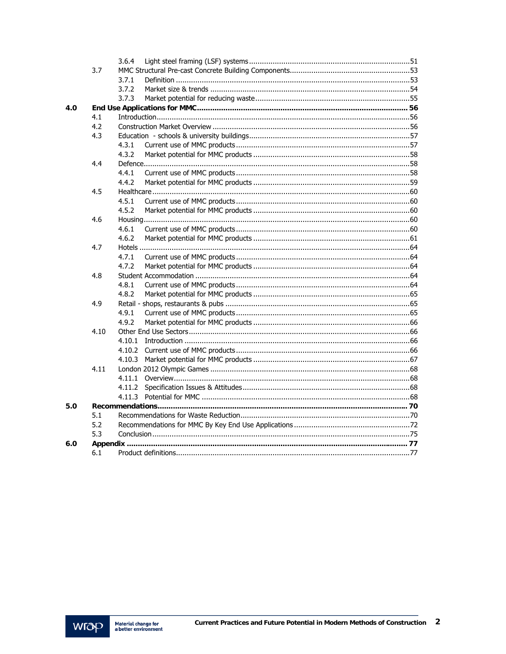|     |      | 3.6.4  |  |
|-----|------|--------|--|
|     | 3.7  |        |  |
|     |      | 3.7.1  |  |
|     |      | 3.7.2  |  |
|     |      | 3.7.3  |  |
| 4.0 |      |        |  |
|     | 4.1  |        |  |
|     | 4.2  |        |  |
|     | 4.3  |        |  |
|     |      | 4.3.1  |  |
|     |      | 4.3.2  |  |
|     | 4.4  |        |  |
|     |      | 4.4.1  |  |
|     |      | 4.4.2  |  |
|     | 4.5  |        |  |
|     |      | 4.5.1  |  |
|     |      | 4.5.2  |  |
|     | 4.6  |        |  |
|     |      | 4.6.1  |  |
|     |      | 4.6.2  |  |
|     | 4.7  |        |  |
|     |      | 4.7.1  |  |
|     |      | 4.7.2  |  |
|     | 4.8  |        |  |
|     |      | 4.8.1  |  |
|     |      | 4.8.2  |  |
|     | 4.9  |        |  |
|     |      | 4.9.1  |  |
|     |      | 4.9.2  |  |
|     | 4.10 |        |  |
|     |      |        |  |
|     |      | 4.10.2 |  |
|     |      | 4.10.3 |  |
|     | 4.11 |        |  |
|     |      | 4.11.1 |  |
|     |      | 4.11.2 |  |
|     |      |        |  |
| 5.0 |      |        |  |
|     | 5.1  |        |  |
|     | 5.2  |        |  |
|     | 5.3  |        |  |
| 6.0 |      |        |  |
|     | 6.1  |        |  |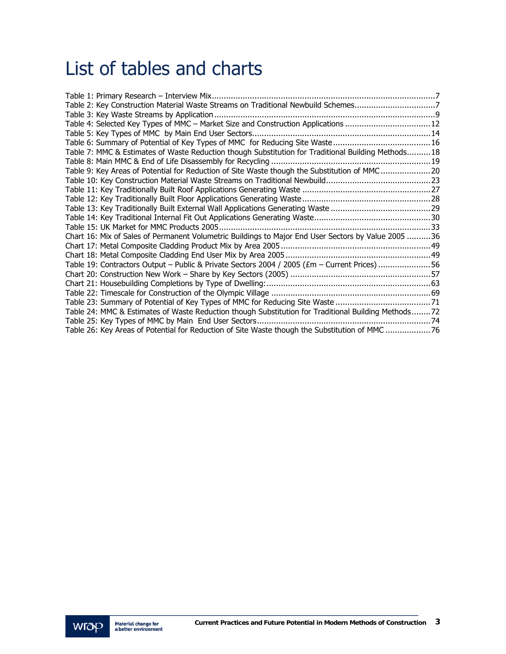## List of tables and charts

| Table 2: Key Construction Material Waste Streams on Traditional Newbuild Schemes7                   |  |
|-----------------------------------------------------------------------------------------------------|--|
|                                                                                                     |  |
| Table 4: Selected Key Types of MMC - Market Size and Construction Applications 12                   |  |
|                                                                                                     |  |
|                                                                                                     |  |
| Table 7: MMC & Estimates of Waste Reduction though Substitution for Traditional Building Methods18  |  |
|                                                                                                     |  |
| Table 9: Key Areas of Potential for Reduction of Site Waste though the Substitution of MMC20        |  |
|                                                                                                     |  |
|                                                                                                     |  |
|                                                                                                     |  |
|                                                                                                     |  |
|                                                                                                     |  |
|                                                                                                     |  |
| Chart 16: Mix of Sales of Permanent Volumetric Buildings to Major End User Sectors by Value 2005 36 |  |
|                                                                                                     |  |
|                                                                                                     |  |
| Table 19: Contractors Output - Public & Private Sectors 2004 / 2005 (£m - Current Prices) 56        |  |
|                                                                                                     |  |
|                                                                                                     |  |
|                                                                                                     |  |
| Table 23: Summary of Potential of Key Types of MMC for Reducing Site Waste 71                       |  |
| Table 24: MMC & Estimates of Waste Reduction though Substitution for Traditional Building Methods72 |  |
|                                                                                                     |  |
| Table 26: Key Areas of Potential for Reduction of Site Waste though the Substitution of MMC 76      |  |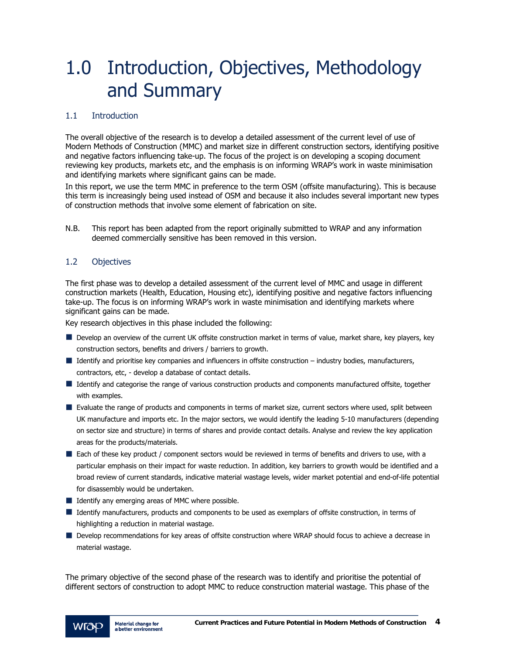# 1.0 Introduction, Objectives, Methodology and Summary

#### 1.1 Introduction

The overall objective of the research is to develop a detailed assessment of the current level of use of Modern Methods of Construction (MMC) and market size in different construction sectors, identifying positive and negative factors influencing take-up. The focus of the project is on developing a scoping document reviewing key products, markets etc, and the emphasis is on informing WRAP's work in waste minimisation and identifying markets where significant gains can be made.

In this report, we use the term MMC in preference to the term OSM (offsite manufacturing). This is because this term is increasingly being used instead of OSM and because it also includes several important new types of construction methods that involve some element of fabrication on site.

N.B. This report has been adapted from the report originally submitted to WRAP and any information deemed commercially sensitive has been removed in this version.

#### 1.2 Objectives

The first phase was to develop a detailed assessment of the current level of MMC and usage in different construction markets (Health, Education, Housing etc), identifying positive and negative factors influencing take-up. The focus is on informing WRAP's work in waste minimisation and identifying markets where significant gains can be made.

Key research objectives in this phase included the following:

- Develop an overview of the current UK offsite construction market in terms of value, market share, key players, key construction sectors, benefits and drivers / barriers to growth.
- $\blacksquare$  Identify and prioritise key companies and influencers in offsite construction industry bodies, manufacturers, contractors, etc, - develop a database of contact details.
- I Identify and categorise the range of various construction products and components manufactured offsite, together with examples.
- **E** Evaluate the range of products and components in terms of market size, current sectors where used, split between UK manufacture and imports etc. In the major sectors, we would identify the leading 5-10 manufacturers (depending on sector size and structure) in terms of shares and provide contact details. Analyse and review the key application areas for the products/materials.
- Each of these key product / component sectors would be reviewed in terms of benefits and drivers to use, with a particular emphasis on their impact for waste reduction. In addition, key barriers to growth would be identified and a broad review of current standards, indicative material wastage levels, wider market potential and end-of-life potential for disassembly would be undertaken.
- $\blacksquare$  Identify any emerging areas of MMC where possible.
- If Identify manufacturers, products and components to be used as exemplars of offsite construction, in terms of highlighting a reduction in material wastage.
- Develop recommendations for key areas of offsite construction where WRAP should focus to achieve a decrease in material wastage.

The primary objective of the second phase of the research was to identify and prioritise the potential of different sectors of construction to adopt MMC to reduce construction material wastage. This phase of the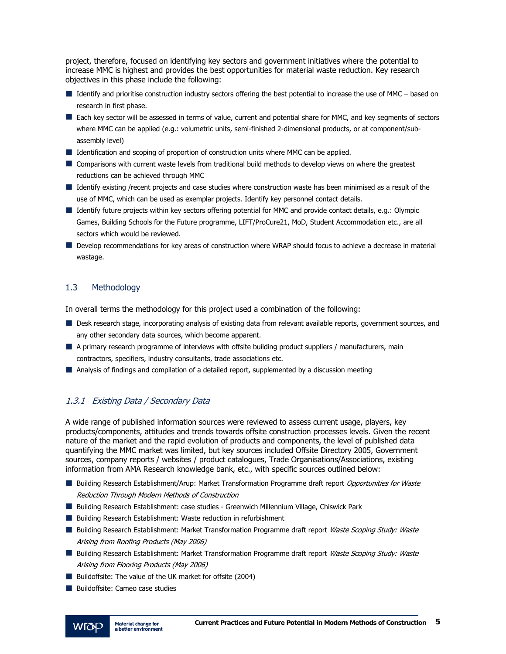project, therefore, focused on identifying key sectors and government initiatives where the potential to increase MMC is highest and provides the best opportunities for material waste reduction. Key research objectives in this phase include the following:

- $\blacksquare$  Identify and prioritise construction industry sectors offering the best potential to increase the use of MMC based on research in first phase.
- Each key sector will be assessed in terms of value, current and potential share for MMC, and key segments of sectors where MMC can be applied (e.g.: volumetric units, semi-finished 2-dimensional products, or at component/subassembly level)
- **IDENTIFICATE:** Identification and scoping of proportion of construction units where MMC can be applied.
- Comparisons with current waste levels from traditional build methods to develop views on where the greatest reductions can be achieved through MMC
- I Identify existing /recent projects and case studies where construction waste has been minimised as a result of the use of MMC, which can be used as exemplar projects. Identify key personnel contact details.
- If Identify future projects within key sectors offering potential for MMC and provide contact details, e.g.: Olympic Games, Building Schools for the Future programme, LIFT/ProCure21, MoD, Student Accommodation etc., are all sectors which would be reviewed.
- Develop recommendations for key areas of construction where WRAP should focus to achieve a decrease in material wastage.

#### 1.3 Methodology

In overall terms the methodology for this project used a combination of the following:

- Desk research stage, incorporating analysis of existing data from relevant available reports, government sources, and any other secondary data sources, which become apparent.
- A primary research programme of interviews with offsite building product suppliers / manufacturers, main contractors, specifiers, industry consultants, trade associations etc.
- Analysis of findings and compilation of a detailed report, supplemented by a discussion meeting

#### 1.3.1 Existing Data / Secondary Data

A wide range of published information sources were reviewed to assess current usage, players, key products/components, attitudes and trends towards offsite construction processes levels. Given the recent nature of the market and the rapid evolution of products and components, the level of published data quantifying the MMC market was limited, but key sources included Offsite Directory 2005, Government sources, company reports / websites / product catalogues, Trade Organisations/Associations, existing information from AMA Research knowledge bank, etc., with specific sources outlined below:

- Building Research Establishment/Arup: Market Transformation Programme draft report *Opportunities for Waste* Reduction Through Modern Methods of Construction
- Building Research Establishment: case studies Greenwich Millennium Village, Chiswick Park
- **Building Research Establishment: Waste reduction in refurbishment**
- Building Research Establishment: Market Transformation Programme draft report Waste Scoping Study: Waste Arising from Roofing Products (May 2006)
- Building Research Establishment: Market Transformation Programme draft report Waste Scoping Study: Waste Arising from Flooring Products (May 2006)
- Buildoffsite: The value of the UK market for offsite (2004)
- Buildoffsite: Cameo case studies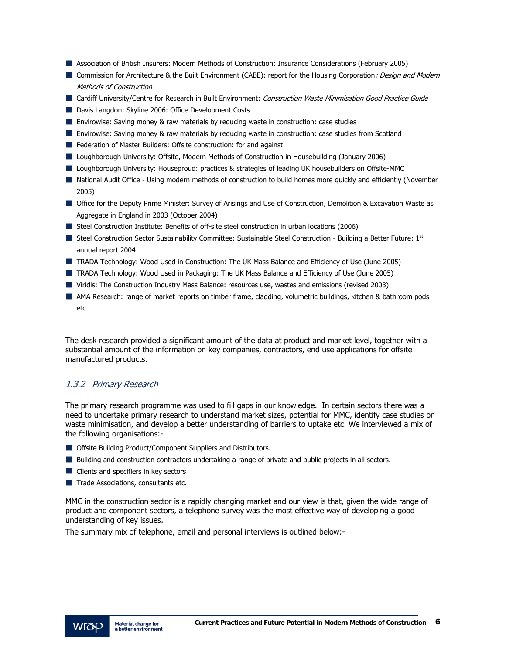- Association of British Insurers: Modern Methods of Construction: Insurance Considerations (February 2005)
- Commission for Architecture & the Built Environment (CABE): report for the Housing Corporation: Design and Modern Methods of Construction
- Cardiff University/Centre for Research in Built Environment: Construction Waste Minimisation Good Practice Guide
- Davis Langdon: Skyline 2006: Office Development Costs
- Envirowise: Saving money & raw materials by reducing waste in construction: case studies
- Envirowise: Saving money & raw materials by reducing waste in construction: case studies from Scotland
- Federation of Master Builders: Offsite construction: for and against
- Loughborough University: Offsite, Modern Methods of Construction in Housebuilding (January 2006)
- Loughborough University: Houseproud: practices & strategies of leading UK housebuilders on Offsite-MMC
- National Audit Office Using modern methods of construction to build homes more quickly and efficiently (November 2005)
- Office for the Deputy Prime Minister: Survey of Arisings and Use of Construction, Demolition & Excavation Waste as Aggregate in England in 2003 (October 2004)
- Steel Construction Institute: Benefits of off-site steel construction in urban locations (2006)
- Steel Construction Sector Sustainability Committee: Sustainable Steel Construction Building a Better Future:  $1^{st}$ annual report 2004
- TRADA Technology: Wood Used in Construction: The UK Mass Balance and Efficiency of Use (June 2005)
- TRADA Technology: Wood Used in Packaging: The UK Mass Balance and Efficiency of Use (June 2005)
- Viridis: The Construction Industry Mass Balance: resources use, wastes and emissions (revised 2003)
- AMA Research: range of market reports on timber frame, cladding, volumetric buildings, kitchen & bathroom pods etc

The desk research provided a significant amount of the data at product and market level, together with a substantial amount of the information on key companies, contractors, end use applications for offsite manufactured products.

#### 1.3.2 Primary Research

The primary research programme was used to fill gaps in our knowledge. In certain sectors there was a need to undertake primary research to understand market sizes, potential for MMC, identify case studies on waste minimisation, and develop a better understanding of barriers to uptake etc. We interviewed a mix of the following organisations:-

- **Offsite Building Product/Component Suppliers and Distributors.**
- **Building and construction contractors undertaking a range of private and public projects in all sectors.**
- Clients and specifiers in key sectors
- $\blacksquare$  Trade Associations, consultants etc.

MMC in the construction sector is a rapidly changing market and our view is that, given the wide range of product and component sectors, a telephone survey was the most effective way of developing a good understanding of key issues.

The summary mix of telephone, email and personal interviews is outlined below:-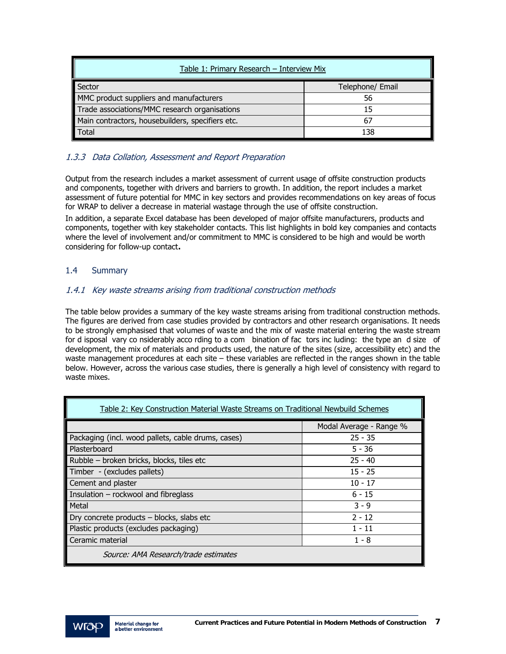| Table 1: Primary Research - Interview Mix        |                  |  |  |  |  |  |  |
|--------------------------------------------------|------------------|--|--|--|--|--|--|
| Sector                                           | Telephone/ Email |  |  |  |  |  |  |
| MMC product suppliers and manufacturers          | 56               |  |  |  |  |  |  |
| Trade associations/MMC research organisations    |                  |  |  |  |  |  |  |
| Main contractors, housebuilders, specifiers etc. |                  |  |  |  |  |  |  |
| <b>Total</b>                                     | 138              |  |  |  |  |  |  |

### 1.3.3 Data Collation, Assessment and Report Preparation

Output from the research includes a market assessment of current usage of offsite construction products and components, together with drivers and barriers to growth. In addition, the report includes a market assessment of future potential for MMC in key sectors and provides recommendations on key areas of focus for WRAP to deliver a decrease in material wastage through the use of offsite construction.

In addition, a separate Excel database has been developed of major offsite manufacturers, products and components, together with key stakeholder contacts. This list highlights in bold key companies and contacts where the level of involvement and/or commitment to MMC is considered to be high and would be worth considering for follow-up contact**.** 

#### 1.4 Summary

#### 1.4.1 Key waste streams arising from traditional construction methods

The table below provides a summary of the key waste streams arising from traditional construction methods. The figures are derived from case studies provided by contractors and other research organisations. It needs to be strongly emphasised that volumes of waste and the mix of waste material entering the waste stream for d isposal vary co nsiderably acco rding to a com bination of fac tors inc luding: the type an d size of development, the mix of materials and products used, the nature of the sites (size, accessibility etc) and the waste management procedures at each site – these variables are reflected in the ranges shown in the table below. However, across the various case studies, there is generally a high level of consistency with regard to waste mixes.

| Table 2: Key Construction Material Waste Streams on Traditional Newbuild Schemes |                         |  |  |  |  |  |  |  |
|----------------------------------------------------------------------------------|-------------------------|--|--|--|--|--|--|--|
|                                                                                  | Modal Average - Range % |  |  |  |  |  |  |  |
| Packaging (incl. wood pallets, cable drums, cases)                               | $25 - 35$               |  |  |  |  |  |  |  |
| Plasterboard                                                                     | $5 - 36$                |  |  |  |  |  |  |  |
| Rubble - broken bricks, blocks, tiles etc                                        | $25 - 40$               |  |  |  |  |  |  |  |
| Timber - (excludes pallets)                                                      | $15 - 25$               |  |  |  |  |  |  |  |
| Cement and plaster                                                               | $10 - 17$               |  |  |  |  |  |  |  |
| Insulation - rockwool and fibreglass                                             | $6 - 15$                |  |  |  |  |  |  |  |
| Metal                                                                            | $3 - 9$                 |  |  |  |  |  |  |  |
| Dry concrete products - blocks, slabs etc                                        | $2 - 12$                |  |  |  |  |  |  |  |
| Plastic products (excludes packaging)                                            | $1 - 11$                |  |  |  |  |  |  |  |
| Ceramic material                                                                 | 1 - 8                   |  |  |  |  |  |  |  |
| Source: AMA Research/trade estimates                                             |                         |  |  |  |  |  |  |  |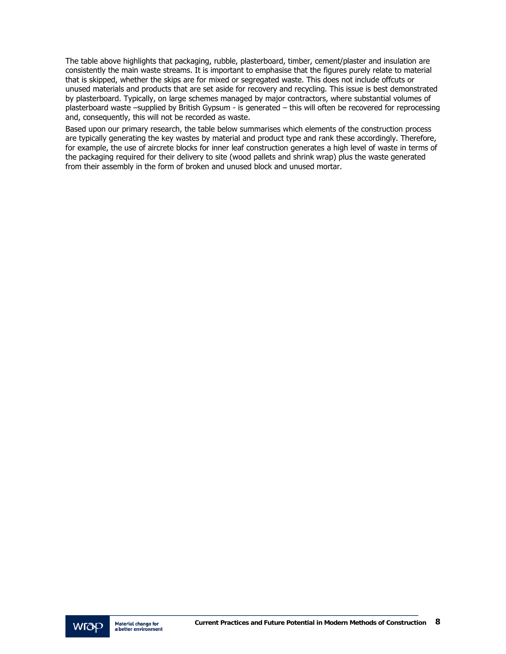The table above highlights that packaging, rubble, plasterboard, timber, cement/plaster and insulation are consistently the main waste streams. It is important to emphasise that the figures purely relate to material that is skipped, whether the skips are for mixed or segregated waste. This does not include offcuts or unused materials and products that are set aside for recovery and recycling. This issue is best demonstrated by plasterboard. Typically, on large schemes managed by major contractors, where substantial volumes of plasterboard waste –supplied by British Gypsum - is generated – this will often be recovered for reprocessing and, consequently, this will not be recorded as waste.

Based upon our primary research, the table below summarises which elements of the construction process are typically generating the key wastes by material and product type and rank these accordingly. Therefore, for example, the use of aircrete blocks for inner leaf construction generates a high level of waste in terms of the packaging required for their delivery to site (wood pallets and shrink wrap) plus the waste generated from their assembly in the form of broken and unused block and unused mortar.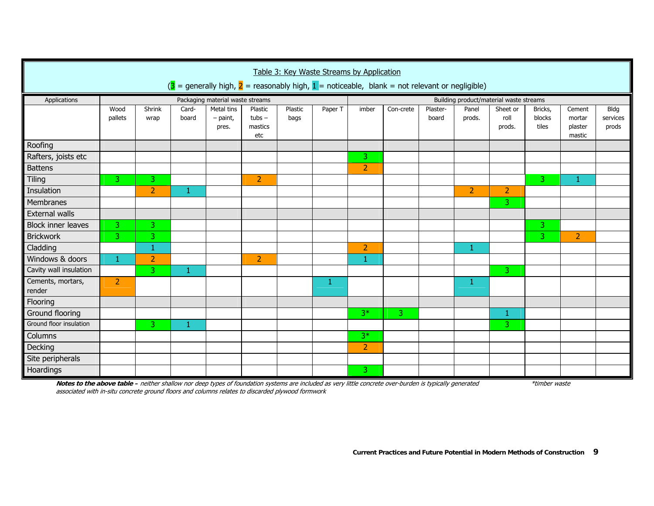|                                                                                                                                     | Table 3: Key Waste Streams by Application |                |                |                                   |                                       |                 |         |                                         |           |                   |                 |                            |                            |                                       |                           |  |
|-------------------------------------------------------------------------------------------------------------------------------------|-------------------------------------------|----------------|----------------|-----------------------------------|---------------------------------------|-----------------|---------|-----------------------------------------|-----------|-------------------|-----------------|----------------------------|----------------------------|---------------------------------------|---------------------------|--|
| $\overline{3}$ = generally high, $\overline{2}$ = reasonably high, $\overline{1}$ = noticeable, blank = not relevant or negligible) |                                           |                |                |                                   |                                       |                 |         |                                         |           |                   |                 |                            |                            |                                       |                           |  |
| Applications                                                                                                                        |                                           |                |                | Packaging material waste streams  |                                       |                 |         | Building product/material waste streams |           |                   |                 |                            |                            |                                       |                           |  |
|                                                                                                                                     | Wood<br>pallets                           | Shrink<br>wrap | Card-<br>board | Metal tins<br>$-$ paint,<br>pres. | Plastic<br>$tubs -$<br>mastics<br>etc | Plastic<br>bags | Paper T | imber                                   | Con-crete | Plaster-<br>board | Panel<br>prods. | Sheet or<br>roll<br>prods. | Bricks,<br>blocks<br>tiles | Cement<br>mortar<br>plaster<br>mastic | Bldg<br>services<br>prods |  |
| Roofing                                                                                                                             |                                           |                |                |                                   |                                       |                 |         |                                         |           |                   |                 |                            |                            |                                       |                           |  |
| Rafters, joists etc                                                                                                                 |                                           |                |                |                                   |                                       |                 |         | $\overline{3}$                          |           |                   |                 |                            |                            |                                       |                           |  |
| <b>Battens</b>                                                                                                                      |                                           |                |                |                                   |                                       |                 |         | $\overline{2}$                          |           |                   |                 |                            |                            |                                       |                           |  |
| <b>Tiling</b>                                                                                                                       | 3                                         | 3.             |                |                                   | $\overline{2}$                        |                 |         |                                         |           |                   |                 |                            | 3                          | 1                                     |                           |  |
| Insulation                                                                                                                          |                                           | $\overline{2}$ | 1              |                                   |                                       |                 |         |                                         |           |                   | $\overline{2}$  | $\overline{2}$             |                            |                                       |                           |  |
| Membranes                                                                                                                           |                                           |                |                |                                   |                                       |                 |         |                                         |           |                   |                 | 3                          |                            |                                       |                           |  |
| <b>External walls</b>                                                                                                               |                                           |                |                |                                   |                                       |                 |         |                                         |           |                   |                 |                            |                            |                                       |                           |  |
| <b>Block inner leaves</b>                                                                                                           | 3                                         | 3              |                |                                   |                                       |                 |         |                                         |           |                   |                 |                            | 3                          |                                       |                           |  |
| Brickwork                                                                                                                           | $\overline{3}$                            | 3              |                |                                   |                                       |                 |         |                                         |           |                   |                 |                            | 3                          | $\overline{2}$                        |                           |  |
| Cladding                                                                                                                            |                                           | 1              |                |                                   |                                       |                 |         | $\overline{2}$                          |           |                   | 1               |                            |                            |                                       |                           |  |
| Windows & doors                                                                                                                     | $\mathbf{1}$                              | $\overline{2}$ |                |                                   | $\overline{2}$                        |                 |         | 1.                                      |           |                   |                 |                            |                            |                                       |                           |  |
| Cavity wall insulation                                                                                                              |                                           | 3              | $\mathbf{1}$   |                                   |                                       |                 |         |                                         |           |                   |                 | 3                          |                            |                                       |                           |  |
| Cements, mortars,<br>render                                                                                                         | $\overline{2}$                            |                |                |                                   |                                       |                 | 1       |                                         |           |                   | 1               |                            |                            |                                       |                           |  |
| Flooring                                                                                                                            |                                           |                |                |                                   |                                       |                 |         |                                         |           |                   |                 |                            |                            |                                       |                           |  |
| Ground flooring                                                                                                                     |                                           |                |                |                                   |                                       |                 |         | $3*$                                    | 3         |                   |                 | $\mathbf{1}$               |                            |                                       |                           |  |
| Ground floor insulation                                                                                                             |                                           | 3              | 1              |                                   |                                       |                 |         |                                         |           |                   |                 | 3                          |                            |                                       |                           |  |
| Columns                                                                                                                             |                                           |                |                |                                   |                                       |                 |         | $3*$                                    |           |                   |                 |                            |                            |                                       |                           |  |
| Decking                                                                                                                             |                                           |                |                |                                   |                                       |                 |         | $\overline{2}$                          |           |                   |                 |                            |                            |                                       |                           |  |
| Site peripherals                                                                                                                    |                                           |                |                |                                   |                                       |                 |         |                                         |           |                   |                 |                            |                            |                                       |                           |  |
| Hoardings                                                                                                                           |                                           |                |                |                                   |                                       |                 |         | 3                                       |           |                   |                 |                            |                            |                                       |                           |  |

**Notes to the above table –** neither shallow nor deep types of foundation systems are included as very little concrete over-burden is typically generated \*timber waste associated with in-situ concrete ground floors and columns relates to discarded plywood formwork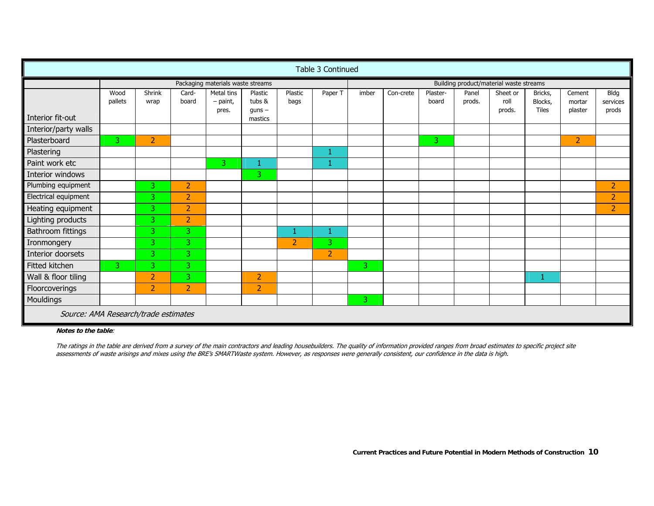|                                      | Table 3 Continued |                |                |                                   |                                  |                 |                |                                         |           |                   |                 |                            |                             |                             |                           |
|--------------------------------------|-------------------|----------------|----------------|-----------------------------------|----------------------------------|-----------------|----------------|-----------------------------------------|-----------|-------------------|-----------------|----------------------------|-----------------------------|-----------------------------|---------------------------|
|                                      |                   |                |                | Packaging materials waste streams |                                  |                 |                | Building product/material waste streams |           |                   |                 |                            |                             |                             |                           |
|                                      | Wood<br>pallets   | Shrink<br>wrap | Card-<br>board | Metal tins<br>$-$ paint,<br>pres. | Plastic<br>tubs &<br>$q$ uns $-$ | Plastic<br>bags | Paper T        | imber                                   | Con-crete | Plaster-<br>board | Panel<br>prods. | Sheet or<br>roll<br>prods. | Bricks,<br>Blocks,<br>Tiles | Cement<br>mortar<br>plaster | Bldg<br>services<br>prods |
| Interior fit-out                     |                   |                |                |                                   | mastics                          |                 |                |                                         |           |                   |                 |                            |                             |                             |                           |
| Interior/party walls                 |                   |                |                |                                   |                                  |                 |                |                                         |           |                   |                 |                            |                             |                             |                           |
| Plasterboard                         | $\overline{3}$    | $\overline{2}$ |                |                                   |                                  |                 |                |                                         |           | 3                 |                 |                            |                             | $\overline{2}$              |                           |
| Plastering                           |                   |                |                |                                   |                                  |                 | 1              |                                         |           |                   |                 |                            |                             |                             |                           |
| Paint work etc                       |                   |                |                | 3                                 |                                  |                 | 1              |                                         |           |                   |                 |                            |                             |                             |                           |
| Interior windows                     |                   |                |                |                                   | 3.                               |                 |                |                                         |           |                   |                 |                            |                             |                             |                           |
| Plumbing equipment                   |                   | 3              | $\overline{2}$ |                                   |                                  |                 |                |                                         |           |                   |                 |                            |                             |                             | $\overline{2}$            |
| Electrical equipment                 |                   | 3.             | $\overline{2}$ |                                   |                                  |                 |                |                                         |           |                   |                 |                            |                             |                             | $\overline{2}$            |
| Heating equipment                    |                   | 3.             | $\overline{2}$ |                                   |                                  |                 |                |                                         |           |                   |                 |                            |                             |                             | $\overline{2}$            |
| Lighting products                    |                   | 3              | $\overline{2}$ |                                   |                                  |                 |                |                                         |           |                   |                 |                            |                             |                             |                           |
| Bathroom fittings                    |                   | 3.             | 3              |                                   |                                  | 1               | 1              |                                         |           |                   |                 |                            |                             |                             |                           |
| Ironmongery                          |                   | 3              | 3              |                                   |                                  | $\overline{2}$  | 3              |                                         |           |                   |                 |                            |                             |                             |                           |
| Interior doorsets                    |                   | 3              | $\overline{3}$ |                                   |                                  |                 | $\overline{2}$ |                                         |           |                   |                 |                            |                             |                             |                           |
| Fitted kitchen                       | 3                 | 3.             | 3              |                                   |                                  |                 |                | 3                                       |           |                   |                 |                            |                             |                             |                           |
| Wall & floor tiling                  |                   | 2              | 3              |                                   | $\overline{2}$                   |                 |                |                                         |           |                   |                 |                            |                             |                             |                           |
| Floorcoverings                       |                   | $\overline{2}$ | $\overline{2}$ |                                   | 2                                |                 |                |                                         |           |                   |                 |                            |                             |                             |                           |
| Mouldings                            |                   |                |                |                                   |                                  |                 |                | 3                                       |           |                   |                 |                            |                             |                             |                           |
| Source: AMA Research/trade estimates |                   |                |                |                                   |                                  |                 |                |                                         |           |                   |                 |                            |                             |                             |                           |

**Notes to the table**:

The ratings in the table are derived from a survey of the main contractors and leading housebuilders. The quality of information provided ranges from broad estimates to specific project site assessments of waste arisings and mixes using the BRE's SMARTWaste system. However, as responses were generally consistent, our confidence in the data is high.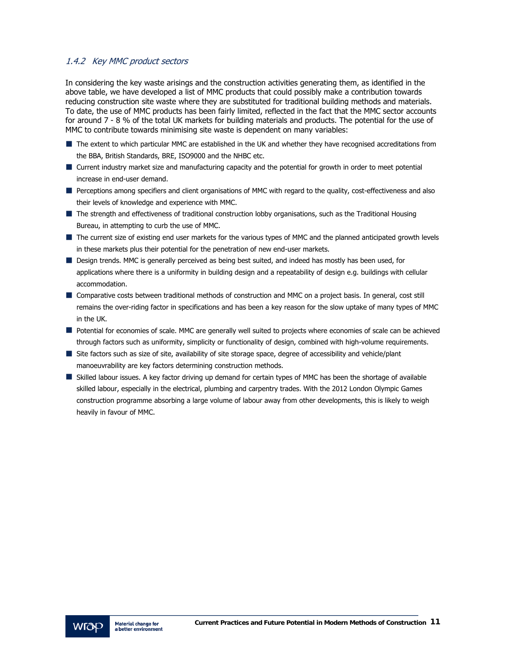#### 1.4.2 Key MMC product sectors

In considering the key waste arisings and the construction activities generating them, as identified in the above table, we have developed a list of MMC products that could possibly make a contribution towards reducing construction site waste where they are substituted for traditional building methods and materials. To date, the use of MMC products has been fairly limited, reflected in the fact that the MMC sector accounts for around 7 - 8 % of the total UK markets for building materials and products. The potential for the use of MMC to contribute towards minimising site waste is dependent on many variables:

- The extent to which particular MMC are established in the UK and whether they have recognised accreditations from the BBA, British Standards, BRE, ISO9000 and the NHBC etc.
- Current industry market size and manufacturing capacity and the potential for growth in order to meet potential increase in end-user demand.
- Perceptions among specifiers and client organisations of MMC with regard to the quality, cost-effectiveness and also their levels of knowledge and experience with MMC.
- The strength and effectiveness of traditional construction lobby organisations, such as the Traditional Housing Bureau, in attempting to curb the use of MMC.
- The current size of existing end user markets for the various types of MMC and the planned anticipated growth levels in these markets plus their potential for the penetration of new end-user markets.
- Design trends. MMC is generally perceived as being best suited, and indeed has mostly has been used, for applications where there is a uniformity in building design and a repeatability of design e.g. buildings with cellular accommodation.
- Comparative costs between traditional methods of construction and MMC on a project basis. In general, cost still remains the over-riding factor in specifications and has been a key reason for the slow uptake of many types of MMC in the UK.
- **Potential for economies of scale. MMC are generally well suited to projects where economies of scale can be achieved** through factors such as uniformity, simplicity or functionality of design, combined with high-volume requirements.
- Site factors such as size of site, availability of site storage space, degree of accessibility and vehicle/plant manoeuvrability are key factors determining construction methods.
- Skilled labour issues. A key factor driving up demand for certain types of MMC has been the shortage of available skilled labour, especially in the electrical, plumbing and carpentry trades. With the 2012 London Olympic Games construction programme absorbing a large volume of labour away from other developments, this is likely to weigh heavily in favour of MMC.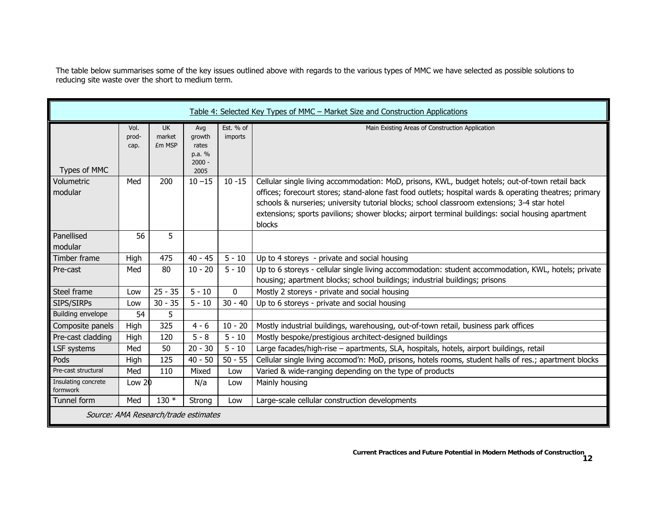The table below summarises some of the key issues outlined above with regards to the various types of MMC we have selected as possible solutions to reducing site waste over the short to medium term.

|                                 |                       |                               |                                                      |                      | Table 4: Selected Key Types of MMC - Market Size and Construction Applications                                                                                                                                                                                                                                                                                                                                           |
|---------------------------------|-----------------------|-------------------------------|------------------------------------------------------|----------------------|--------------------------------------------------------------------------------------------------------------------------------------------------------------------------------------------------------------------------------------------------------------------------------------------------------------------------------------------------------------------------------------------------------------------------|
| Types of MMC                    | Vol.<br>prod-<br>cap. | <b>UK</b><br>market<br>£m MSP | Avg<br>arowth<br>rates<br>p.a. %<br>$2000 -$<br>2005 | Est. % of<br>imports | Main Existing Areas of Construction Application                                                                                                                                                                                                                                                                                                                                                                          |
| Volumetric<br>modular           | Med                   | 200                           | $10 - 15$                                            | $10 - 15$            | Cellular single living accommodation: MoD, prisons, KWL, budget hotels; out-of-town retail back<br>offices; forecourt stores; stand-alone fast food outlets; hospital wards & operating theatres; primary<br>schools & nurseries; university tutorial blocks; school classroom extensions; 3-4 star hotel<br>extensions; sports pavilions; shower blocks; airport terminal buildings: social housing apartment<br>blocks |
| Panellised<br>modular           | 56                    | 5                             |                                                      |                      |                                                                                                                                                                                                                                                                                                                                                                                                                          |
| Timber frame                    | High                  | 475                           | $40 - 45$                                            | $5 - 10$             | Up to 4 storeys - private and social housing                                                                                                                                                                                                                                                                                                                                                                             |
| Pre-cast                        | Med                   | 80                            | $10 - 20$                                            | $5 - 10$             | Up to 6 storeys - cellular single living accommodation: student accommodation, KWL, hotels; private<br>housing; apartment blocks; school buildings; industrial buildings; prisons                                                                                                                                                                                                                                        |
| Steel frame                     | Low                   | $25 - 35$                     | $5 - 10$                                             | $\Omega$             | Mostly 2 storeys - private and social housing                                                                                                                                                                                                                                                                                                                                                                            |
| SIPS/SIRPs                      | Low                   | $30 - 35$                     | $5 - 10$                                             | $30 - 40$            | Up to 6 storeys - private and social housing                                                                                                                                                                                                                                                                                                                                                                             |
| Building envelope               | 54                    | 5                             |                                                      |                      |                                                                                                                                                                                                                                                                                                                                                                                                                          |
| Composite panels                | High                  | 325                           | $4 - 6$                                              | $10 - 20$            | Mostly industrial buildings, warehousing, out-of-town retail, business park offices                                                                                                                                                                                                                                                                                                                                      |
| Pre-cast cladding               | High                  | 120                           | $5 - 8$                                              | $5 - 10$             | Mostly bespoke/prestigious architect-designed buildings                                                                                                                                                                                                                                                                                                                                                                  |
| LSF systems                     | Med                   | 50                            | $20 - 30$                                            | $5 - 10$             | Large facades/high-rise - apartments, SLA, hospitals, hotels, airport buildings, retail                                                                                                                                                                                                                                                                                                                                  |
| Pods                            | High                  | 125                           | $40 - 50$                                            | $50 - 55$            | Cellular single living accomod'n: MoD, prisons, hotels rooms, student halls of res.; apartment blocks                                                                                                                                                                                                                                                                                                                    |
| Pre-cast structural             | Med                   | 110                           | Mixed                                                | Low                  | Varied & wide-ranging depending on the type of products                                                                                                                                                                                                                                                                                                                                                                  |
| Insulating concrete<br>formwork | Low 20                |                               | N/a                                                  | Low                  | Mainly housing                                                                                                                                                                                                                                                                                                                                                                                                           |
| Tunnel form                     | Med                   | $130*$                        | Strong                                               | Low                  | Large-scale cellular construction developments                                                                                                                                                                                                                                                                                                                                                                           |
|                                 |                       |                               | Source: AMA Research/trade estimates                 |                      |                                                                                                                                                                                                                                                                                                                                                                                                                          |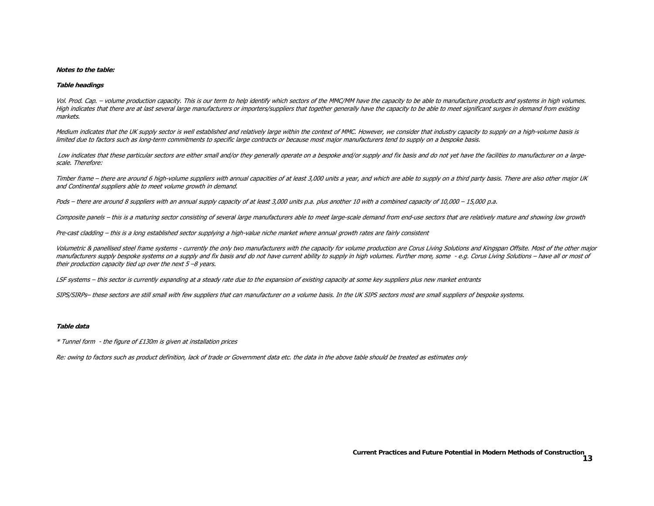#### **Notes to the table:**

#### **Table headings**

Vol. Prod. Cap. - volume production capacity. This is our term to help identify which sectors of the MMC/MM have the capacity to be able to manufacture products and systems in high volumes. High indicates that there are at last several large manufacturers or importers/suppliers that together generally have the capacity to be able to meet significant surges in demand from existing markets.

Medium indicates that the UK supply sector is well established and relatively large within the context of MMC. However, we consider that industry capacity to supply on a high-volume basis is limited due to factors such as long-term commitments to specific large contracts or because most major manufacturers tend to supply on a bespoke basis.

Low indicates that these particular sectors are either small and/or they generally operate on a bespoke and/or supply and fix basis and do not yet have the facilities to manufacturer on a largescale. Therefore:

Timber frame – there are around 6 high-volume suppliers with annual capacities of at least 3,000 units a year, and which are able to supply on a third party basis. There are also other major UK and Continental suppliers able to meet volume growth in demand.

Pods – there are around 8 suppliers with an annual supply capacity of at least 3,000 units p.a. plus another 10 with a combined capacity of 10,000 – 15,000 p.a.

Composite panels - this is a maturing sector consisting of several large manufacturers able to meet large-scale demand from end-use sectors that are relatively mature and showing low growth

Pre-cast cladding – this is a long established sector supplying a high-value niche market where annual growth rates are fairly consistent

Volumetric & panellised steel frame systems - currently the only two manufacturers with the capacity for volume production are Corus Living Solutions and Kingspan Offsite. Most of the other major manufacturers supply bespoke systems on a supply and fix basis and do not have current ability to supply in high volumes. Further more, some - e.g. Corus Living Solutions - have all or most of their production capacity tied up over the next  $5 - 8$  years.

LSF systems – this sector is currently expanding at a steady rate due to the expansion of existing capacity at some key suppliers plus new market entrants

SIPS/SIRPs- these sectors are still small with few suppliers that can manufacturer on a volume basis. In the UK SIPS sectors most are small suppliers of bespoke systems.

#### **Table data**

\* Tunnel form - the figure of £130m is given at installation prices

Re: owing to factors such as product definition, lack of trade or Government data etc. the data in the above table should be treated as estimates only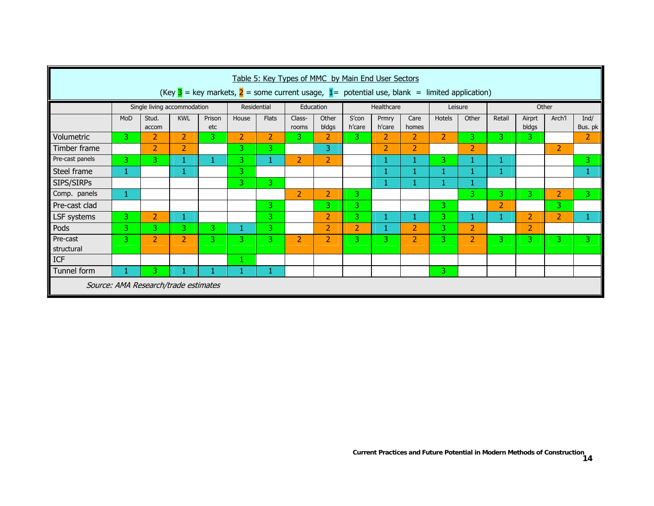|                 | Table 5: Key Types of MMC by Main End User Sectors<br>(Key $3$ = key markets, $2$ = some current usage, $1$ = potential use, blank = limited application) |                                      |                |               |       |              |                 |                |                 |                 |                |                |                |                |                 |                     |                 |
|-----------------|-----------------------------------------------------------------------------------------------------------------------------------------------------------|--------------------------------------|----------------|---------------|-------|--------------|-----------------|----------------|-----------------|-----------------|----------------|----------------|----------------|----------------|-----------------|---------------------|-----------------|
|                 |                                                                                                                                                           | Single living accommodation          |                |               |       | Residential  | Education       |                | Healthcare      |                 | Leisure        |                | Other          |                |                 |                     |                 |
|                 | MoD                                                                                                                                                       | Stud.<br>accom                       | <b>KWL</b>     | Prison<br>etc | House | <b>Flats</b> | Class-<br>rooms | Other<br>bldgs | S'con<br>h'care | Prmry<br>h'care | Care<br>homes  | Hotels         | Other          | Retail         | Airprt<br>bldgs | Arch <sup>'</sup> l | Ind/<br>Bus. pk |
| Volumetric      | 3                                                                                                                                                         | $\overline{2}$                       | 2              | 3.            | 2     | 2            | 3.              | $\overline{2}$ | 3               | $\overline{2}$  | 2              | $\overline{2}$ | 3              | 3.             | 3.              |                     | 2               |
| Timber frame    |                                                                                                                                                           | 2                                    | $\overline{2}$ |               | 3.    | з.           |                 | 3              |                 | $\overline{2}$  | 2              |                | $\overline{2}$ |                |                 | $\overline{2}$      |                 |
| Pre-cast panels | 3                                                                                                                                                         | 3                                    | 1              | 1             | 3.    | 1            | $\overline{2}$  | $\overline{2}$ |                 | ш               |                | 3              |                | 1              |                 |                     | 3               |
| Steel frame     | 1                                                                                                                                                         |                                      | 1              |               | 3     |              |                 |                |                 |                 |                |                |                | 1              |                 |                     |                 |
| SIPS/SIRPs      |                                                                                                                                                           |                                      |                |               | 3.    | $3^{\circ}$  |                 |                |                 |                 |                |                |                |                |                 |                     |                 |
| Comp. panels    | 1                                                                                                                                                         |                                      |                |               |       |              | 2               | $\overline{2}$ | 3               |                 |                |                | 3              | 3.             | 3.              | $\overline{2}$      | 3               |
| Pre-cast clad   |                                                                                                                                                           |                                      |                |               |       | 3.           |                 | 3.             | 3               |                 |                | 3.             |                | $\overline{2}$ |                 | 3.                  |                 |
| LSF systems     | 3                                                                                                                                                         | $\overline{2}$                       | 1              |               |       | 3            |                 | $\overline{2}$ | 3               |                 |                | 3              | 1              |                | $\overline{2}$  | 2                   | 1               |
| Pods            | 3                                                                                                                                                         | 3.                                   | 3.             | 3.            | 1     | 3            |                 | 2              | 2               |                 | 2              | 3.             | $\overline{2}$ |                | $\overline{2}$  |                     |                 |
| Pre-cast        | 3                                                                                                                                                         | $\overline{2}$                       | $\overline{2}$ | 3             | 3.    | 3            | $\overline{2}$  | $\overline{2}$ | 3               | 3               | $\overline{2}$ | 3.             | $\overline{2}$ | 3.             | 31              | 3.                  | 3               |
| structural      |                                                                                                                                                           |                                      |                |               |       |              |                 |                |                 |                 |                |                |                |                |                 |                     |                 |
| ICF             |                                                                                                                                                           |                                      |                |               |       |              |                 |                |                 |                 |                |                |                |                |                 |                     |                 |
| Tunnel form     |                                                                                                                                                           | 3                                    | 1              |               | 1     | 1            |                 |                |                 |                 |                | 3              |                |                |                 |                     |                 |
|                 |                                                                                                                                                           | Source: AMA Research/trade estimates |                |               |       |              |                 |                |                 |                 |                |                |                |                |                 |                     |                 |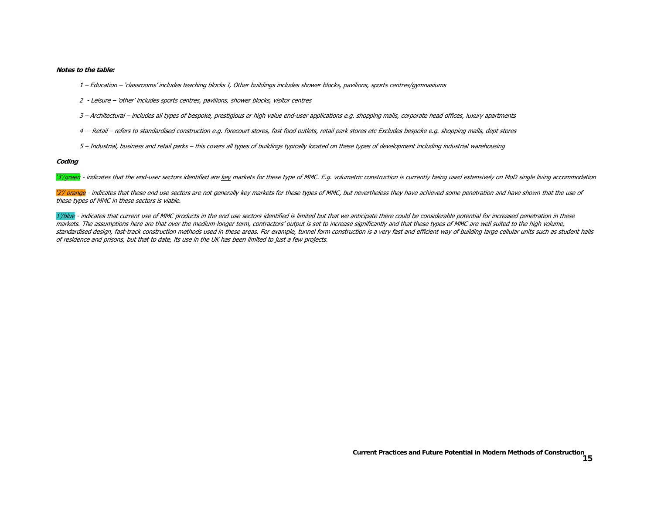**Notes to the table:** 

- 1 Education 'classrooms' includes teaching blocks I, Other buildings includes shower blocks, pavilions, sports centres/gymnasiums
- 2 Leisure 'other' includes sports centres, pavilions, shower blocks, visitor centres
- 3 Architectural includes all types of bespoke, prestigious or high value end-user applications e.g. shopping malls, corporate head offices, luxury apartments
- 4 Retail refers to standardised construction e.g. forecourt stores, fast food outlets, retail park stores etc Excludes bespoke e.g. shopping malls, dept stores
- 5 Industrial, business and retail parks this covers all types of buildings typically located on these types of development including industrial warehousing

**Coding** 

'3'/green - indicates that the end-user sectors identified are key markets for these type of MMC. E.g. volumetric construction is currently being used extensively on MoD single living accommodation

'2'/ orange - indicates that these end use sectors are not generally key markets for these types of MMC, but nevertheless they have achieved some penetration and have shown that the use of these types of MMC in these sectors is viable.

1'/blue - indicates that current use of MMC products in the end use sectors identified is limited but that we anticipate there could be considerable potential for increased penetration in these markets. The assumptions here are that over the medium-longer term, contractors' output is set to increase significantly and that these types of MMC are well suited to the high volume, standardised design, fast-track construction methods used in these areas. For example, tunnel form construction is a very fast and efficient way of building large cellular units such as student halls of residence and prisons, but that to date, its use in the UK has been limited to just a few projects.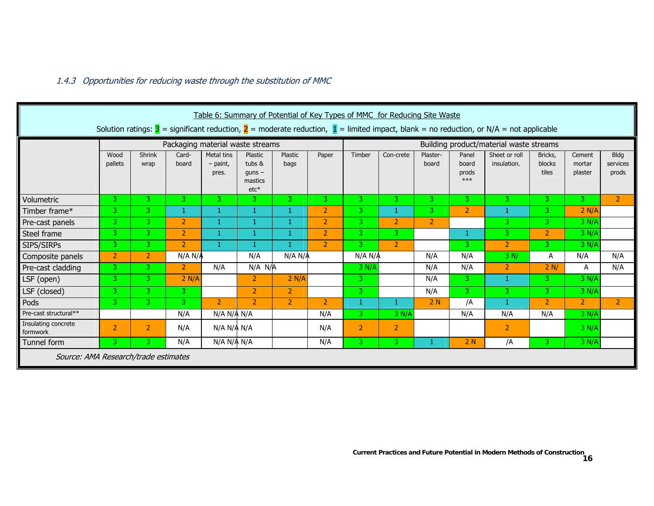#### 1.4.3 Opportunities for reducing waste through the substitution of MMC

|                                                                                                                                              | Table 6: Summary of Potential of Key Types of MMC for Reducing Site Waste |                |                                  |                                   |                                                    |                                         |                |                |                |                   |                                  |                              |                            |                             |                                  |
|----------------------------------------------------------------------------------------------------------------------------------------------|---------------------------------------------------------------------------|----------------|----------------------------------|-----------------------------------|----------------------------------------------------|-----------------------------------------|----------------|----------------|----------------|-------------------|----------------------------------|------------------------------|----------------------------|-----------------------------|----------------------------------|
| Solution ratings: $3$ = significant reduction, $2$ = moderate reduction, $1$ = limited impact, blank = no reduction, or N/A = not applicable |                                                                           |                |                                  |                                   |                                                    |                                         |                |                |                |                   |                                  |                              |                            |                             |                                  |
|                                                                                                                                              |                                                                           |                | Packaging material waste streams |                                   |                                                    | Building product/material waste streams |                |                |                |                   |                                  |                              |                            |                             |                                  |
|                                                                                                                                              | Wood<br>pallets                                                           | Shrink<br>wrap | Card-<br>board                   | Metal tins<br>$-$ paint,<br>pres. | Plastic<br>tubs &<br>$quns -$<br>mastics<br>$etc*$ | Plastic<br>bags                         | Paper          | Timber         | Con-crete      | Plaster-<br>board | Panel<br>board<br>prods<br>$***$ | Sheet or roll<br>insulation. | Bricks,<br>blocks<br>tiles | Cement<br>mortar<br>plaster | <b>Bldg</b><br>services<br>prods |
| Volumetric                                                                                                                                   | 3                                                                         | 3.             | 3.                               | 3                                 | 3.                                                 | 3.                                      | 3 <sup>1</sup> | 3              | 3.             | 3.                | 3                                | 3                            | 3.                         | 3                           | $\overline{2}$                   |
| Timber frame*                                                                                                                                | 3.                                                                        | 3.             |                                  | 1                                 | 1                                                  |                                         | $\overline{2}$ | 3              | 1              | 3.                | $\overline{2}$                   | 1                            | 3.                         | 2 N/A                       |                                  |
| Pre-cast panels                                                                                                                              | 3.                                                                        | 3.             | $\overline{2}$                   | 1                                 | 1                                                  |                                         | $\overline{2}$ | 3              | $\overline{2}$ | $\overline{2}$    |                                  | 3                            | 3.                         | 3 N/A                       |                                  |
| Steel frame                                                                                                                                  | 3 <sup>1</sup>                                                            | $\overline{3}$ | $\overline{2}$                   | 1                                 | -1                                                 | 1                                       | $\overline{2}$ | 3              | 3              |                   | 1                                | 3                            | $\overline{2}$             | 3 N/A                       |                                  |
| SIPS/SIRPs                                                                                                                                   | 3.                                                                        | 3.             | $\overline{2}$                   | 1                                 | -1                                                 |                                         | $\overline{2}$ | 3              | $\overline{2}$ |                   | 3                                | $\overline{2}$               | 3.                         | 3 N/A                       |                                  |
| Composite panels                                                                                                                             | $\overline{2}$                                                            | $\overline{2}$ | N/A N/A                          |                                   | N/A                                                | N/A N/A                                 |                | N/A N/A        |                | N/A               | N/A                              | 3 N/                         | A                          | N/A                         | N/A                              |
| Pre-cast cladding                                                                                                                            | 3.                                                                        | 3.             | $\overline{2}$                   | N/A                               | $N/A$ $N/A$                                        |                                         |                | 3 N/A          |                | N/A               | N/A                              | $\overline{2}$               | 2 N/                       | A                           | N/A                              |
| LSF (open)                                                                                                                                   | 3.                                                                        | 3.             | 2 N/A                            |                                   | 2                                                  | 2 N/A                                   |                | 3.             |                | N/A               | 3                                | 1                            | 3.                         | 3 N/A                       |                                  |
| LSF (closed)                                                                                                                                 | 3.                                                                        | 3.             | 3 <sup>1</sup>                   |                                   | $\overline{2}$                                     | $\overline{2}$                          |                | 3              |                | N/A               | 3                                | 3                            | $\overline{3}$             | 3 N/A                       |                                  |
| Pods                                                                                                                                         | 3.                                                                        | 3.             | 3.                               | $\overline{2}$                    | $\overline{2}$                                     | $\overline{2}$                          | $\overline{2}$ | 1              | 1              | 2N                | /A                               | $\mathbf{1}$                 | $\overline{2}$             | $\overline{2}$              | $\overline{2}$                   |
| Pre-cast structural**                                                                                                                        |                                                                           |                | N/A                              | N/A N/A N/A                       |                                                    |                                         | N/A            | 3              | 3 N/A          |                   | N/A                              | N/A                          | N/A                        | 3 N/A                       |                                  |
| Insulating concrete<br>formwork                                                                                                              | $\overline{2}$                                                            | 2              | N/A                              | N/A N/A N/A                       |                                                    |                                         | N/A            | $\overline{2}$ | $\overline{2}$ |                   |                                  | $\overline{2}$               |                            | 3 N/A                       |                                  |
| Tunnel form                                                                                                                                  | 3.                                                                        | 3.             | N/A                              | N/A N/A N/A                       |                                                    |                                         | N/A            | 3.             | 3              |                   | 2N                               | /A                           | 3.                         | 3 N/A                       |                                  |
| Source: AMA Research/trade estimates                                                                                                         |                                                                           |                |                                  |                                   |                                                    |                                         |                |                |                |                   |                                  |                              |                            |                             |                                  |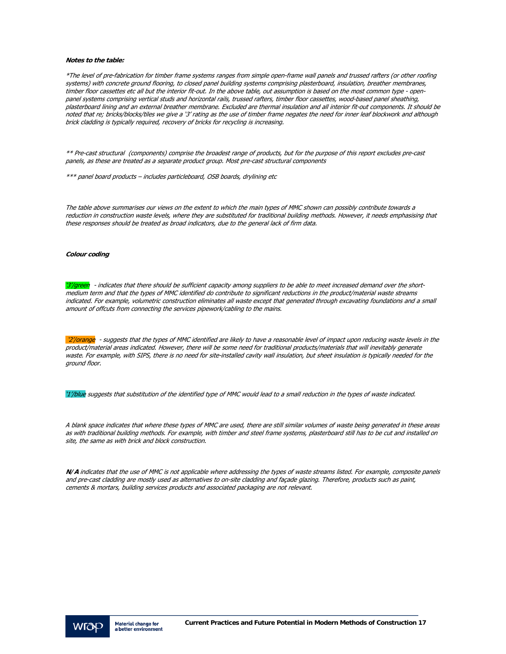#### **Notes to the table:**

\*The level of pre-fabrication for timber frame systems ranges from simple open-frame wall panels and trussed rafters (or other roofing systems) with concrete ground flooring, to closed panel building systems comprising plasterboard, insulation, breather membranes, timber floor cassettes etc all but the interior fit-out. In the above table, out assumption is based on the most common type - openpanel systems comprising vertical studs and horizontal rails, trussed rafters, timber floor cassettes, wood-based panel sheathing, plasterboard lining and an external breather membrane. Excluded are thermal insulation and all interior fit-out components. It should be noted that re; bricks/blocks/tiles we give a '3' rating as the use of timber frame negates the need for inner leaf blockwork and although brick cladding is typically required, recovery of bricks for recycling is increasing.

\*\* Pre-cast structural (components) comprise the broadest range of products, but for the purpose of this report excludes pre-cast panels, as these are treated as a separate product group. Most pre-cast structural components

\*\*\* panel board products – includes particleboard, OSB boards, drylining etc

The table above summarises our views on the extent to which the main types of MMC shown can possibly contribute towards a reduction in construction waste levels, where they are substituted for traditional building methods. However, it needs emphasising that these responses should be treated as broad indicators, due to the general lack of firm data.

#### **Colour coding**

'3'/green - indicates that there should be sufficient capacity among suppliers to be able to meet increased demand over the shortmedium term and that the types of MMC identified do contribute to significant reductions in the product/material waste streams indicated. For example, volumetric construction eliminates all waste except that generated through excavating foundations and a small amount of offcuts from connecting the services pipework/cabling to the mains.

'2'/orange - suggests that the types of MMC identified are likely to have a reasonable level of impact upon reducing waste levels in the product/material areas indicated. However, there will be some need for traditional products/materials that will inevitably generate waste. For example, with SIPS, there is no need for site-installed cavity wall insulation, but sheet insulation is typically needed for the ground floor.

'1'/blue suggests that substitution of the identified type of MMC would lead to a small reduction in the types of waste indicated.

A blank space indicates that where these types of MMC are used, there are still similar volumes of waste being generated in these areas as with traditional building methods. For example, with timber and steel frame systems, plasterboard still has to be cut and installed on site, the same as with brick and block construction.

**N/A** indicates that the use of MMC is not applicable where addressing the types of waste streams listed. For example, composite panels and pre-cast cladding are mostly used as alternatives to on-site cladding and façade glazing. Therefore, products such as paint, cements & mortars, building services products and associated packaging are not relevant.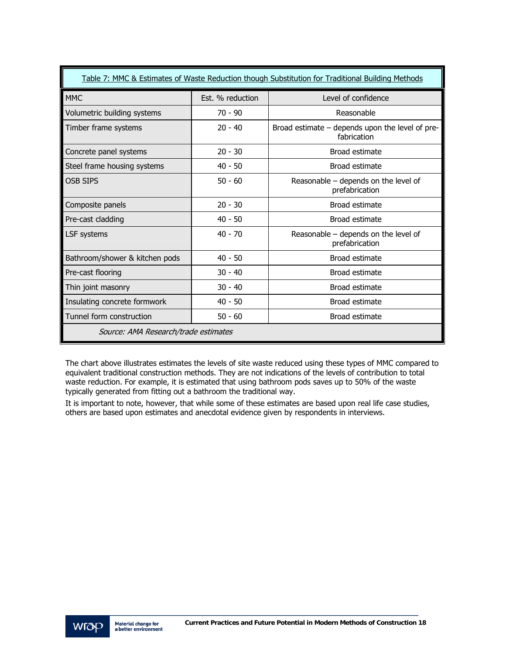| Table 7: MMC & Estimates of Waste Reduction though Substitution for Traditional Building Methods |                  |                                                                |  |  |  |  |  |  |  |  |
|--------------------------------------------------------------------------------------------------|------------------|----------------------------------------------------------------|--|--|--|--|--|--|--|--|
| <b>MMC</b>                                                                                       | Fst. % reduction | Level of confidence                                            |  |  |  |  |  |  |  |  |
| Volumetric building systems                                                                      | $70 - 90$        | Reasonable                                                     |  |  |  |  |  |  |  |  |
| Timber frame systems                                                                             | $20 - 40$        | Broad estimate - depends upon the level of pre-<br>fabrication |  |  |  |  |  |  |  |  |
| Concrete panel systems                                                                           | $20 - 30$        | Broad estimate                                                 |  |  |  |  |  |  |  |  |
| Steel frame housing systems                                                                      | $40 - 50$        | Broad estimate                                                 |  |  |  |  |  |  |  |  |
| <b>OSB SIPS</b>                                                                                  | $50 - 60$        | Reasonable - depends on the level of<br>prefabrication         |  |  |  |  |  |  |  |  |
| Composite panels                                                                                 | $20 - 30$        | Broad estimate                                                 |  |  |  |  |  |  |  |  |
| Pre-cast cladding                                                                                | $40 - 50$        | Broad estimate                                                 |  |  |  |  |  |  |  |  |
| LSF systems                                                                                      | $40 - 70$        | Reasonable - depends on the level of<br>prefabrication         |  |  |  |  |  |  |  |  |
| Bathroom/shower & kitchen pods                                                                   | $40 - 50$        | Broad estimate                                                 |  |  |  |  |  |  |  |  |
| Pre-cast flooring                                                                                | $30 - 40$        | Broad estimate                                                 |  |  |  |  |  |  |  |  |
| Thin joint masonry                                                                               | $30 - 40$        | Broad estimate                                                 |  |  |  |  |  |  |  |  |
| Insulating concrete formwork                                                                     | $40 - 50$        | Broad estimate                                                 |  |  |  |  |  |  |  |  |
| Tunnel form construction                                                                         | $50 - 60$        | Broad estimate                                                 |  |  |  |  |  |  |  |  |
| Source: AMA Research/trade estimates                                                             |                  |                                                                |  |  |  |  |  |  |  |  |

The chart above illustrates estimates the levels of site waste reduced using these types of MMC compared to equivalent traditional construction methods. They are not indications of the levels of contribution to total waste reduction. For example, it is estimated that using bathroom pods saves up to 50% of the waste typically generated from fitting out a bathroom the traditional way.

It is important to note, however, that while some of these estimates are based upon real life case studies, others are based upon estimates and anecdotal evidence given by respondents in interviews.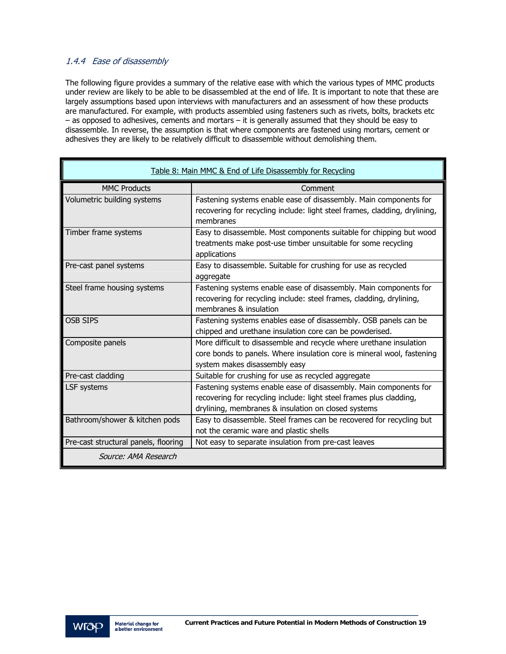### 1.4.4 Ease of disassembly

The following figure provides a summary of the relative ease with which the various types of MMC products under review are likely to be able to be disassembled at the end of life. It is important to note that these are largely assumptions based upon interviews with manufacturers and an assessment of how these products are manufactured. For example, with products assembled using fasteners such as rivets, bolts, brackets etc – as opposed to adhesives, cements and mortars – it is generally assumed that they should be easy to disassemble. In reverse, the assumption is that where components are fastened using mortars, cement or adhesives they are likely to be relatively difficult to disassemble without demolishing them.

|                                      | Table 8: Main MMC & End of Life Disassembly for Recycling                                                                                                                                       |
|--------------------------------------|-------------------------------------------------------------------------------------------------------------------------------------------------------------------------------------------------|
| <b>MMC Products</b>                  | Comment                                                                                                                                                                                         |
| Volumetric building systems          | Fastening systems enable ease of disassembly. Main components for<br>recovering for recycling include: light steel frames, cladding, drylining,<br>membranes                                    |
| Timber frame systems                 | Easy to disassemble. Most components suitable for chipping but wood<br>treatments make post-use timber unsuitable for some recycling<br>applications                                            |
| Pre-cast panel systems               | Easy to disassemble. Suitable for crushing for use as recycled<br>aggregate                                                                                                                     |
| Steel frame housing systems          | Fastening systems enable ease of disassembly. Main components for<br>recovering for recycling include: steel frames, cladding, drylining,<br>membranes & insulation                             |
| <b>OSB SIPS</b>                      | Fastening systems enables ease of disassembly. OSB panels can be<br>chipped and urethane insulation core can be powderised.                                                                     |
| Composite panels                     | More difficult to disassemble and recycle where urethane insulation<br>core bonds to panels. Where insulation core is mineral wool, fastening<br>system makes disassembly easy                  |
| Pre-cast cladding                    | Suitable for crushing for use as recycled aggregate                                                                                                                                             |
| LSF systems                          | Fastening systems enable ease of disassembly. Main components for<br>recovering for recycling include: light steel frames plus cladding,<br>drylining, membranes & insulation on closed systems |
| Bathroom/shower & kitchen pods       | Easy to disassemble. Steel frames can be recovered for recycling but<br>not the ceramic ware and plastic shells                                                                                 |
| Pre-cast structural panels, flooring | Not easy to separate insulation from pre-cast leaves                                                                                                                                            |
| Source: AMA Research                 |                                                                                                                                                                                                 |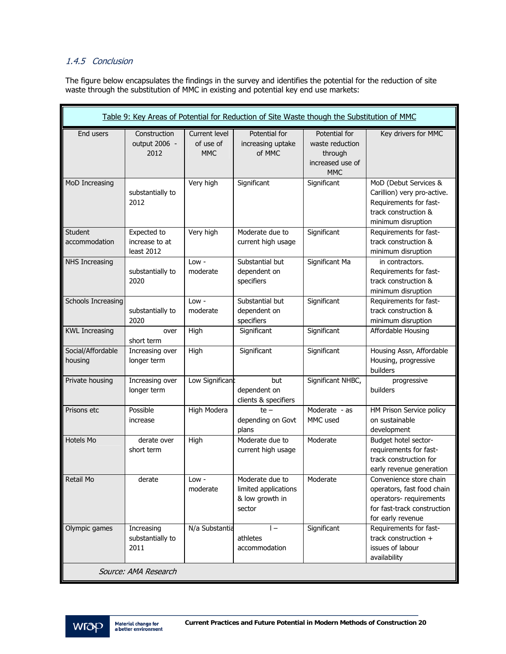#### 1.4.5 Conclusion

The figure below encapsulates the findings in the survey and identifies the potential for the reduction of site waste through the substitution of MMC in existing and potential key end use markets:

| Table 9: Key Areas of Potential for Reduction of Site Waste though the Substitution of MMC |                                             |                                          |                                                                      |                                                                               |                                                                                                                                      |
|--------------------------------------------------------------------------------------------|---------------------------------------------|------------------------------------------|----------------------------------------------------------------------|-------------------------------------------------------------------------------|--------------------------------------------------------------------------------------------------------------------------------------|
| End users                                                                                  | Construction<br>output 2006 -<br>2012       | Current level<br>of use of<br><b>MMC</b> | Potential for<br>increasing uptake<br>of MMC                         | Potential for<br>waste reduction<br>through<br>increased use of<br><b>MMC</b> | Key drivers for MMC                                                                                                                  |
| MoD Increasing                                                                             | substantially to<br>2012                    | Very high                                | Significant                                                          | Significant                                                                   | MoD (Debut Services &<br>Carillion) very pro-active.<br>Requirements for fast-<br>track construction &<br>minimum disruption         |
| <b>Student</b><br>accommodation                                                            | Expected to<br>increase to at<br>least 2012 | Very high                                | Moderate due to<br>current high usage                                | Significant                                                                   | Requirements for fast-<br>track construction &<br>minimum disruption                                                                 |
| NHS Increasing                                                                             | substantially to<br>2020                    | $Low -$<br>moderate                      | Substantial but<br>dependent on<br>specifiers                        | Significant Ma                                                                | in contractors.<br>Requirements for fast-<br>track construction &<br>minimum disruption                                              |
| <b>Schools Increasing</b>                                                                  | substantially to<br>2020                    | Low -<br>moderate                        | Substantial but<br>dependent on<br>specifiers                        | Significant                                                                   | Requirements for fast-<br>track construction &<br>minimum disruption                                                                 |
| <b>KWL Increasing</b>                                                                      | over<br>short term                          | High                                     | Significant                                                          | Significant                                                                   | Affordable Housing                                                                                                                   |
| Social/Affordable<br>housing                                                               | Increasing over<br>longer term              | High                                     | Significant                                                          | Significant                                                                   | Housing Assn, Affordable<br>Housing, progressive<br>builders                                                                         |
| Private housing                                                                            | Increasing over<br>longer term              | Low Significant                          | but<br>dependent on<br>clients & specifiers                          | Significant NHBC,                                                             | progressive<br>builders                                                                                                              |
| Prisons etc                                                                                | Possible<br>increase                        | <b>High Modera</b>                       | $te -$<br>depending on Govt<br>plans                                 | Moderate - as<br>MMC used                                                     | HM Prison Service policy<br>on sustainable<br>development                                                                            |
| Hotels Mo                                                                                  | derate over<br>short term                   | High                                     | Moderate due to<br>current high usage                                | Moderate                                                                      | Budget hotel sector-<br>requirements for fast-<br>track construction for<br>early revenue generation                                 |
| Retail Mo                                                                                  | derate                                      | Low -<br>moderate                        | Moderate due to<br>limited applications<br>& low growth in<br>sector | Moderate                                                                      | Convenience store chain<br>operators, fast food chain<br>operators- requirements<br>for fast-track construction<br>for early revenue |
| Olympic games                                                                              | Increasing<br>substantially to<br>2011      | N/a Substantia                           | $\vert - \vert$<br>athletes<br>accommodation                         | Significant                                                                   | Requirements for fast-<br>track construction +<br>issues of labour<br>availability                                                   |
| Source: AMA Research                                                                       |                                             |                                          |                                                                      |                                                                               |                                                                                                                                      |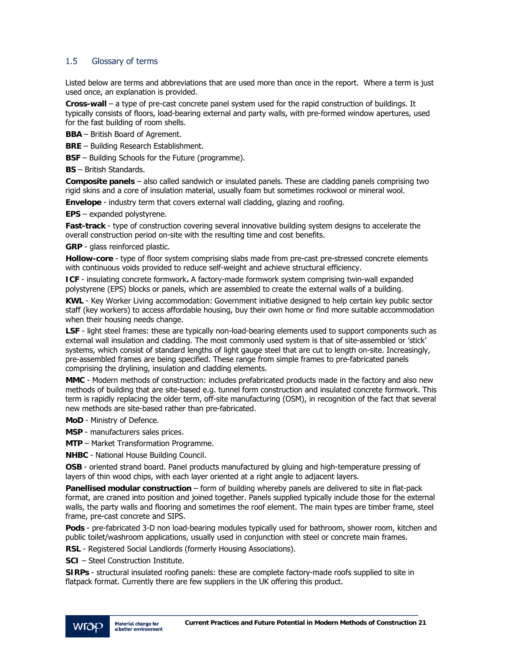#### 1.5 Glossary of terms

Listed below are terms and abbreviations that are used more than once in the report. Where a term is just used once, an explanation is provided.

**Cross-wall** – a type of pre-cast concrete panel system used for the rapid construction of buildings. It typically consists of floors, load-bearing external and party walls, with pre-formed window apertures, used for the fast building of room shells.

- **BBA** British Board of Agrement.
- **BRE** Building Research Establishment.

**BSF** – Building Schools for the Future (programme).

**BS** – British Standards.

**Composite panels** – also called sandwich or insulated panels. These are cladding panels comprising two rigid skins and a core of insulation material, usually foam but sometimes rockwool or mineral wool.

**Envelope** - industry term that covers external wall cladding, glazing and roofing.

**EPS** – expanded polystyrene.

**Fast-track** - type of construction covering several innovative building system designs to accelerate the overall construction period on-site with the resulting time and cost benefits.

**GRP** - glass reinforced plastic.

**Hollow-core** - type of floor system comprising slabs made from pre-cast pre-stressed concrete elements with continuous voids provided to reduce self-weight and achieve structural efficiency.

**ICF** - insulating concrete formwork**.** A factory-made formwork system comprising twin-wall expanded polystyrene (EPS) blocks or panels, which are assembled to create the external walls of a building.

**KWL** - Key Worker Living accommodation: Government initiative designed to help certain key public sector staff (key workers) to access affordable housing, buy their own home or find more suitable accommodation when their housing needs change.

**LSF** - light steel frames: these are typically non-load-bearing elements used to support components such as external wall insulation and cladding. The most commonly used system is that of site-assembled or 'stick' systems, which consist of standard lengths of light gauge steel that are cut to length on-site. Increasingly, pre-assembled frames are being specified. These range from simple frames to pre-fabricated panels comprising the drylining, insulation and cladding elements.

**MMC** - Modern methods of construction: includes prefabricated products made in the factory and also new methods of building that are site-based e.g. tunnel form construction and insulated concrete formwork. This term is rapidly replacing the older term, off-site manufacturing (OSM), in recognition of the fact that several new methods are site-based rather than pre-fabricated.

**MoD** - Ministry of Defence.

**MSP** - manufacturers sales prices.

**MTP** – Market Transformation Programme.

**NHBC** - National House Building Council.

**OSB** - oriented strand board. Panel products manufactured by gluing and high-temperature pressing of layers of thin wood chips, with each layer oriented at a right angle to adjacent layers.

**Panellised modular construction** – form of building whereby panels are delivered to site in flat-pack format, are craned into position and joined together. Panels supplied typically include those for the external walls, the party walls and flooring and sometimes the roof element. The main types are timber frame, steel frame, pre-cast concrete and SIPS.

**Pods** - pre-fabricated 3-D non load-bearing modules typically used for bathroom, shower room, kitchen and public toilet/washroom applications, usually used in conjunction with steel or concrete main frames.

**RSL** - Registered Social Landlords (formerly Housing Associations).

**SCI** – Steel Construction Institute.

**SIRPs** - structural insulated roofing panels: these are complete factory-made roofs supplied to site in flatpack format. Currently there are few suppliers in the UK offering this product.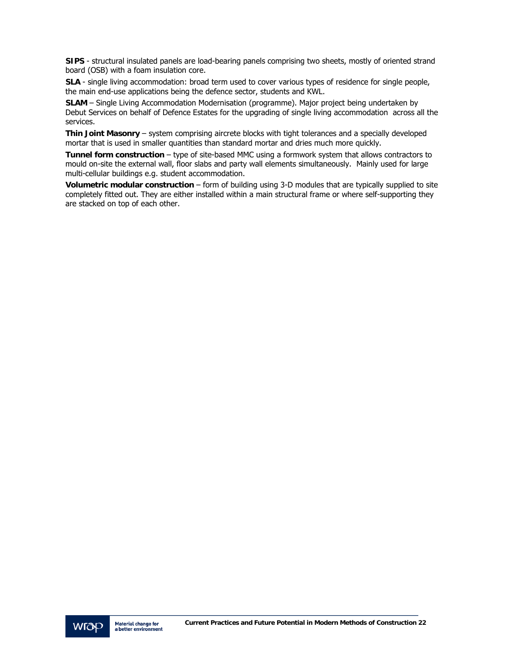**SIPS** - structural insulated panels are load-bearing panels comprising two sheets, mostly of oriented strand board (OSB) with a foam insulation core.

**SLA** - single living accommodation: broad term used to cover various types of residence for single people, the main end-use applications being the defence sector, students and KWL.

**SLAM** – Single Living Accommodation Modernisation (programme). Major project being undertaken by Debut Services on behalf of Defence Estates for the upgrading of single living accommodation across all the services.

**Thin Joint Masonry** – system comprising aircrete blocks with tight tolerances and a specially developed mortar that is used in smaller quantities than standard mortar and dries much more quickly.

**Tunnel form construction** – type of site-based MMC using a formwork system that allows contractors to mould on-site the external wall, floor slabs and party wall elements simultaneously. Mainly used for large multi-cellular buildings e.g. student accommodation.

**Volumetric modular construction** – form of building using 3-D modules that are typically supplied to site completely fitted out. They are either installed within a main structural frame or where self-supporting they are stacked on top of each other.

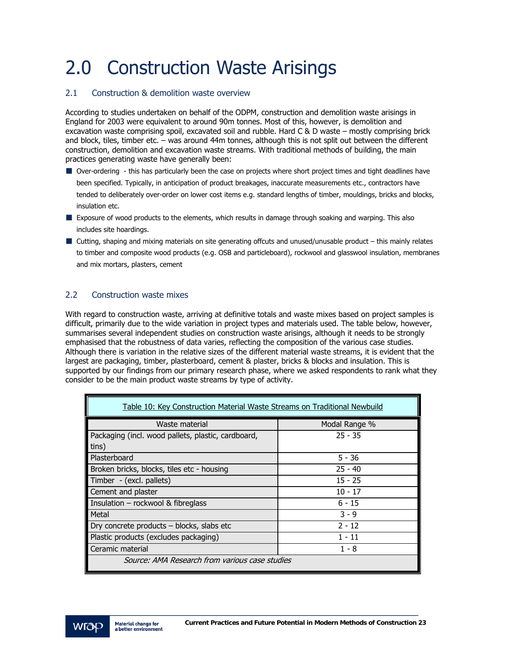# 2.0 Construction Waste Arisings

#### 2.1 Construction & demolition waste overview

According to studies undertaken on behalf of the ODPM, construction and demolition waste arisings in England for 2003 were equivalent to around 90m tonnes. Most of this, however, is demolition and excavation waste comprising spoil, excavated soil and rubble. Hard C & D waste – mostly comprising brick and block, tiles, timber etc. – was around 44m tonnes, although this is not split out between the different construction, demolition and excavation waste streams. With traditional methods of building, the main practices generating waste have generally been:

- Over-ordering this has particularly been the case on projects where short project times and tight deadlines have been specified. Typically, in anticipation of product breakages, inaccurate measurements etc., contractors have tended to deliberately over-order on lower cost items e.g. standard lengths of timber, mouldings, bricks and blocks, insulation etc.
- Exposure of wood products to the elements, which results in damage through soaking and warping. This also includes site hoardings.
- Cutting, shaping and mixing materials on site generating offcuts and unused/unusable product this mainly relates to timber and composite wood products (e.g. OSB and particleboard), rockwool and glasswool insulation, membranes and mix mortars, plasters, cement

#### 2.2 Construction waste mixes

With regard to construction waste, arriving at definitive totals and waste mixes based on project samples is difficult, primarily due to the wide variation in project types and materials used. The table below, however, summarises several independent studies on construction waste arisings, although it needs to be strongly emphasised that the robustness of data varies, reflecting the composition of the various case studies. Although there is variation in the relative sizes of the different material waste streams, it is evident that the largest are packaging, timber, plasterboard, cement & plaster, bricks & blocks and insulation. This is supported by our findings from our primary research phase, where we asked respondents to rank what they consider to be the main product waste streams by type of activity.

| Table 10: Key Construction Material Waste Streams on Traditional Newbuild |               |  |  |
|---------------------------------------------------------------------------|---------------|--|--|
| Waste material                                                            | Modal Range % |  |  |
| Packaging (incl. wood pallets, plastic, cardboard,                        | $25 - 35$     |  |  |
| tins)                                                                     |               |  |  |
| Plasterboard                                                              | $5 - 36$      |  |  |
| Broken bricks, blocks, tiles etc - housing                                | $25 - 40$     |  |  |
| Timber - (excl. pallets)                                                  | $15 - 25$     |  |  |
| Cement and plaster                                                        | $10 - 17$     |  |  |
| Insulation - rockwool & fibreglass                                        | $6 - 15$      |  |  |
| Metal                                                                     | $3 - 9$       |  |  |
| Dry concrete products - blocks, slabs etc                                 | $2 - 12$      |  |  |
| Plastic products (excludes packaging)                                     | $1 - 11$      |  |  |
| Ceramic material                                                          | $1 - 8$       |  |  |
| Source: AMA Research from various case studies                            |               |  |  |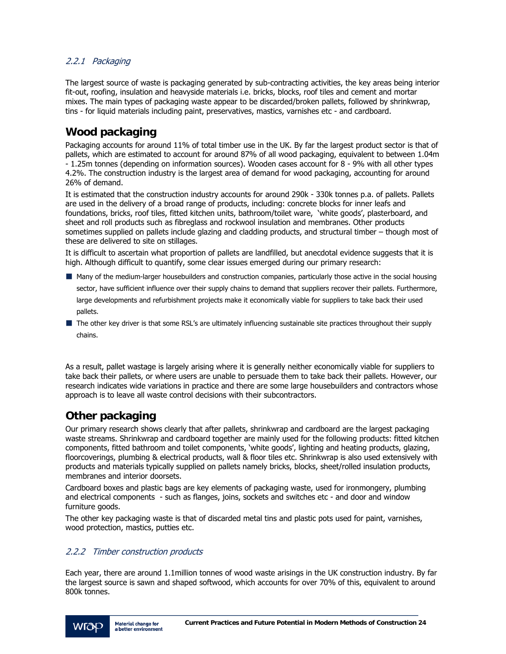#### 2.2.1 Packaging

The largest source of waste is packaging generated by sub-contracting activities, the key areas being interior fit-out, roofing, insulation and heavyside materials i.e. bricks, blocks, roof tiles and cement and mortar mixes. The main types of packaging waste appear to be discarded/broken pallets, followed by shrinkwrap, tins - for liquid materials including paint, preservatives, mastics, varnishes etc - and cardboard.

### **Wood packaging**

Packaging accounts for around 11% of total timber use in the UK. By far the largest product sector is that of pallets, which are estimated to account for around 87% of all wood packaging, equivalent to between 1.04m - 1.25m tonnes (depending on information sources). Wooden cases account for 8 - 9% with all other types 4.2%. The construction industry is the largest area of demand for wood packaging, accounting for around 26% of demand.

It is estimated that the construction industry accounts for around 290k - 330k tonnes p.a. of pallets. Pallets are used in the delivery of a broad range of products, including: concrete blocks for inner leafs and foundations, bricks, roof tiles, fitted kitchen units, bathroom/toilet ware, 'white goods', plasterboard, and sheet and roll products such as fibreglass and rockwool insulation and membranes. Other products sometimes supplied on pallets include glazing and cladding products, and structural timber – though most of these are delivered to site on stillages.

It is difficult to ascertain what proportion of pallets are landfilled, but anecdotal evidence suggests that it is high. Although difficult to quantify, some clear issues emerged during our primary research:

- Many of the medium-larger housebuilders and construction companies, particularly those active in the social housing sector, have sufficient influence over their supply chains to demand that suppliers recover their pallets. Furthermore, large developments and refurbishment projects make it economically viable for suppliers to take back their used pallets.
- The other key driver is that some RSL's are ultimately influencing sustainable site practices throughout their supply chains.

As a result, pallet wastage is largely arising where it is generally neither economically viable for suppliers to take back their pallets, or where users are unable to persuade them to take back their pallets. However, our research indicates wide variations in practice and there are some large housebuilders and contractors whose approach is to leave all waste control decisions with their subcontractors.

### **Other packaging**

Our primary research shows clearly that after pallets, shrinkwrap and cardboard are the largest packaging waste streams. Shrinkwrap and cardboard together are mainly used for the following products: fitted kitchen components, fitted bathroom and toilet components, 'white goods', lighting and heating products, glazing, floorcoverings, plumbing & electrical products, wall & floor tiles etc. Shrinkwrap is also used extensively with products and materials typically supplied on pallets namely bricks, blocks, sheet/rolled insulation products, membranes and interior doorsets.

Cardboard boxes and plastic bags are key elements of packaging waste, used for ironmongery, plumbing and electrical components - such as flanges, joins, sockets and switches etc - and door and window furniture goods.

The other key packaging waste is that of discarded metal tins and plastic pots used for paint, varnishes, wood protection, mastics, putties etc.

#### 2.2.2 Timber construction products

Each year, there are around 1.1million tonnes of wood waste arisings in the UK construction industry. By far the largest source is sawn and shaped softwood, which accounts for over 70% of this, equivalent to around 800k tonnes.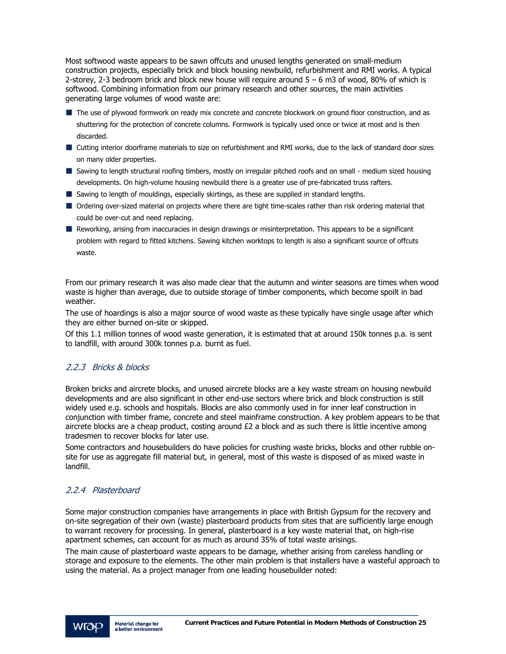Most softwood waste appears to be sawn offcuts and unused lengths generated on small-medium construction projects, especially brick and block housing newbuild, refurbishment and RMI works. A typical 2-storey, 2-3 bedroom brick and block new house will require around 5 – 6 m3 of wood, 80% of which is softwood. Combining information from our primary research and other sources, the main activities generating large volumes of wood waste are:

- $\blacksquare$  The use of plywood formwork on ready mix concrete and concrete blockwork on ground floor construction, and as shuttering for the protection of concrete columns. Formwork is typically used once or twice at most and is then discarded.
- Cutting interior doorframe materials to size on refurbishment and RMI works, due to the lack of standard door sizes on many older properties.
- Sawing to length structural roofing timbers, mostly on irregular pitched roofs and on small medium sized housing developments. On high-volume housing newbuild there is a greater use of pre-fabricated truss rafters.
- Sawing to length of mouldings, especially skirtings, as these are supplied in standard lengths.
- Ordering over-sized material on projects where there are tight time-scales rather than risk ordering material that could be over-cut and need replacing.
- Reworking, arising from inaccuracies in design drawings or misinterpretation. This appears to be a significant problem with regard to fitted kitchens. Sawing kitchen worktops to length is also a significant source of offcuts waste.

From our primary research it was also made clear that the autumn and winter seasons are times when wood waste is higher than average, due to outside storage of timber components, which become spoilt in bad weather.

The use of hoardings is also a major source of wood waste as these typically have single usage after which they are either burned on-site or skipped.

Of this 1.1 million tonnes of wood waste generation, it is estimated that at around 150k tonnes p.a. is sent to landfill, with around 300k tonnes p.a. burnt as fuel.

#### 2.2.3 Bricks & blocks

Broken bricks and aircrete blocks, and unused aircrete blocks are a key waste stream on housing newbuild developments and are also significant in other end-use sectors where brick and block construction is still widely used e.g. schools and hospitals. Blocks are also commonly used in for inner leaf construction in conjunction with timber frame, concrete and steel mainframe construction. A key problem appears to be that aircrete blocks are a cheap product, costing around £2 a block and as such there is little incentive among tradesmen to recover blocks for later use.

Some contractors and housebuilders do have policies for crushing waste bricks, blocks and other rubble onsite for use as aggregate fill material but, in general, most of this waste is disposed of as mixed waste in landfill.

#### 2.2.4 Plasterboard

Some major construction companies have arrangements in place with British Gypsum for the recovery and on-site segregation of their own (waste) plasterboard products from sites that are sufficiently large enough to warrant recovery for processing. In general, plasterboard is a key waste material that, on high-rise apartment schemes, can account for as much as around 35% of total waste arisings.

The main cause of plasterboard waste appears to be damage, whether arising from careless handling or storage and exposure to the elements. The other main problem is that installers have a wasteful approach to using the material. As a project manager from one leading housebuilder noted: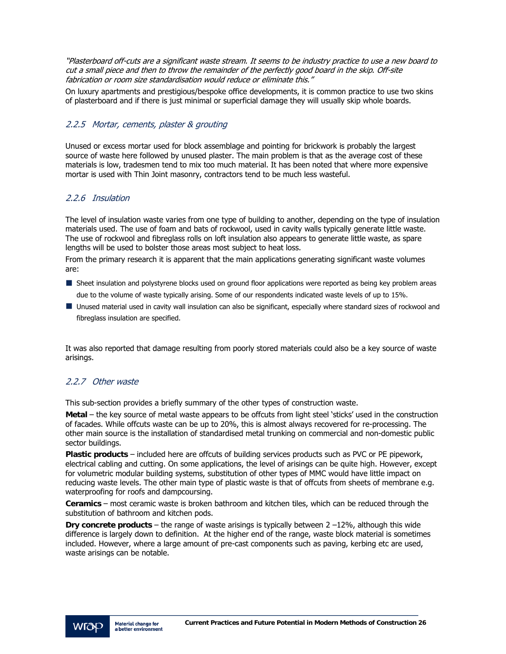"Plasterboard off-cuts are a significant waste stream. It seems to be industry practice to use a new board to cut a small piece and then to throw the remainder of the perfectly good board in the skip. Off-site fabrication or room size standardisation would reduce or eliminate this."

On luxury apartments and prestigious/bespoke office developments, it is common practice to use two skins of plasterboard and if there is just minimal or superficial damage they will usually skip whole boards.

#### 2.2.5 Mortar, cements, plaster & grouting

Unused or excess mortar used for block assemblage and pointing for brickwork is probably the largest source of waste here followed by unused plaster. The main problem is that as the average cost of these materials is low, tradesmen tend to mix too much material. It has been noted that where more expensive mortar is used with Thin Joint masonry, contractors tend to be much less wasteful.

#### 2.2.6 Insulation

The level of insulation waste varies from one type of building to another, depending on the type of insulation materials used. The use of foam and bats of rockwool, used in cavity walls typically generate little waste. The use of rockwool and fibreglass rolls on loft insulation also appears to generate little waste, as spare lengths will be used to bolster those areas most subject to heat loss.

From the primary research it is apparent that the main applications generating significant waste volumes are:

- Sheet insulation and polystyrene blocks used on ground floor applications were reported as being key problem areas due to the volume of waste typically arising. Some of our respondents indicated waste levels of up to 15%.
- Unused material used in cavity wall insulation can also be significant, especially where standard sizes of rockwool and fibreglass insulation are specified.

It was also reported that damage resulting from poorly stored materials could also be a key source of waste arisings.

#### 2.2.7 Other waste

This sub-section provides a briefly summary of the other types of construction waste.

**Metal** – the key source of metal waste appears to be offcuts from light steel 'sticks' used in the construction of facades. While offcuts waste can be up to 20%, this is almost always recovered for re-processing. The other main source is the installation of standardised metal trunking on commercial and non-domestic public sector buildings.

**Plastic products** – included here are offcuts of building services products such as PVC or PE pipework, electrical cabling and cutting. On some applications, the level of arisings can be quite high. However, except for volumetric modular building systems, substitution of other types of MMC would have little impact on reducing waste levels. The other main type of plastic waste is that of offcuts from sheets of membrane e.g. waterproofing for roofs and dampcoursing.

**Ceramics** – most ceramic waste is broken bathroom and kitchen tiles, which can be reduced through the substitution of bathroom and kitchen pods.

**Dry concrete products** – the range of waste arisings is typically between 2 –12%, although this wide difference is largely down to definition. At the higher end of the range, waste block material is sometimes included. However, where a large amount of pre-cast components such as paving, kerbing etc are used, waste arisings can be notable.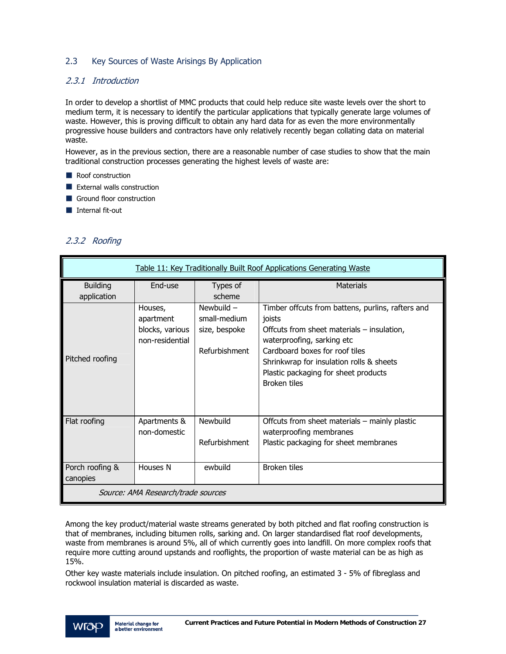#### 2.3 Key Sources of Waste Arisings By Application

#### 2.3.1 Introduction

In order to develop a shortlist of MMC products that could help reduce site waste levels over the short to medium term, it is necessary to identify the particular applications that typically generate large volumes of waste. However, this is proving difficult to obtain any hard data for as even the more environmentally progressive house builders and contractors have only relatively recently began collating data on material waste.

However, as in the previous section, there are a reasonable number of case studies to show that the main traditional construction processes generating the highest levels of waste are:

- Roof construction
- **EXternal walls construction**
- Ground floor construction
- Internal fit-out

#### 2.3.2 Roofing

| Table 11: Key Traditionally Built Roof Applications Generating Waste |                                                            |                                                                |                                                                                                                                                                                                                                                                               |
|----------------------------------------------------------------------|------------------------------------------------------------|----------------------------------------------------------------|-------------------------------------------------------------------------------------------------------------------------------------------------------------------------------------------------------------------------------------------------------------------------------|
| <b>Building</b><br>application                                       | End-use                                                    | Types of<br>scheme                                             | Materials                                                                                                                                                                                                                                                                     |
| Pitched roofing                                                      | Houses,<br>apartment<br>blocks, various<br>non-residential | Newbuild $-$<br>small-medium<br>size, bespoke<br>Refurbishment | Timber offcuts from battens, purlins, rafters and<br>joists<br>Offcuts from sheet materials - insulation,<br>waterproofing, sarking etc<br>Cardboard boxes for roof tiles<br>Shrinkwrap for insulation rolls & sheets<br>Plastic packaging for sheet products<br>Broken tiles |
| Flat roofing                                                         | Apartments &<br>non-domestic                               | <b>Newbuild</b><br>Refurbishment                               | Offcuts from sheet materials - mainly plastic<br>waterproofing membranes<br>Plastic packaging for sheet membranes                                                                                                                                                             |
| Porch roofing &<br>canopies                                          | Houses N                                                   | ewbuild                                                        | Broken tiles                                                                                                                                                                                                                                                                  |
| Source: AMA Research/trade sources                                   |                                                            |                                                                |                                                                                                                                                                                                                                                                               |

Among the key product/material waste streams generated by both pitched and flat roofing construction is that of membranes, including bitumen rolls, sarking and. On larger standardised flat roof developments, waste from membranes is around 5%, all of which currently goes into landfill. On more complex roofs that require more cutting around upstands and rooflights, the proportion of waste material can be as high as 15%.

Other key waste materials include insulation. On pitched roofing, an estimated 3 - 5% of fibreglass and rockwool insulation material is discarded as waste.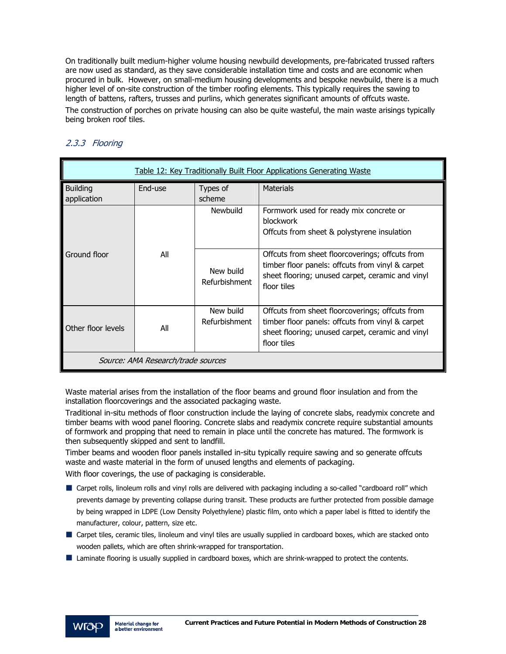On traditionally built medium-higher volume housing newbuild developments, pre-fabricated trussed rafters are now used as standard, as they save considerable installation time and costs and are economic when procured in bulk. However, on small-medium housing developments and bespoke newbuild, there is a much higher level of on-site construction of the timber roofing elements. This typically requires the sawing to length of battens, rafters, trusses and purlins, which generates significant amounts of offcuts waste. The construction of porches on private housing can also be quite wasteful, the main waste arisings typically being broken roof tiles.

| Table 12: Key Traditionally Built Floor Applications Generating Waste |         |                            |                                                                                                                                                                        |
|-----------------------------------------------------------------------|---------|----------------------------|------------------------------------------------------------------------------------------------------------------------------------------------------------------------|
| <b>Building</b><br>application                                        | End-use | Types of<br>scheme         | <b>Materials</b>                                                                                                                                                       |
|                                                                       |         | Newbuild                   | Formwork used for ready mix concrete or<br><b>blockwork</b><br>Offcuts from sheet & polystyrene insulation                                                             |
| Ground floor                                                          | All     | New build<br>Refurbishment | Offcuts from sheet floorcoverings; offcuts from<br>timber floor panels: offcuts from vinyl & carpet<br>sheet flooring; unused carpet, ceramic and vinyl<br>floor tiles |
| Other floor levels                                                    | All     | New build<br>Refurbishment | Offcuts from sheet floorcoverings; offcuts from<br>timber floor panels: offcuts from vinyl & carpet<br>sheet flooring; unused carpet, ceramic and vinyl<br>floor tiles |
| Source: AMA Research/trade sources                                    |         |                            |                                                                                                                                                                        |

### 2.3.3 Flooring

Waste material arises from the installation of the floor beams and ground floor insulation and from the installation floorcoverings and the associated packaging waste.

Traditional in-situ methods of floor construction include the laying of concrete slabs, readymix concrete and timber beams with wood panel flooring. Concrete slabs and readymix concrete require substantial amounts of formwork and propping that need to remain in place until the concrete has matured. The formwork is then subsequently skipped and sent to landfill.

Timber beams and wooden floor panels installed in-situ typically require sawing and so generate offcuts waste and waste material in the form of unused lengths and elements of packaging.

With floor coverings, the use of packaging is considerable.

- Carpet rolls, linoleum rolls and vinyl rolls are delivered with packaging including a so-called "cardboard roll" which prevents damage by preventing collapse during transit. These products are further protected from possible damage by being wrapped in LDPE (Low Density Polyethylene) plastic film, onto which a paper label is fitted to identify the manufacturer, colour, pattern, size etc.
- Carpet tiles, ceramic tiles, linoleum and vinyl tiles are usually supplied in cardboard boxes, which are stacked onto wooden pallets, which are often shrink-wrapped for transportation.
- **Laminate flooring is usually supplied in cardboard boxes, which are shrink-wrapped to protect the contents.**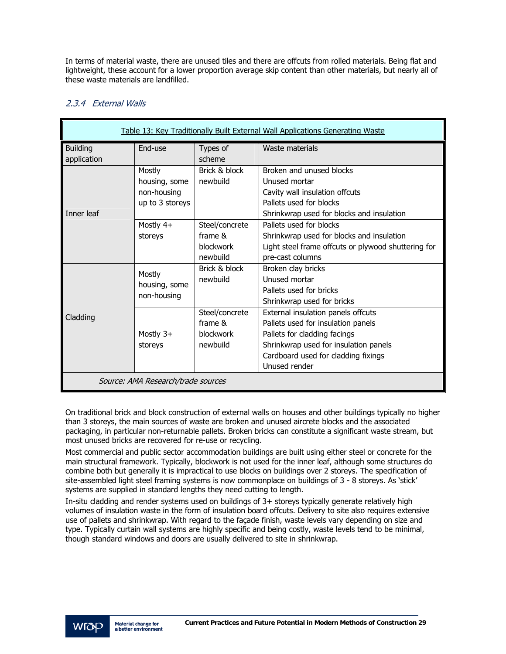In terms of material waste, there are unused tiles and there are offcuts from rolled materials. Being flat and lightweight, these account for a lower proportion average skip content than other materials, but nearly all of these waste materials are landfilled.

#### 2.3.4 External Walls

| Table 13: Key Traditionally Built External Wall Applications Generating Waste |                                                           |                                                              |                                                                                                                                                                                                           |
|-------------------------------------------------------------------------------|-----------------------------------------------------------|--------------------------------------------------------------|-----------------------------------------------------------------------------------------------------------------------------------------------------------------------------------------------------------|
| <b>Building</b><br>application                                                | End-use                                                   | Types of<br>scheme                                           | Waste materials                                                                                                                                                                                           |
| <b>Inner leaf</b>                                                             | Mostly<br>housing, some<br>non-housing<br>up to 3 storeys | Brick & block<br>newbuild                                    | Broken and unused blocks<br>Unused mortar<br>Cavity wall insulation offcuts<br>Pallets used for blocks<br>Shrinkwrap used for blocks and insulation                                                       |
|                                                                               | Mostly $4+$<br>storeys                                    | Steel/concrete<br>frame $\&$<br><b>blockwork</b><br>newbuild | Pallets used for blocks<br>Shrinkwrap used for blocks and insulation<br>Light steel frame offcuts or plywood shuttering for<br>pre-cast columns                                                           |
|                                                                               | Mostly<br>housing, some<br>non-housing                    | Brick & block<br>newbuild                                    | Broken clay bricks<br>Unused mortar<br>Pallets used for bricks<br>Shrinkwrap used for bricks                                                                                                              |
| Cladding                                                                      | Mostly $3+$<br>storeys                                    | Steel/concrete<br>frame $\&$<br><b>blockwork</b><br>newhuild | External insulation panels offcuts<br>Pallets used for insulation panels<br>Pallets for cladding facings<br>Shrinkwrap used for insulation panels<br>Cardboard used for cladding fixings<br>Unused render |
| Source: AMA Research/trade sources                                            |                                                           |                                                              |                                                                                                                                                                                                           |

On traditional brick and block construction of external walls on houses and other buildings typically no higher than 3 storeys, the main sources of waste are broken and unused aircrete blocks and the associated packaging, in particular non-returnable pallets. Broken bricks can constitute a significant waste stream, but most unused bricks are recovered for re-use or recycling.

Most commercial and public sector accommodation buildings are built using either steel or concrete for the main structural framework. Typically, blockwork is not used for the inner leaf, although some structures do combine both but generally it is impractical to use blocks on buildings over 2 storeys. The specification of site-assembled light steel framing systems is now commonplace on buildings of 3 - 8 storeys. As 'stick' systems are supplied in standard lengths they need cutting to length.

In-situ cladding and render systems used on buildings of 3+ storeys typically generate relatively high volumes of insulation waste in the form of insulation board offcuts. Delivery to site also requires extensive use of pallets and shrinkwrap. With regard to the façade finish, waste levels vary depending on size and type. Typically curtain wall systems are highly specific and being costly, waste levels tend to be minimal, though standard windows and doors are usually delivered to site in shrinkwrap.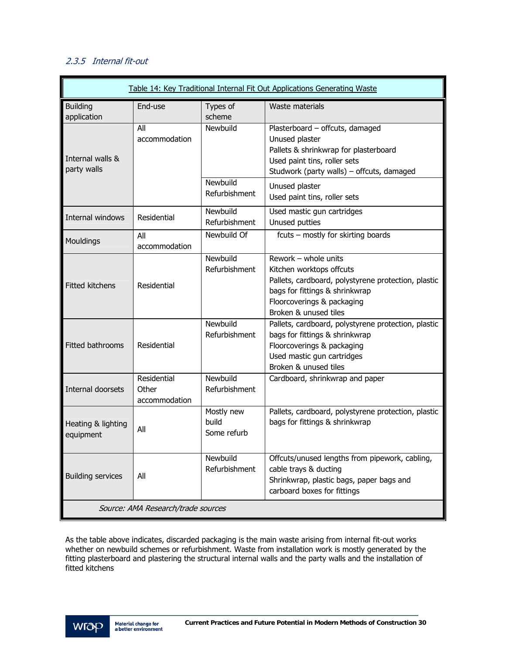### 2.3.5 Internal fit-out

| Table 14: Key Traditional Internal Fit Out Applications Generating Waste |                                       |                                    |                                                                                                                                                                                                  |
|--------------------------------------------------------------------------|---------------------------------------|------------------------------------|--------------------------------------------------------------------------------------------------------------------------------------------------------------------------------------------------|
| <b>Building</b><br>application                                           | End-use                               | Types of<br>scheme                 | Waste materials                                                                                                                                                                                  |
| Internal walls &<br>party walls                                          | All<br>accommodation                  | Newbuild                           | Plasterboard - offcuts, damaged<br>Unused plaster<br>Pallets & shrinkwrap for plasterboard<br>Used paint tins, roller sets<br>Studwork (party walls) - offcuts, damaged                          |
|                                                                          |                                       | Newbuild<br>Refurbishment          | Unused plaster<br>Used paint tins, roller sets                                                                                                                                                   |
| Internal windows                                                         | Residential                           | Newbuild<br>Refurbishment          | Used mastic gun cartridges<br>Unused putties                                                                                                                                                     |
| Mouldings                                                                | All<br>accommodation                  | Newbuild Of                        | fcuts - mostly for skirting boards                                                                                                                                                               |
| <b>Fitted kitchens</b>                                                   | Residential                           | Newbuild<br>Refurbishment          | Rework - whole units<br>Kitchen worktops offcuts<br>Pallets, cardboard, polystyrene protection, plastic<br>bags for fittings & shrinkwrap<br>Floorcoverings & packaging<br>Broken & unused tiles |
| Fitted bathrooms                                                         | Residential                           | Newbuild<br>Refurbishment          | Pallets, cardboard, polystyrene protection, plastic<br>bags for fittings & shrinkwrap<br>Floorcoverings & packaging<br>Used mastic gun cartridges<br>Broken & unused tiles                       |
| Internal doorsets                                                        | Residential<br>Other<br>accommodation | Newbuild<br>Refurbishment          | Cardboard, shrinkwrap and paper                                                                                                                                                                  |
| Heating & lighting<br>equipment                                          | All                                   | Mostly new<br>build<br>Some refurb | Pallets, cardboard, polystyrene protection, plastic<br>bags for fittings & shrinkwrap                                                                                                            |
| <b>Building services</b>                                                 | All                                   | Newbuild<br>Refurbishment          | Offcuts/unused lengths from pipework, cabling,<br>cable trays & ducting<br>Shrinkwrap, plastic bags, paper bags and<br>carboard boxes for fittings                                               |
| Source: AMA Research/trade sources                                       |                                       |                                    |                                                                                                                                                                                                  |

As the table above indicates, discarded packaging is the main waste arising from internal fit-out works whether on newbuild schemes or refurbishment. Waste from installation work is mostly generated by the fitting plasterboard and plastering the structural internal walls and the party walls and the installation of fitted kitchens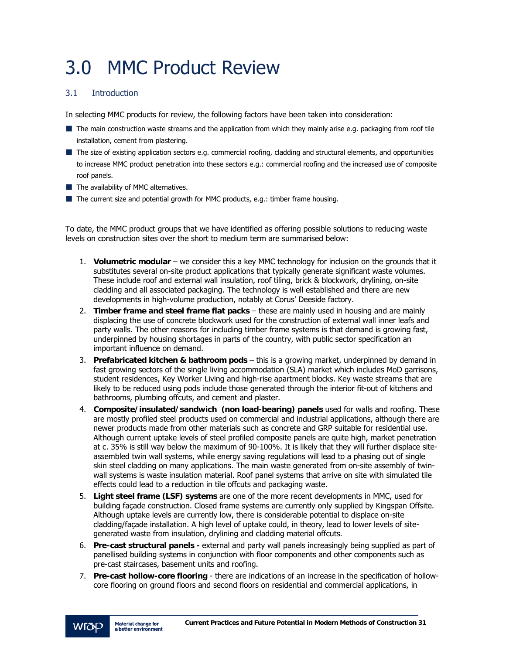# 3.0 MMC Product Review

#### 3.1 Introduction

In selecting MMC products for review, the following factors have been taken into consideration:

- The main construction waste streams and the application from which they mainly arise e.g. packaging from roof tile installation, cement from plastering.
- The size of existing application sectors e.g. commercial roofing, cladding and structural elements, and opportunities to increase MMC product penetration into these sectors e.g.: commercial roofing and the increased use of composite roof panels.
- $\blacksquare$  The availability of MMC alternatives.
- $\blacksquare$  The current size and potential growth for MMC products, e.g.: timber frame housing.

To date, the MMC product groups that we have identified as offering possible solutions to reducing waste levels on construction sites over the short to medium term are summarised below:

- 1. **Volumetric modular** we consider this a key MMC technology for inclusion on the grounds that it substitutes several on-site product applications that typically generate significant waste volumes. These include roof and external wall insulation, roof tiling, brick & blockwork, drylining, on-site cladding and all associated packaging. The technology is well established and there are new developments in high-volume production, notably at Corus' Deeside factory.
- 2. **Timber frame and steel frame flat packs** these are mainly used in housing and are mainly displacing the use of concrete blockwork used for the construction of external wall inner leafs and party walls. The other reasons for including timber frame systems is that demand is growing fast, underpinned by housing shortages in parts of the country, with public sector specification an important influence on demand.
- 3. **Prefabricated kitchen & bathroom pods** this is a growing market, underpinned by demand in fast growing sectors of the single living accommodation (SLA) market which includes MoD garrisons, student residences, Key Worker Living and high-rise apartment blocks. Key waste streams that are likely to be reduced using pods include those generated through the interior fit-out of kitchens and bathrooms, plumbing offcuts, and cement and plaster.
- 4. **Composite/insulated/sandwich (non load-bearing) panels** used for walls and roofing. These are mostly profiled steel products used on commercial and industrial applications, although there are newer products made from other materials such as concrete and GRP suitable for residential use. Although current uptake levels of steel profiled composite panels are quite high, market penetration at c. 35% is still way below the maximum of 90-100%. It is likely that they will further displace siteassembled twin wall systems, while energy saving regulations will lead to a phasing out of single skin steel cladding on many applications. The main waste generated from on-site assembly of twinwall systems is waste insulation material. Roof panel systems that arrive on site with simulated tile effects could lead to a reduction in tile offcuts and packaging waste.
- 5. **Light steel frame (LSF) systems** are one of the more recent developments in MMC, used for building façade construction. Closed frame systems are currently only supplied by Kingspan Offsite. Although uptake levels are currently low, there is considerable potential to displace on-site cladding/façade installation. A high level of uptake could, in theory, lead to lower levels of sitegenerated waste from insulation, drylining and cladding material offcuts.
- 6. **Pre-cast structural panels** external and party wall panels increasingly being supplied as part of panellised building systems in conjunction with floor components and other components such as pre-cast staircases, basement units and roofing.
- 7. **Pre-cast hollow-core flooring** there are indications of an increase in the specification of hollowcore flooring on ground floors and second floors on residential and commercial applications, in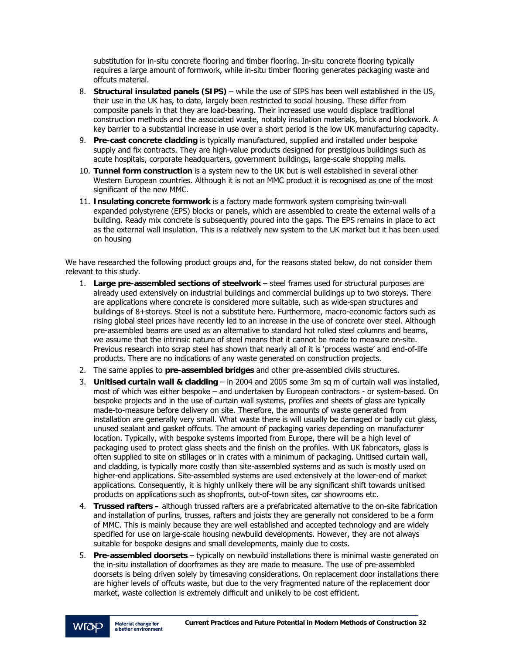substitution for in-situ concrete flooring and timber flooring. In-situ concrete flooring typically requires a large amount of formwork, while in-situ timber flooring generates packaging waste and offcuts material.

- 8. **Structural insulated panels (SIPS)** while the use of SIPS has been well established in the US, their use in the UK has, to date, largely been restricted to social housing. These differ from composite panels in that they are load-bearing. Their increased use would displace traditional construction methods and the associated waste, notably insulation materials, brick and blockwork. A key barrier to a substantial increase in use over a short period is the low UK manufacturing capacity.
- 9. **Pre-cast concrete cladding** is typically manufactured, supplied and installed under bespoke supply and fix contracts. They are high-value products designed for prestigious buildings such as acute hospitals, corporate headquarters, government buildings, large-scale shopping malls.
- 10. **Tunnel form construction** is a system new to the UK but is well established in several other Western European countries. Although it is not an MMC product it is recognised as one of the most significant of the new MMC.
- 11. **Insulating concrete formwork** is a factory made formwork system comprising twin-wall expanded polystyrene (EPS) blocks or panels, which are assembled to create the external walls of a building. Ready mix concrete is subsequently poured into the gaps. The EPS remains in place to act as the external wall insulation. This is a relatively new system to the UK market but it has been used on housing

We have researched the following product groups and, for the reasons stated below, do not consider them relevant to this study.

- 1. **Large pre-assembled sections of steelwork** steel frames used for structural purposes are already used extensively on industrial buildings and commercial buildings up to two storeys. There are applications where concrete is considered more suitable, such as wide-span structures and buildings of 8+storeys. Steel is not a substitute here. Furthermore, macro-economic factors such as rising global steel prices have recently led to an increase in the use of concrete over steel. Although pre-assembled beams are used as an alternative to standard hot rolled steel columns and beams, we assume that the intrinsic nature of steel means that it cannot be made to measure on-site. Previous research into scrap steel has shown that nearly all of it is 'process waste' and end-of-life products. There are no indications of any waste generated on construction projects.
- 2. The same applies to **pre-assembled bridges** and other pre-assembled civils structures.
- 3. **Unitised curtain wall & cladding** in 2004 and 2005 some 3m sq m of curtain wall was installed, most of which was either bespoke – and undertaken by European contractors - or system-based. On bespoke projects and in the use of curtain wall systems, profiles and sheets of glass are typically made-to-measure before delivery on site. Therefore, the amounts of waste generated from installation are generally very small. What waste there is will usually be damaged or badly cut glass, unused sealant and gasket offcuts. The amount of packaging varies depending on manufacturer location. Typically, with bespoke systems imported from Europe, there will be a high level of packaging used to protect glass sheets and the finish on the profiles. With UK fabricators, glass is often supplied to site on stillages or in crates with a minimum of packaging. Unitised curtain wall, and cladding, is typically more costly than site-assembled systems and as such is mostly used on higher-end applications. Site-assembled systems are used extensively at the lower-end of market applications. Consequently, it is highly unlikely there will be any significant shift towards unitised products on applications such as shopfronts, out-of-town sites, car showrooms etc.
- 4. **Trussed rafters** although trussed rafters are a prefabricated alternative to the on-site fabrication and installation of purlins, trusses, rafters and joists they are generally not considered to be a form of MMC. This is mainly because they are well established and accepted technology and are widely specified for use on large-scale housing newbuild developments. However, they are not always suitable for bespoke designs and small developments, mainly due to costs.
- 5. **Pre-assembled doorsets** typically on newbuild installations there is minimal waste generated on the in-situ installation of doorframes as they are made to measure. The use of pre-assembled doorsets is being driven solely by timesaving considerations. On replacement door installations there are higher levels of offcuts waste, but due to the very fragmented nature of the replacement door market, waste collection is extremely difficult and unlikely to be cost efficient.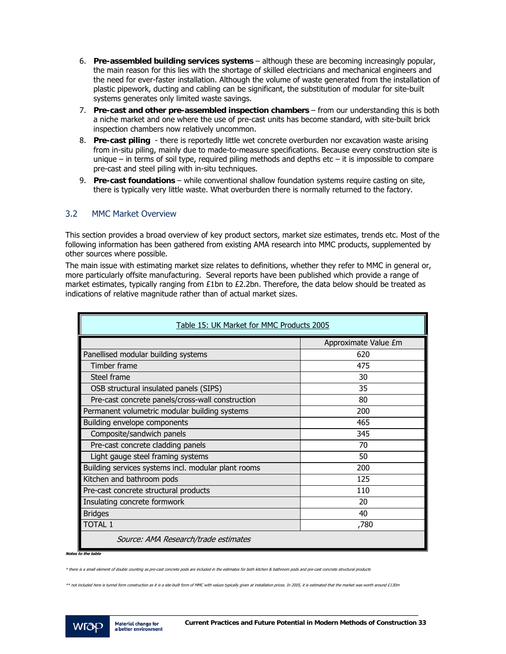- 6. **Pre-assembled building services systems** although these are becoming increasingly popular, the main reason for this lies with the shortage of skilled electricians and mechanical engineers and the need for ever-faster installation. Although the volume of waste generated from the installation of plastic pipework, ducting and cabling can be significant, the substitution of modular for site-built systems generates only limited waste savings.
- 7. **Pre-cast and other pre-assembled inspection chambers** from our understanding this is both a niche market and one where the use of pre-cast units has become standard, with site-built brick inspection chambers now relatively uncommon.
- 8. **Pre-cast piling** there is reportedly little wet concrete overburden nor excavation waste arising from in-situ piling, mainly due to made-to-measure specifications. Because every construction site is unique  $-$  in terms of soil type, required piling methods and depths etc  $-$  it is impossible to compare pre-cast and steel piling with in-situ techniques.
- 9. **Pre-cast foundations** while conventional shallow foundation systems require casting on site, there is typically very little waste. What overburden there is normally returned to the factory.

#### 3.2 MMC Market Overview

This section provides a broad overview of key product sectors, market size estimates, trends etc. Most of the following information has been gathered from existing AMA research into MMC products, supplemented by other sources where possible.

The main issue with estimating market size relates to definitions, whether they refer to MMC in general or, more particularly offsite manufacturing. Several reports have been published which provide a range of market estimates, typically ranging from £1bn to £2.2bn. Therefore, the data below should be treated as indications of relative magnitude rather than of actual market sizes.

| Table 15: UK Market for MMC Products 2005           |                      |  |  |
|-----------------------------------------------------|----------------------|--|--|
|                                                     | Approximate Value £m |  |  |
| Panellised modular building systems                 | 620                  |  |  |
| Timber frame                                        | 475                  |  |  |
| Steel frame                                         | 30                   |  |  |
| OSB structural insulated panels (SIPS)              | 35                   |  |  |
| Pre-cast concrete panels/cross-wall construction    | 80                   |  |  |
| Permanent volumetric modular building systems       | 200                  |  |  |
| Building envelope components                        | 465                  |  |  |
| Composite/sandwich panels                           | 345                  |  |  |
| Pre-cast concrete cladding panels                   | 70                   |  |  |
| Light gauge steel framing systems                   | 50                   |  |  |
| Building services systems incl. modular plant rooms | 200                  |  |  |
| Kitchen and bathroom pods                           | 125                  |  |  |
| Pre-cast concrete structural products               | 110                  |  |  |
| Insulating concrete formwork                        | 20                   |  |  |
| <b>Bridges</b>                                      | 40                   |  |  |
| <b>TOTAL 1</b>                                      | ,780                 |  |  |
| Source: AMA Research/trade estimates                |                      |  |  |

**Notes to the table** 

\*\* not included here is tunnel form construction as it is a site-built form of MMC with values typically given at installation prices. In 2005, it is estimated that the market was worth around £130m



<sup>\*</sup> there is a small element of double counting as pre-cast concrete pods are included in the estimates for both kitchen & bathroom pods and pre-cast concrete structural products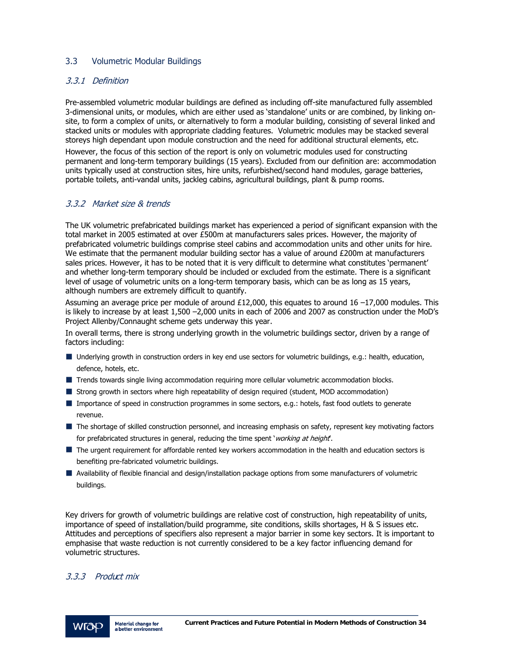#### 3.3 Volumetric Modular Buildings

#### 3.3.1 Definition

Pre-assembled volumetric modular buildings are defined as including off-site manufactured fully assembled 3-dimensional units, or modules, which are either used as 'standalone' units or are combined, by linking onsite, to form a complex of units, or alternatively to form a modular building, consisting of several linked and stacked units or modules with appropriate cladding features. Volumetric modules may be stacked several storeys high dependant upon module construction and the need for additional structural elements, etc.

However, the focus of this section of the report is only on volumetric modules used for constructing permanent and long-term temporary buildings (15 years). Excluded from our definition are: accommodation units typically used at construction sites, hire units, refurbished/second hand modules, garage batteries, portable toilets, anti-vandal units, jackleg cabins, agricultural buildings, plant & pump rooms.

#### 3.3.2 Market size & trends

The UK volumetric prefabricated buildings market has experienced a period of significant expansion with the total market in 2005 estimated at over £500m at manufacturers sales prices. However, the majority of prefabricated volumetric buildings comprise steel cabins and accommodation units and other units for hire. We estimate that the permanent modular building sector has a value of around £200m at manufacturers sales prices. However, it has to be noted that it is very difficult to determine what constitutes 'permanent' and whether long-term temporary should be included or excluded from the estimate. There is a significant level of usage of volumetric units on a long-term temporary basis, which can be as long as 15 years, although numbers are extremely difficult to quantify.

Assuming an average price per module of around £12,000, this equates to around 16 –17,000 modules. This is likely to increase by at least 1,500 –2,000 units in each of 2006 and 2007 as construction under the MoD's Project Allenby/Connaught scheme gets underway this year.

In overall terms, there is strong underlying growth in the volumetric buildings sector, driven by a range of factors including:

- Underlying growth in construction orders in key end use sectors for volumetric buildings, e.g.: health, education, defence, hotels, etc.
- **T** Trends towards single living accommodation requiring more cellular volumetric accommodation blocks.
- **Strong growth in sectors where high repeatability of design required (student, MOD accommodation)**
- Importance of speed in construction programmes in some sectors, e.g.: hotels, fast food outlets to generate revenue.
- The shortage of skilled construction personnel, and increasing emphasis on safety, represent key motivating factors for prefabricated structures in general, reducing the time spent 'working at height'.
- The urgent requirement for affordable rented key workers accommodation in the health and education sectors is benefiting pre-fabricated volumetric buildings.
- Availability of flexible financial and design/installation package options from some manufacturers of volumetric buildings.

Key drivers for growth of volumetric buildings are relative cost of construction, high repeatability of units, importance of speed of installation/build programme, site conditions, skills shortages, H & S issues etc. Attitudes and perceptions of specifiers also represent a major barrier in some key sectors. It is important to emphasise that waste reduction is not currently considered to be a key factor influencing demand for volumetric structures.

#### 3.3.3 Product mix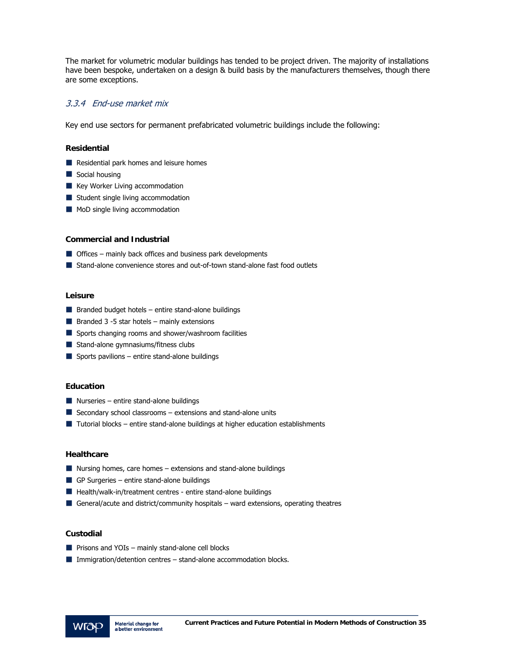The market for volumetric modular buildings has tended to be project driven. The majority of installations have been bespoke, undertaken on a design & build basis by the manufacturers themselves, though there are some exceptions.

#### 3.3.4 End-use market mix

Key end use sectors for permanent prefabricated volumetric buildings include the following:

#### **Residential**

- Residential park homes and leisure homes
- Social housing
- Key Worker Living accommodation
- Student single living accommodation
- MoD single living accommodation

#### **Commercial and Industrial**

- **Offices** mainly back offices and business park developments
- Stand-alone convenience stores and out-of-town stand-alone fast food outlets

#### **Leisure**

- $\blacksquare$  Branded budget hotels entire stand-alone buildings
- $\blacksquare$  Branded 3 -5 star hotels mainly extensions
- Sports changing rooms and shower/washroom facilities
- Stand-alone gymnasiums/fitness clubs
- $\blacksquare$  Sports pavilions entire stand-alone buildings

#### **Education**

- $\blacksquare$  Nurseries entire stand-alone buildings
- $\blacksquare$  Secondary school classrooms extensions and stand-alone units
- $\blacksquare$  Tutorial blocks entire stand-alone buildings at higher education establishments

#### **Healthcare**

- Nursing homes, care homes  $-$  extensions and stand-alone buildings
- GP Surgeries entire stand-alone buildings
- $\blacksquare$  Health/walk-in/treatment centres entire stand-alone buildings
- General/acute and district/community hospitals ward extensions, operating theatres

#### **Custodial**

- $\blacksquare$  Prisons and YOIs mainly stand-alone cell blocks
- $\blacksquare$  Immigration/detention centres stand-alone accommodation blocks.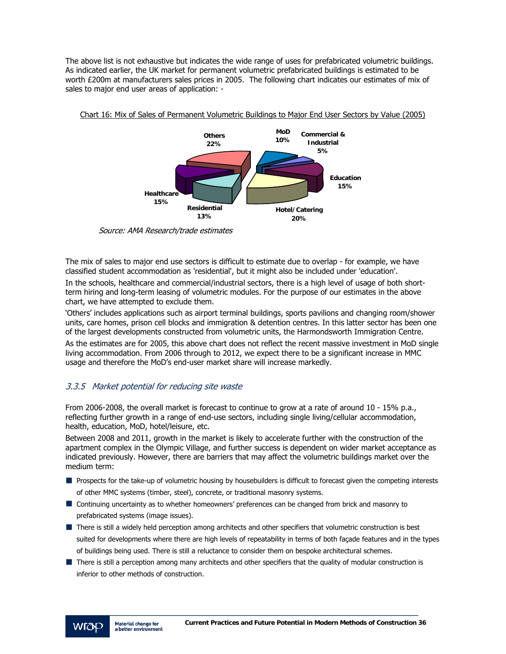The above list is not exhaustive but indicates the wide range of uses for prefabricated volumetric buildings. As indicated earlier, the UK market for permanent volumetric prefabricated buildings is estimated to be worth £200m at manufacturers sales prices in 2005. The following chart indicates our estimates of mix of sales to major end user areas of application: -



Chart 16: Mix of Sales of Permanent Volumetric Buildings to Major End User Sectors by Value (2005)

Source: AMA Research/trade estimates

The mix of sales to major end use sectors is difficult to estimate due to overlap - for example, we have classified student accommodation as 'residential', but it might also be included under 'education'.

In the schools, healthcare and commercial/industrial sectors, there is a high level of usage of both shortterm hiring and long-term leasing of volumetric modules. For the purpose of our estimates in the above chart, we have attempted to exclude them.

'Others' includes applications such as airport terminal buildings, sports pavilions and changing room/shower units, care homes, prison cell blocks and immigration & detention centres. In this latter sector has been one of the largest developments constructed from volumetric units, the Harmondsworth Immigration Centre.

As the estimates are for 2005, this above chart does not reflect the recent massive investment in MoD single living accommodation. From 2006 through to 2012, we expect there to be a significant increase in MMC usage and therefore the MoD's end-user market share will increase markedly.

### 3.3.5 Market potential for reducing site waste

From 2006-2008, the overall market is forecast to continue to grow at a rate of around 10 - 15% p.a., reflecting further growth in a range of end-use sectors, including single living/cellular accommodation, health, education, MoD, hotel/leisure, etc.

Between 2008 and 2011, growth in the market is likely to accelerate further with the construction of the apartment complex in the Olympic Village, and further success is dependent on wider market acceptance as indicated previously. However, there are barriers that may affect the volumetric buildings market over the medium term:

- **Prospects for the take-up of volumetric housing by housebuilders is difficult to forecast given the competing interests** of other MMC systems (timber, steel), concrete, or traditional masonry systems.
- Continuing uncertainty as to whether homeowners' preferences can be changed from brick and masonry to prefabricated systems (image issues).
- There is still a widely held perception among architects and other specifiers that volumetric construction is best suited for developments where there are high levels of repeatability in terms of both façade features and in the types of buildings being used. There is still a reluctance to consider them on bespoke architectural schemes.
- There is still a perception among many architects and other specifiers that the quality of modular construction is inferior to other methods of construction.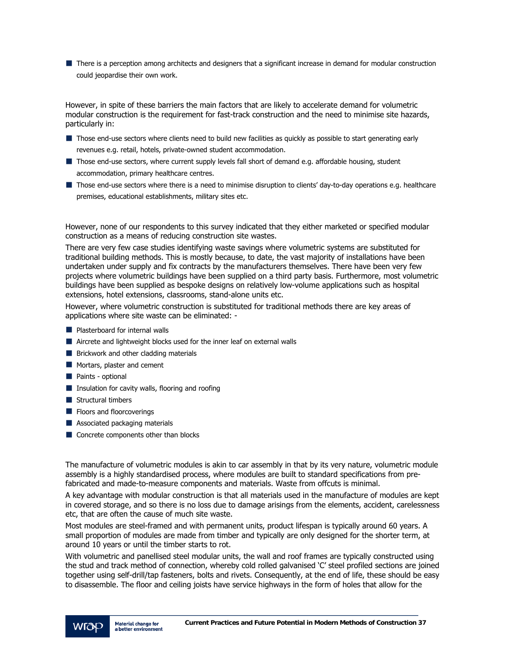**There is a perception among architects and designers that a significant increase in demand for modular construction** could jeopardise their own work.

However, in spite of these barriers the main factors that are likely to accelerate demand for volumetric modular construction is the requirement for fast-track construction and the need to minimise site hazards, particularly in:

- Those end-use sectors where clients need to build new facilities as quickly as possible to start generating early revenues e.g. retail, hotels, private-owned student accommodation.
- Those end-use sectors, where current supply levels fall short of demand e.g. affordable housing, student accommodation, primary healthcare centres.
- Those end-use sectors where there is a need to minimise disruption to clients' day-to-day operations e.g. healthcare premises, educational establishments, military sites etc.

However, none of our respondents to this survey indicated that they either marketed or specified modular construction as a means of reducing construction site wastes.

There are very few case studies identifying waste savings where volumetric systems are substituted for traditional building methods. This is mostly because, to date, the vast majority of installations have been undertaken under supply and fix contracts by the manufacturers themselves. There have been very few projects where volumetric buildings have been supplied on a third party basis. Furthermore, most volumetric buildings have been supplied as bespoke designs on relatively low-volume applications such as hospital extensions, hotel extensions, classrooms, stand-alone units etc.

However, where volumetric construction is substituted for traditional methods there are key areas of applications where site waste can be eliminated: -

- **Plasterboard for internal walls**
- **E** Aircrete and lightweight blocks used for the inner leaf on external walls
- **Brickwork and other cladding materials**
- Mortars, plaster and cement
- Paints optional
- $\blacksquare$  Insulation for cavity walls, flooring and roofing
- $\blacksquare$  Structural timbers
- **Floors and floorcoverings**
- **Associated packaging materials**
- Concrete components other than blocks

The manufacture of volumetric modules is akin to car assembly in that by its very nature, volumetric module assembly is a highly standardised process, where modules are built to standard specifications from prefabricated and made-to-measure components and materials. Waste from offcuts is minimal.

A key advantage with modular construction is that all materials used in the manufacture of modules are kept in covered storage, and so there is no loss due to damage arisings from the elements, accident, carelessness etc, that are often the cause of much site waste.

Most modules are steel-framed and with permanent units, product lifespan is typically around 60 years. A small proportion of modules are made from timber and typically are only designed for the shorter term, at around 10 years or until the timber starts to rot.

With volumetric and panellised steel modular units, the wall and roof frames are typically constructed using the stud and track method of connection, whereby cold rolled galvanised 'C' steel profiled sections are joined together using self-drill/tap fasteners, bolts and rivets. Consequently, at the end of life, these should be easy to disassemble. The floor and ceiling joists have service highways in the form of holes that allow for the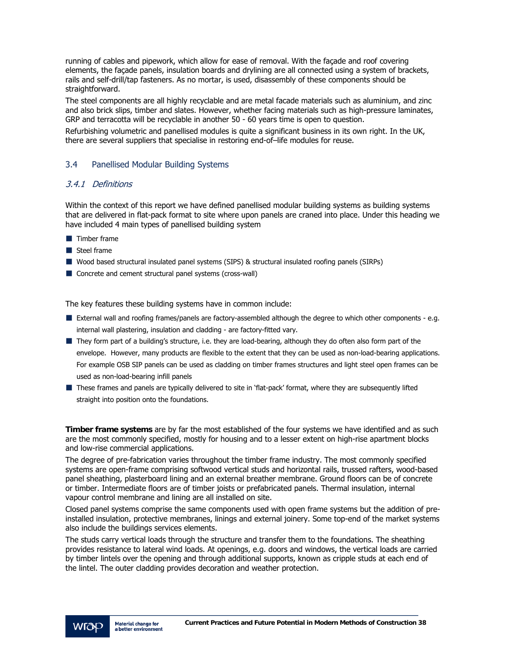running of cables and pipework, which allow for ease of removal. With the façade and roof covering elements, the façade panels, insulation boards and drylining are all connected using a system of brackets, rails and self-drill/tap fasteners. As no mortar, is used, disassembly of these components should be straightforward.

The steel components are all highly recyclable and are metal facade materials such as aluminium, and zinc and also brick slips, timber and slates. However, whether facing materials such as high-pressure laminates, GRP and terracotta will be recyclable in another 50 - 60 years time is open to question.

Refurbishing volumetric and panellised modules is quite a significant business in its own right. In the UK, there are several suppliers that specialise in restoring end-of–life modules for reuse.

### 3.4 Panellised Modular Building Systems

### 3.4.1 Definitions

Within the context of this report we have defined panellised modular building systems as building systems that are delivered in flat-pack format to site where upon panels are craned into place. Under this heading we have included 4 main types of panellised building system

- **Timber frame**
- Steel frame
- Wood based structural insulated panel systems (SIPS) & structural insulated roofing panels (SIRPs)
- Concrete and cement structural panel systems (cross-wall)

The key features these building systems have in common include:

- External wall and roofing frames/panels are factory-assembled although the degree to which other components e.g. internal wall plastering, insulation and cladding - are factory-fitted vary.
- They form part of a building's structure, i.e. they are load-bearing, although they do often also form part of the envelope. However, many products are flexible to the extent that they can be used as non-load-bearing applications. For example OSB SIP panels can be used as cladding on timber frames structures and light steel open frames can be used as non-load-bearing infill panels
- These frames and panels are typically delivered to site in 'flat-pack' format, where they are subsequently lifted straight into position onto the foundations.

**Timber frame systems** are by far the most established of the four systems we have identified and as such are the most commonly specified, mostly for housing and to a lesser extent on high-rise apartment blocks and low-rise commercial applications.

The degree of pre-fabrication varies throughout the timber frame industry. The most commonly specified systems are open-frame comprising softwood vertical studs and horizontal rails, trussed rafters, wood-based panel sheathing, plasterboard lining and an external breather membrane. Ground floors can be of concrete or timber. Intermediate floors are of timber joists or prefabricated panels. Thermal insulation, internal vapour control membrane and lining are all installed on site.

Closed panel systems comprise the same components used with open frame systems but the addition of preinstalled insulation, protective membranes, linings and external joinery. Some top-end of the market systems also include the buildings services elements.

The studs carry vertical loads through the structure and transfer them to the foundations. The sheathing provides resistance to lateral wind loads. At openings, e.g. doors and windows, the vertical loads are carried by timber lintels over the opening and through additional supports, known as cripple studs at each end of the lintel. The outer cladding provides decoration and weather protection.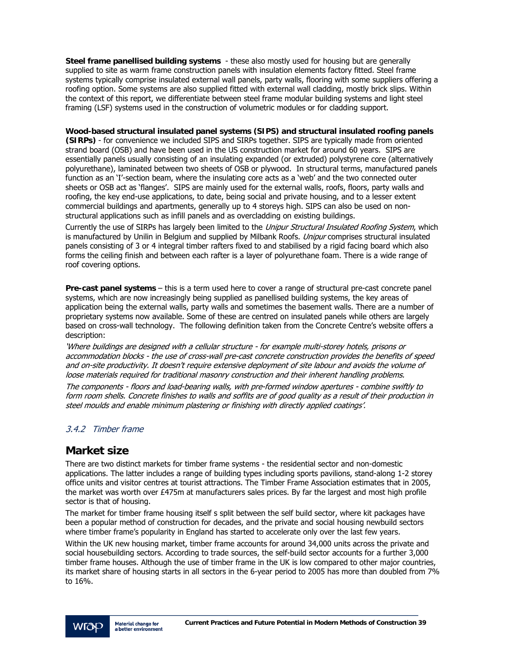**Steel frame panellised building systems** - these also mostly used for housing but are generally supplied to site as warm frame construction panels with insulation elements factory fitted. Steel frame systems typically comprise insulated external wall panels, party walls, flooring with some suppliers offering a roofing option. Some systems are also supplied fitted with external wall cladding, mostly brick slips. Within the context of this report, we differentiate between steel frame modular building systems and light steel framing (LSF) systems used in the construction of volumetric modules or for cladding support.

**Wood-based structural insulated panel systems (SIPS) and structural insulated roofing panels** 

**(SIRPs)** - for convenience we included SIPS and SIRPs together. SIPS are typically made from oriented strand board (OSB) and have been used in the US construction market for around 60 years. SIPS are essentially panels usually consisting of an insulating expanded (or extruded) polystyrene core (alternatively polyurethane), laminated between two sheets of OSB or plywood. In structural terms, manufactured panels function as an 'I'-section beam, where the insulating core acts as a 'web' and the two connected outer sheets or OSB act as 'flanges'. SIPS are mainly used for the external walls, roofs, floors, party walls and roofing, the key end-use applications, to date, being social and private housing, and to a lesser extent commercial buildings and apartments, generally up to 4 storeys high. SIPS can also be used on nonstructural applications such as infill panels and as overcladding on existing buildings.

Currently the use of SIRPs has largely been limited to the Unipur Structural Insulated Roofing System, which is manufactured by Unilin in Belgium and supplied by Milbank Roofs. *Unipur* comprises structural insulated panels consisting of 3 or 4 integral timber rafters fixed to and stabilised by a rigid facing board which also forms the ceiling finish and between each rafter is a layer of polyurethane foam. There is a wide range of roof covering options.

**Pre-cast panel systems** – this is a term used here to cover a range of structural pre-cast concrete panel systems, which are now increasingly being supplied as panellised building systems, the key areas of application being the external walls, party walls and sometimes the basement walls. There are a number of proprietary systems now available. Some of these are centred on insulated panels while others are largely based on cross-wall technology. The following definition taken from the Concrete Centre's website offers a description:

'Where buildings are designed with a cellular structure - for example multi-storey hotels, prisons or accommodation blocks - the use of cross-wall pre-cast concrete construction provides the benefits of speed and on-site productivity. It doesn't require extensive deployment of site labour and avoids the volume of loose materials required for traditional masonry construction and their inherent handling problems.

The components - floors and load-bearing walls, with pre-formed window apertures - combine swiftly to form room shells. Concrete finishes to walls and soffits are of good quality as a result of their production in steel moulds and enable minimum plastering or finishing with directly applied coatings'.

### 3.4.2 Timber frame

# **Market size**

There are two distinct markets for timber frame systems - the residential sector and non-domestic applications. The latter includes a range of building types including sports pavilions, stand-along 1-2 storey office units and visitor centres at tourist attractions. The Timber Frame Association estimates that in 2005, the market was worth over £475m at manufacturers sales prices. By far the largest and most high profile sector is that of housing.

The market for timber frame housing itself s split between the self build sector, where kit packages have been a popular method of construction for decades, and the private and social housing newbuild sectors where timber frame's popularity in England has started to accelerate only over the last few years.

Within the UK new housing market, timber frame accounts for around 34,000 units across the private and social housebuilding sectors. According to trade sources, the self-build sector accounts for a further 3,000 timber frame houses. Although the use of timber frame in the UK is low compared to other major countries, its market share of housing starts in all sectors in the 6-year period to 2005 has more than doubled from 7% to 16%.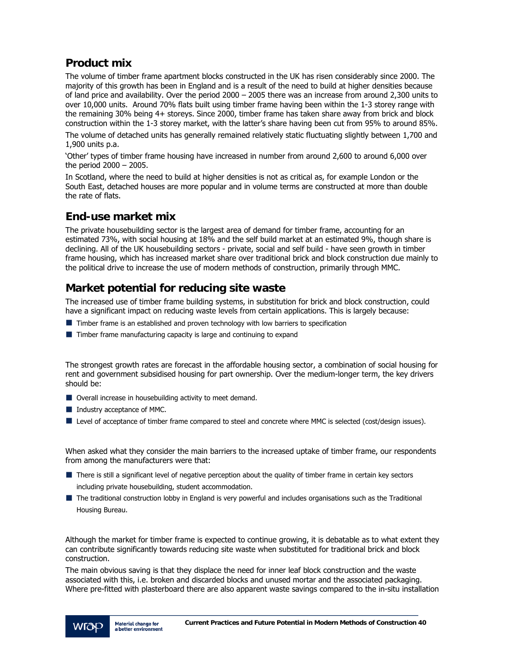# **Product mix**

The volume of timber frame apartment blocks constructed in the UK has risen considerably since 2000. The majority of this growth has been in England and is a result of the need to build at higher densities because of land price and availability. Over the period 2000 – 2005 there was an increase from around 2,300 units to over 10,000 units. Around 70% flats built using timber frame having been within the 1-3 storey range with the remaining 30% being 4+ storeys. Since 2000, timber frame has taken share away from brick and block construction within the 1-3 storey market, with the latter's share having been cut from 95% to around 85%.

The volume of detached units has generally remained relatively static fluctuating slightly between 1,700 and 1,900 units p.a.

'Other' types of timber frame housing have increased in number from around 2,600 to around 6,000 over the period 2000 – 2005.

In Scotland, where the need to build at higher densities is not as critical as, for example London or the South East, detached houses are more popular and in volume terms are constructed at more than double the rate of flats.

# **End-use market mix**

The private housebuilding sector is the largest area of demand for timber frame, accounting for an estimated 73%, with social housing at 18% and the self build market at an estimated 9%, though share is declining. All of the UK housebuilding sectors - private, social and self build - have seen growth in timber frame housing, which has increased market share over traditional brick and block construction due mainly to the political drive to increase the use of modern methods of construction, primarily through MMC.

# **Market potential for reducing site waste**

The increased use of timber frame building systems, in substitution for brick and block construction, could have a significant impact on reducing waste levels from certain applications. This is largely because:

- $\blacksquare$  Timber frame is an established and proven technology with low barriers to specification
- **Timber frame manufacturing capacity is large and continuing to expand**

The strongest growth rates are forecast in the affordable housing sector, a combination of social housing for rent and government subsidised housing for part ownership. Over the medium-longer term, the key drivers should be:

- Overall increase in housebuilding activity to meet demand.
- Industry acceptance of MMC.
- Level of acceptance of timber frame compared to steel and concrete where MMC is selected (cost/design issues).

When asked what they consider the main barriers to the increased uptake of timber frame, our respondents from among the manufacturers were that:

- There is still a significant level of negative perception about the quality of timber frame in certain key sectors including private housebuilding, student accommodation.
- The traditional construction lobby in England is very powerful and includes organisations such as the Traditional Housing Bureau.

Although the market for timber frame is expected to continue growing, it is debatable as to what extent they can contribute significantly towards reducing site waste when substituted for traditional brick and block construction.

The main obvious saving is that they displace the need for inner leaf block construction and the waste associated with this, i.e. broken and discarded blocks and unused mortar and the associated packaging. Where pre-fitted with plasterboard there are also apparent waste savings compared to the in-situ installation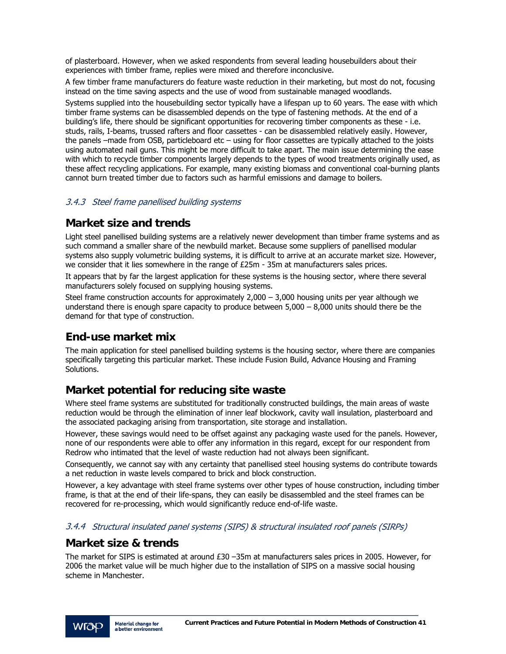of plasterboard. However, when we asked respondents from several leading housebuilders about their experiences with timber frame, replies were mixed and therefore inconclusive.

A few timber frame manufacturers do feature waste reduction in their marketing, but most do not, focusing instead on the time saving aspects and the use of wood from sustainable managed woodlands.

Systems supplied into the housebuilding sector typically have a lifespan up to 60 years. The ease with which timber frame systems can be disassembled depends on the type of fastening methods. At the end of a building's life, there should be significant opportunities for recovering timber components as these - i.e. studs, rails, I-beams, trussed rafters and floor cassettes - can be disassembled relatively easily. However, the panels –made from OSB, particleboard etc – using for floor cassettes are typically attached to the joists using automated nail guns. This might be more difficult to take apart. The main issue determining the ease with which to recycle timber components largely depends to the types of wood treatments originally used, as these affect recycling applications. For example, many existing biomass and conventional coal-burning plants cannot burn treated timber due to factors such as harmful emissions and damage to boilers.

### 3.4.3 Steel frame panellised building systems

### **Market size and trends**

Light steel panellised building systems are a relatively newer development than timber frame systems and as such command a smaller share of the newbuild market. Because some suppliers of panellised modular systems also supply volumetric building systems, it is difficult to arrive at an accurate market size. However, we consider that it lies somewhere in the range of £25m - 35m at manufacturers sales prices.

It appears that by far the largest application for these systems is the housing sector, where there several manufacturers solely focused on supplying housing systems.

Steel frame construction accounts for approximately  $2,000 - 3,000$  housing units per year although we understand there is enough spare capacity to produce between 5,000 – 8,000 units should there be the demand for that type of construction.

# **End-use market mix**

The main application for steel panellised building systems is the housing sector, where there are companies specifically targeting this particular market. These include Fusion Build, Advance Housing and Framing Solutions.

# **Market potential for reducing site waste**

Where steel frame systems are substituted for traditionally constructed buildings, the main areas of waste reduction would be through the elimination of inner leaf blockwork, cavity wall insulation, plasterboard and the associated packaging arising from transportation, site storage and installation.

However, these savings would need to be offset against any packaging waste used for the panels. However, none of our respondents were able to offer any information in this regard, except for our respondent from Redrow who intimated that the level of waste reduction had not always been significant.

Consequently, we cannot say with any certainty that panellised steel housing systems do contribute towards a net reduction in waste levels compared to brick and block construction.

However, a key advantage with steel frame systems over other types of house construction, including timber frame, is that at the end of their life-spans, they can easily be disassembled and the steel frames can be recovered for re-processing, which would significantly reduce end-of-life waste.

### 3.4.4 Structural insulated panel systems (SIPS) & structural insulated roof panels (SIRPs)

### **Market size & trends**

The market for SIPS is estimated at around £30 –35m at manufacturers sales prices in 2005. However, for 2006 the market value will be much higher due to the installation of SIPS on a massive social housing scheme in Manchester.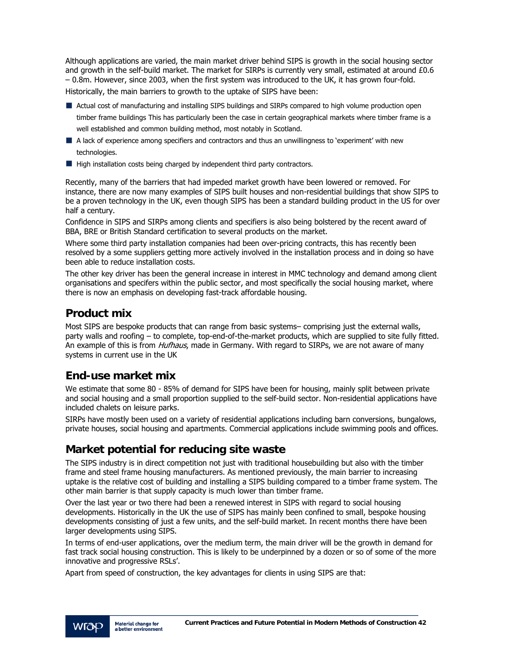Although applications are varied, the main market driver behind SIPS is growth in the social housing sector and growth in the self-build market. The market for SIRPs is currently very small, estimated at around £0.6 – 0.8m. However, since 2003, when the first system was introduced to the UK, it has grown four-fold. Historically, the main barriers to growth to the uptake of SIPS have been:

- Actual cost of manufacturing and installing SIPS buildings and SIRPs compared to high volume production open timber frame buildings This has particularly been the case in certain geographical markets where timber frame is a well established and common building method, most notably in Scotland.
- A lack of experience among specifiers and contractors and thus an unwillingness to 'experiment' with new technologies.
- $\blacksquare$  High installation costs being charged by independent third party contractors.

Recently, many of the barriers that had impeded market growth have been lowered or removed. For instance, there are now many examples of SIPS built houses and non-residential buildings that show SIPS to be a proven technology in the UK, even though SIPS has been a standard building product in the US for over half a century.

Confidence in SIPS and SIRPs among clients and specifiers is also being bolstered by the recent award of BBA, BRE or British Standard certification to several products on the market.

Where some third party installation companies had been over-pricing contracts, this has recently been resolved by a some suppliers getting more actively involved in the installation process and in doing so have been able to reduce installation costs.

The other key driver has been the general increase in interest in MMC technology and demand among client organisations and specifers within the public sector, and most specifically the social housing market, where there is now an emphasis on developing fast-track affordable housing.

# **Product mix**

Most SIPS are bespoke products that can range from basic systems– comprising just the external walls, party walls and roofing – to complete, top-end-of-the-market products, which are supplied to site fully fitted. An example of this is from Hufhaus, made in Germany. With regard to SIRPs, we are not aware of many systems in current use in the UK

# **End-use market mix**

We estimate that some 80 - 85% of demand for SIPS have been for housing, mainly split between private and social housing and a small proportion supplied to the self-build sector. Non-residential applications have included chalets on leisure parks.

SIRPs have mostly been used on a variety of residential applications including barn conversions, bungalows, private houses, social housing and apartments. Commercial applications include swimming pools and offices.

# **Market potential for reducing site waste**

The SIPS industry is in direct competition not just with traditional housebuilding but also with the timber frame and steel frame housing manufacturers. As mentioned previously, the main barrier to increasing uptake is the relative cost of building and installing a SIPS building compared to a timber frame system. The other main barrier is that supply capacity is much lower than timber frame.

Over the last year or two there had been a renewed interest in SIPS with regard to social housing developments. Historically in the UK the use of SIPS has mainly been confined to small, bespoke housing developments consisting of just a few units, and the self-build market. In recent months there have been larger developments using SIPS.

In terms of end-user applications, over the medium term, the main driver will be the growth in demand for fast track social housing construction. This is likely to be underpinned by a dozen or so of some of the more innovative and progressive RSLs'.

Apart from speed of construction, the key advantages for clients in using SIPS are that: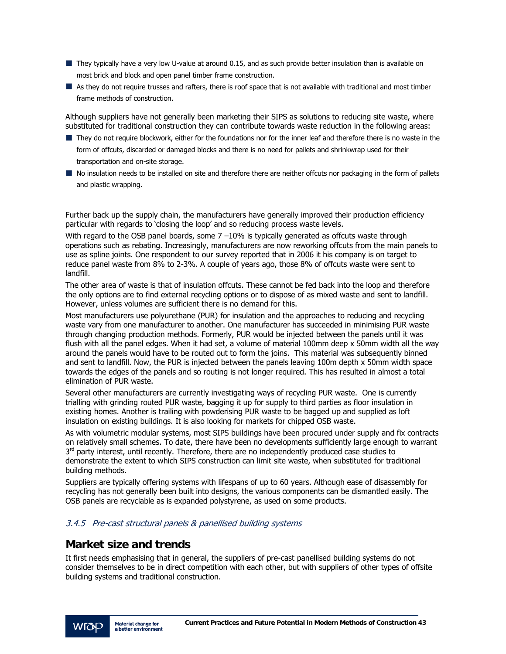- They typically have a very low U-value at around 0.15, and as such provide better insulation than is available on most brick and block and open panel timber frame construction.
- As they do not require trusses and rafters, there is roof space that is not available with traditional and most timber frame methods of construction.

Although suppliers have not generally been marketing their SIPS as solutions to reducing site waste, where substituted for traditional construction they can contribute towards waste reduction in the following areas:

- They do not require blockwork, either for the foundations nor for the inner leaf and therefore there is no waste in the form of offcuts, discarded or damaged blocks and there is no need for pallets and shrinkwrap used for their transportation and on-site storage.
- No insulation needs to be installed on site and therefore there are neither offcuts nor packaging in the form of pallets and plastic wrapping.

Further back up the supply chain, the manufacturers have generally improved their production efficiency particular with regards to 'closing the loop' and so reducing process waste levels.

With regard to the OSB panel boards, some  $7 -10\%$  is typically generated as offcuts waste through operations such as rebating. Increasingly, manufacturers are now reworking offcuts from the main panels to use as spline joints. One respondent to our survey reported that in 2006 it his company is on target to reduce panel waste from 8% to 2-3%. A couple of years ago, those 8% of offcuts waste were sent to landfill.

The other area of waste is that of insulation offcuts. These cannot be fed back into the loop and therefore the only options are to find external recycling options or to dispose of as mixed waste and sent to landfill. However, unless volumes are sufficient there is no demand for this.

Most manufacturers use polyurethane (PUR) for insulation and the approaches to reducing and recycling waste vary from one manufacturer to another. One manufacturer has succeeded in minimising PUR waste through changing production methods. Formerly, PUR would be injected between the panels until it was flush with all the panel edges. When it had set, a volume of material 100mm deep x 50mm width all the way around the panels would have to be routed out to form the joins. This material was subsequently binned and sent to landfill. Now, the PUR is injected between the panels leaving 100m depth x 50mm width space towards the edges of the panels and so routing is not longer required. This has resulted in almost a total elimination of PUR waste.

Several other manufacturers are currently investigating ways of recycling PUR waste. One is currently trialling with grinding routed PUR waste, bagging it up for supply to third parties as floor insulation in existing homes. Another is trailing with powderising PUR waste to be bagged up and supplied as loft insulation on existing buildings. It is also looking for markets for chipped OSB waste.

As with volumetric modular systems, most SIPS buildings have been procured under supply and fix contracts on relatively small schemes. To date, there have been no developments sufficiently large enough to warrant  $3<sup>rd</sup>$  party interest, until recently. Therefore, there are no independently produced case studies to demonstrate the extent to which SIPS construction can limit site waste, when substituted for traditional building methods.

Suppliers are typically offering systems with lifespans of up to 60 years. Although ease of disassembly for recycling has not generally been built into designs, the various components can be dismantled easily. The OSB panels are recyclable as is expanded polystyrene, as used on some products.

### 3.4.5 Pre-cast structural panels & panellised building systems

### **Market size and trends**

It first needs emphasising that in general, the suppliers of pre-cast panellised building systems do not consider themselves to be in direct competition with each other, but with suppliers of other types of offsite building systems and traditional construction.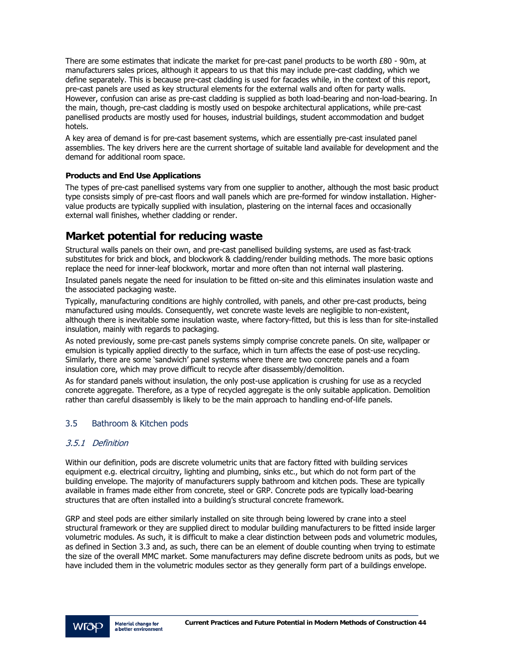There are some estimates that indicate the market for pre-cast panel products to be worth £80 - 90m, at manufacturers sales prices, although it appears to us that this may include pre-cast cladding, which we define separately. This is because pre-cast cladding is used for facades while, in the context of this report, pre-cast panels are used as key structural elements for the external walls and often for party walls. However, confusion can arise as pre-cast cladding is supplied as both load-bearing and non-load-bearing. In the main, though, pre-cast cladding is mostly used on bespoke architectural applications, while pre-cast panellised products are mostly used for houses, industrial buildings, student accommodation and budget hotels.

A key area of demand is for pre-cast basement systems, which are essentially pre-cast insulated panel assemblies. The key drivers here are the current shortage of suitable land available for development and the demand for additional room space.

#### **Products and End Use Applications**

The types of pre-cast panellised systems vary from one supplier to another, although the most basic product type consists simply of pre-cast floors and wall panels which are pre-formed for window installation. Highervalue products are typically supplied with insulation, plastering on the internal faces and occasionally external wall finishes, whether cladding or render.

# **Market potential for reducing waste**

Structural walls panels on their own, and pre-cast panellised building systems, are used as fast-track substitutes for brick and block, and blockwork & cladding/render building methods. The more basic options replace the need for inner-leaf blockwork, mortar and more often than not internal wall plastering.

Insulated panels negate the need for insulation to be fitted on-site and this eliminates insulation waste and the associated packaging waste.

Typically, manufacturing conditions are highly controlled, with panels, and other pre-cast products, being manufactured using moulds. Consequently, wet concrete waste levels are negligible to non-existent, although there is inevitable some insulation waste, where factory-fitted, but this is less than for site-installed insulation, mainly with regards to packaging.

As noted previously, some pre-cast panels systems simply comprise concrete panels. On site, wallpaper or emulsion is typically applied directly to the surface, which in turn affects the ease of post-use recycling. Similarly, there are some 'sandwich' panel systems where there are two concrete panels and a foam insulation core, which may prove difficult to recycle after disassembly/demolition.

As for standard panels without insulation, the only post-use application is crushing for use as a recycled concrete aggregate. Therefore, as a type of recycled aggregate is the only suitable application. Demolition rather than careful disassembly is likely to be the main approach to handling end-of-life panels.

### 3.5 Bathroom & Kitchen pods

### 3.5.1 Definition

Within our definition, pods are discrete volumetric units that are factory fitted with building services equipment e.g. electrical circuitry, lighting and plumbing, sinks etc., but which do not form part of the building envelope. The majority of manufacturers supply bathroom and kitchen pods. These are typically available in frames made either from concrete, steel or GRP. Concrete pods are typically load-bearing structures that are often installed into a building's structural concrete framework.

GRP and steel pods are either similarly installed on site through being lowered by crane into a steel structural framework or they are supplied direct to modular building manufacturers to be fitted inside larger volumetric modules. As such, it is difficult to make a clear distinction between pods and volumetric modules, as defined in Section 3.3 and, as such, there can be an element of double counting when trying to estimate the size of the overall MMC market. Some manufacturers may define discrete bedroom units as pods, but we have included them in the volumetric modules sector as they generally form part of a buildings envelope.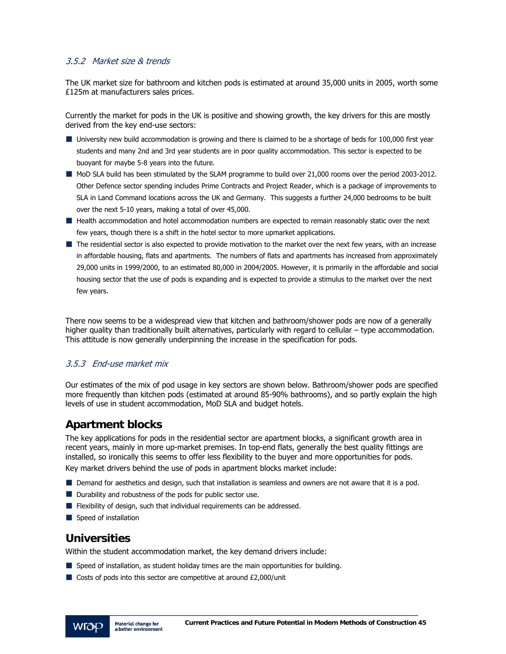### 3.5.2 Market size & trends

The UK market size for bathroom and kitchen pods is estimated at around 35,000 units in 2005, worth some £125m at manufacturers sales prices.

Currently the market for pods in the UK is positive and showing growth, the key drivers for this are mostly derived from the key end-use sectors:

- University new build accommodation is growing and there is claimed to be a shortage of beds for 100,000 first year students and many 2nd and 3rd year students are in poor quality accommodation. This sector is expected to be buoyant for maybe 5-8 years into the future.
- MoD SLA build has been stimulated by the SLAM programme to build over 21,000 rooms over the period 2003-2012. Other Defence sector spending includes Prime Contracts and Project Reader, which is a package of improvements to SLA in Land Command locations across the UK and Germany. This suggests a further 24,000 bedrooms to be built over the next 5-10 years, making a total of over 45,000.
- **Health accommodation and hotel accommodation numbers are expected to remain reasonably static over the next** few years, though there is a shift in the hotel sector to more upmarket applications.
- The residential sector is also expected to provide motivation to the market over the next few years, with an increase in affordable housing, flats and apartments. The numbers of flats and apartments has increased from approximately 29,000 units in 1999/2000, to an estimated 80,000 in 2004/2005. However, it is primarily in the affordable and social housing sector that the use of pods is expanding and is expected to provide a stimulus to the market over the next few years.

There now seems to be a widespread view that kitchen and bathroom/shower pods are now of a generally higher quality than traditionally built alternatives, particularly with regard to cellular – type accommodation. This attitude is now generally underpinning the increase in the specification for pods.

### 3.5.3 End-use market mix

Our estimates of the mix of pod usage in key sectors are shown below. Bathroom/shower pods are specified more frequently than kitchen pods (estimated at around 85-90% bathrooms), and so partly explain the high levels of use in student accommodation, MoD SLA and budget hotels.

# **Apartment blocks**

The key applications for pods in the residential sector are apartment blocks, a significant growth area in recent years, mainly in more up-market premises. In top-end flats, generally the best quality fittings are installed, so ironically this seems to offer less flexibility to the buyer and more opportunities for pods.

Key market drivers behind the use of pods in apartment blocks market include:

- Demand for aesthetics and design, such that installation is seamless and owners are not aware that it is a pod.
- **Durability and robustness of the pods for public sector use.**
- **Filexibility of design, such that individual requirements can be addressed.**
- Speed of installation

# **Universities**

Within the student accommodation market, the key demand drivers include:

- **Speed of installation, as student holiday times are the main opportunities for building.**
- $\blacksquare$  Costs of pods into this sector are competitive at around £2,000/unit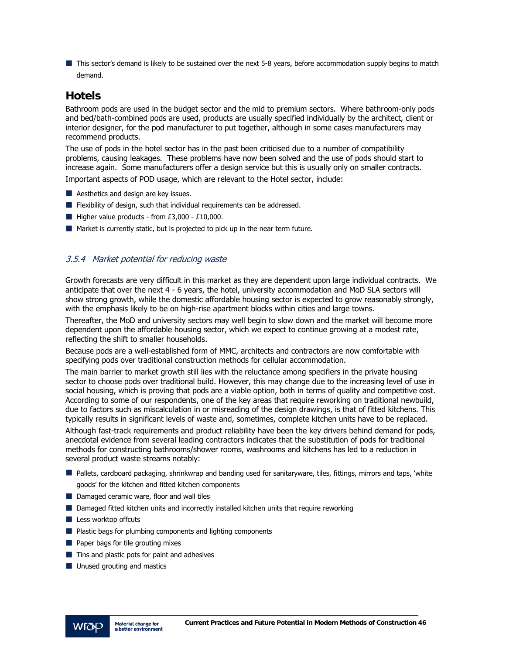This sector's demand is likely to be sustained over the next 5-8 years, before accommodation supply begins to match demand.

### **Hotels**

Bathroom pods are used in the budget sector and the mid to premium sectors. Where bathroom-only pods and bed/bath-combined pods are used, products are usually specified individually by the architect, client or interior designer, for the pod manufacturer to put together, although in some cases manufacturers may recommend products.

The use of pods in the hotel sector has in the past been criticised due to a number of compatibility problems, causing leakages. These problems have now been solved and the use of pods should start to increase again. Some manufacturers offer a design service but this is usually only on smaller contracts. Important aspects of POD usage, which are relevant to the Hotel sector, include:

- **Aesthetics and design are key issues.**
- **Flexibility of design, such that individual requirements can be addressed.**
- $\blacksquare$  Higher value products from £3,000 £10,000.
- $\blacksquare$  Market is currently static, but is projected to pick up in the near term future.

### 3.5.4 Market potential for reducing waste

Growth forecasts are very difficult in this market as they are dependent upon large individual contracts. We anticipate that over the next 4 - 6 years, the hotel, university accommodation and MoD SLA sectors will show strong growth, while the domestic affordable housing sector is expected to grow reasonably strongly, with the emphasis likely to be on high-rise apartment blocks within cities and large towns.

Thereafter, the MoD and university sectors may well begin to slow down and the market will become more dependent upon the affordable housing sector, which we expect to continue growing at a modest rate, reflecting the shift to smaller households.

Because pods are a well-established form of MMC, architects and contractors are now comfortable with specifying pods over traditional construction methods for cellular accommodation.

The main barrier to market growth still lies with the reluctance among specifiers in the private housing sector to choose pods over traditional build. However, this may change due to the increasing level of use in social housing, which is proving that pods are a viable option, both in terms of quality and competitive cost. According to some of our respondents, one of the key areas that require reworking on traditional newbuild, due to factors such as miscalculation in or misreading of the design drawings, is that of fitted kitchens. This typically results in significant levels of waste and, sometimes, complete kitchen units have to be replaced.

Although fast-track requirements and product reliability have been the key drivers behind demand for pods, anecdotal evidence from several leading contractors indicates that the substitution of pods for traditional methods for constructing bathrooms/shower rooms, washrooms and kitchens has led to a reduction in several product waste streams notably:

- Pallets, cardboard packaging, shrinkwrap and banding used for sanitaryware, tiles, fittings, mirrors and taps, 'white goods' for the kitchen and fitted kitchen components
- Damaged ceramic ware, floor and wall tiles
- **Damaged fitted kitchen units and incorrectly installed kitchen units that require reworking**
- $\blacksquare$  Less worktop offcuts
- **Plastic bags for plumbing components and lighting components**
- $\blacksquare$  Paper bags for tile grouting mixes
- $\blacksquare$  Tins and plastic pots for paint and adhesives
- **Unused grouting and mastics**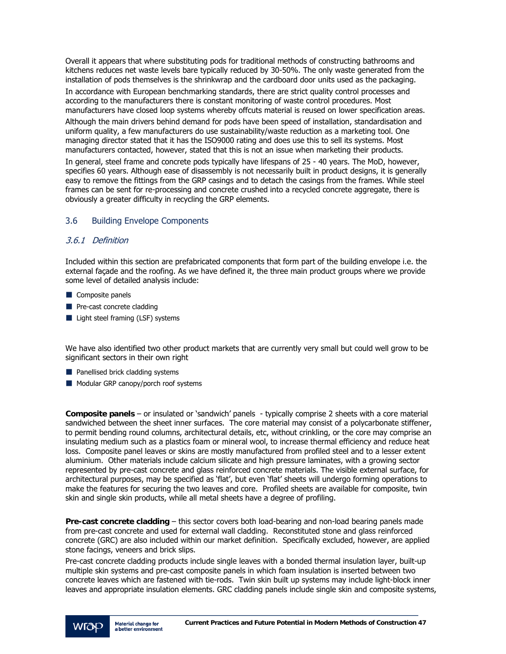Overall it appears that where substituting pods for traditional methods of constructing bathrooms and kitchens reduces net waste levels bare typically reduced by 30-50%. The only waste generated from the installation of pods themselves is the shrinkwrap and the cardboard door units used as the packaging.

In accordance with European benchmarking standards, there are strict quality control processes and according to the manufacturers there is constant monitoring of waste control procedures. Most manufacturers have closed loop systems whereby offcuts material is reused on lower specification areas.

Although the main drivers behind demand for pods have been speed of installation, standardisation and uniform quality, a few manufacturers do use sustainability/waste reduction as a marketing tool. One managing director stated that it has the ISO9000 rating and does use this to sell its systems. Most manufacturers contacted, however, stated that this is not an issue when marketing their products.

In general, steel frame and concrete pods typically have lifespans of 25 - 40 years. The MoD, however, specifies 60 years. Although ease of disassembly is not necessarily built in product designs, it is generally easy to remove the fittings from the GRP casings and to detach the casings from the frames. While steel frames can be sent for re-processing and concrete crushed into a recycled concrete aggregate, there is obviously a greater difficulty in recycling the GRP elements.

### 3.6 Building Envelope Components

### 3.6.1 Definition

Included within this section are prefabricated components that form part of the building envelope i.e. the external façade and the roofing. As we have defined it, the three main product groups where we provide some level of detailed analysis include:

- Composite panels
- $\blacksquare$  Pre-cast concrete cladding
- Light steel framing (LSF) systems

We have also identified two other product markets that are currently very small but could well grow to be significant sectors in their own right

- **Panellised brick cladding systems**
- Modular GRP canopy/porch roof systems

**Composite panels** – or insulated or 'sandwich' panels - typically comprise 2 sheets with a core material sandwiched between the sheet inner surfaces. The core material may consist of a polycarbonate stiffener, to permit bending round columns, architectural details, etc, without crinkling, or the core may comprise an insulating medium such as a plastics foam or mineral wool, to increase thermal efficiency and reduce heat loss. Composite panel leaves or skins are mostly manufactured from profiled steel and to a lesser extent aluminium. Other materials include calcium silicate and high pressure laminates, with a growing sector represented by pre-cast concrete and glass reinforced concrete materials. The visible external surface, for architectural purposes, may be specified as 'flat', but even 'flat' sheets will undergo forming operations to make the features for securing the two leaves and core. Profiled sheets are available for composite, twin skin and single skin products, while all metal sheets have a degree of profiling.

**Pre-cast concrete cladding** – this sector covers both load-bearing and non-load bearing panels made from pre-cast concrete and used for external wall cladding. Reconstituted stone and glass reinforced concrete (GRC) are also included within our market definition. Specifically excluded, however, are applied stone facings, veneers and brick slips.

Pre-cast concrete cladding products include single leaves with a bonded thermal insulation layer, built-up multiple skin systems and pre-cast composite panels in which foam insulation is inserted between two concrete leaves which are fastened with tie-rods. Twin skin built up systems may include light-block inner leaves and appropriate insulation elements. GRC cladding panels include single skin and composite systems,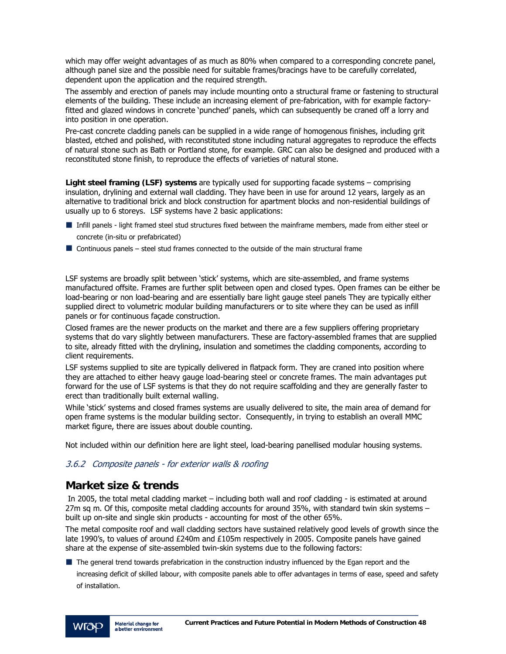which may offer weight advantages of as much as 80% when compared to a corresponding concrete panel, although panel size and the possible need for suitable frames/bracings have to be carefully correlated, dependent upon the application and the required strength.

The assembly and erection of panels may include mounting onto a structural frame or fastening to structural elements of the building. These include an increasing element of pre-fabrication, with for example factoryfitted and glazed windows in concrete 'punched' panels, which can subsequently be craned off a lorry and into position in one operation.

Pre-cast concrete cladding panels can be supplied in a wide range of homogenous finishes, including grit blasted, etched and polished, with reconstituted stone including natural aggregates to reproduce the effects of natural stone such as Bath or Portland stone, for example. GRC can also be designed and produced with a reconstituted stone finish, to reproduce the effects of varieties of natural stone.

**Light steel framing (LSF) systems** are typically used for supporting facade systems – comprising insulation, drylining and external wall cladding. They have been in use for around 12 years, largely as an alternative to traditional brick and block construction for apartment blocks and non-residential buildings of usually up to 6 storeys. LSF systems have 2 basic applications:

- Infill panels light framed steel stud structures fixed between the mainframe members, made from either steel or concrete (in-situ or prefabricated)
- $\blacksquare$  Continuous panels steel stud frames connected to the outside of the main structural frame

LSF systems are broadly split between 'stick' systems, which are site-assembled, and frame systems manufactured offsite. Frames are further split between open and closed types. Open frames can be either be load-bearing or non load-bearing and are essentially bare light gauge steel panels They are typically either supplied direct to volumetric modular building manufacturers or to site where they can be used as infill panels or for continuous façade construction.

Closed frames are the newer products on the market and there are a few suppliers offering proprietary systems that do vary slightly between manufacturers. These are factory-assembled frames that are supplied to site, already fitted with the drylining, insulation and sometimes the cladding components, according to client requirements.

LSF systems supplied to site are typically delivered in flatpack form. They are craned into position where they are attached to either heavy gauge load-bearing steel or concrete frames. The main advantages put forward for the use of LSF systems is that they do not require scaffolding and they are generally faster to erect than traditionally built external walling.

While 'stick' systems and closed frames systems are usually delivered to site, the main area of demand for open frame systems is the modular building sector. Consequently, in trying to establish an overall MMC market figure, there are issues about double counting.

Not included within our definition here are light steel, load-bearing panellised modular housing systems.

### 3.6.2 Composite panels - for exterior walls & roofing

### **Market size & trends**

 In 2005, the total metal cladding market – including both wall and roof cladding - is estimated at around 27m sq m. Of this, composite metal cladding accounts for around 35%, with standard twin skin systems – built up on-site and single skin products - accounting for most of the other 65%.

The metal composite roof and wall cladding sectors have sustained relatively good levels of growth since the late 1990's, to values of around £240m and £105m respectively in 2005. Composite panels have gained share at the expense of site-assembled twin-skin systems due to the following factors:

■ The general trend towards prefabrication in the construction industry influenced by the Egan report and the increasing deficit of skilled labour, with composite panels able to offer advantages in terms of ease, speed and safety of installation.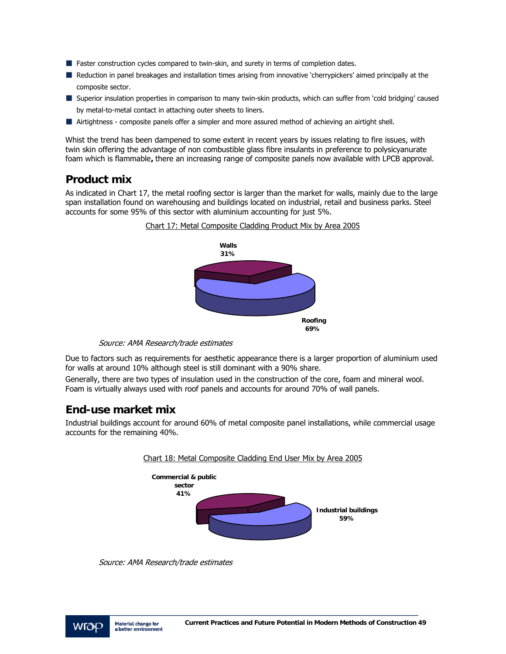- **Faster construction cycles compared to twin-skin, and surety in terms of completion dates.**
- Reduction in panel breakages and installation times arising from innovative 'cherrypickers' aimed principally at the composite sector.
- Superior insulation properties in comparison to many twin-skin products, which can suffer from 'cold bridging' caused by metal-to-metal contact in attaching outer sheets to liners.
- Airtightness composite panels offer a simpler and more assured method of achieving an airtight shell.

Whist the trend has been dampened to some extent in recent years by issues relating to fire issues, with twin skin offering the advantage of non combustible glass fibre insulants in preference to polysicyanurate foam which is flammable**,** there an increasing range of composite panels now available with LPCB approval.

### **Product mix**

As indicated in Chart 17, the metal roofing sector is larger than the market for walls, mainly due to the large span installation found on warehousing and buildings located on industrial, retail and business parks. Steel accounts for some 95% of this sector with aluminium accounting for just 5%.



Source: AMA Research/trade estimates

Due to factors such as requirements for aesthetic appearance there is a larger proportion of aluminium used for walls at around 10% although steel is still dominant with a 90% share.

Generally, there are two types of insulation used in the construction of the core, foam and mineral wool. Foam is virtually always used with roof panels and accounts for around 70% of wall panels.

### **End-use market mix**

Industrial buildings account for around 60% of metal composite panel installations, while commercial usage accounts for the remaining 40%.



Source: AMA Research/trade estimates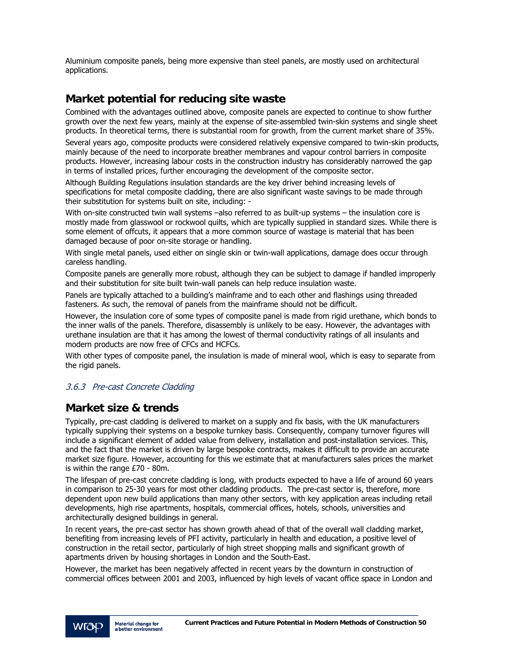Aluminium composite panels, being more expensive than steel panels, are mostly used on architectural applications.

# **Market potential for reducing site waste**

Combined with the advantages outlined above, composite panels are expected to continue to show further growth over the next few years, mainly at the expense of site-assembled twin-skin systems and single sheet products. In theoretical terms, there is substantial room for growth, from the current market share of 35%.

Several years ago, composite products were considered relatively expensive compared to twin-skin products, mainly because of the need to incorporate breather membranes and vapour control barriers in composite products. However, increasing labour costs in the construction industry has considerably narrowed the gap in terms of installed prices, further encouraging the development of the composite sector.

Although Building Regulations insulation standards are the key driver behind increasing levels of specifications for metal composite cladding, there are also significant waste savings to be made through their substitution for systems built on site, including: -

With on-site constructed twin wall systems –also referred to as built-up systems – the insulation core is mostly made from glasswool or rockwool quilts, which are typically supplied in standard sizes. While there is some element of offcuts, it appears that a more common source of wastage is material that has been damaged because of poor on-site storage or handling.

With single metal panels, used either on single skin or twin-wall applications, damage does occur through careless handling.

Composite panels are generally more robust, although they can be subject to damage if handled improperly and their substitution for site built twin-wall panels can help reduce insulation waste.

Panels are typically attached to a building's mainframe and to each other and flashings using threaded fasteners. As such, the removal of panels from the mainframe should not be difficult.

However, the insulation core of some types of composite panel is made from rigid urethane, which bonds to the inner walls of the panels. Therefore, disassembly is unlikely to be easy. However, the advantages with urethane insulation are that it has among the lowest of thermal conductivity ratings of all insulants and modern products are now free of CFCs and HCFCs.

With other types of composite panel, the insulation is made of mineral wool, which is easy to separate from the rigid panels.

### 3.6.3 Pre-cast Concrete Cladding

### **Market size & trends**

Typically, pre-cast cladding is delivered to market on a supply and fix basis, with the UK manufacturers typically supplying their systems on a bespoke turnkey basis. Consequently, company turnover figures will include a significant element of added value from delivery, installation and post-installation services. This, and the fact that the market is driven by large bespoke contracts, makes it difficult to provide an accurate market size figure. However, accounting for this we estimate that at manufacturers sales prices the market is within the range £70 - 80m.

The lifespan of pre-cast concrete cladding is long, with products expected to have a life of around 60 years in comparison to 25-30 years for most other cladding products. The pre-cast sector is, therefore, more dependent upon new build applications than many other sectors, with key application areas including retail developments, high rise apartments, hospitals, commercial offices, hotels, schools, universities and architecturally designed buildings in general.

In recent years, the pre-cast sector has shown growth ahead of that of the overall wall cladding market, benefiting from increasing levels of PFI activity, particularly in health and education, a positive level of construction in the retail sector, particularly of high street shopping malls and significant growth of apartments driven by housing shortages in London and the South-East.

However, the market has been negatively affected in recent years by the downturn in construction of commercial offices between 2001 and 2003, influenced by high levels of vacant office space in London and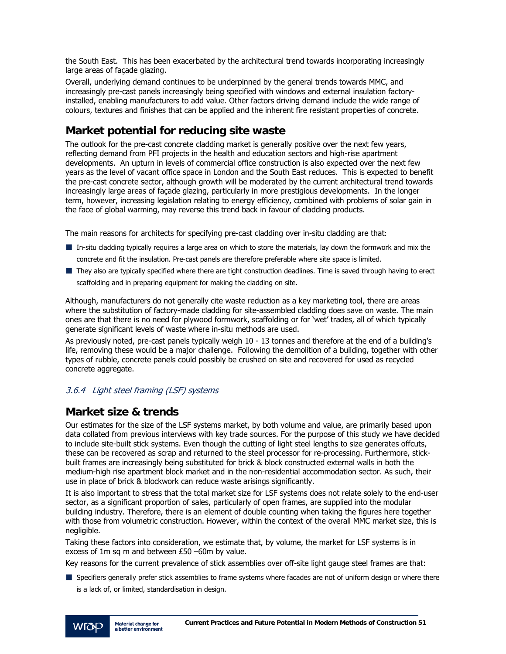the South East. This has been exacerbated by the architectural trend towards incorporating increasingly large areas of façade glazing.

Overall, underlying demand continues to be underpinned by the general trends towards MMC, and increasingly pre-cast panels increasingly being specified with windows and external insulation factoryinstalled, enabling manufacturers to add value. Other factors driving demand include the wide range of colours, textures and finishes that can be applied and the inherent fire resistant properties of concrete.

# **Market potential for reducing site waste**

The outlook for the pre-cast concrete cladding market is generally positive over the next few years, reflecting demand from PFI projects in the health and education sectors and high-rise apartment developments. An upturn in levels of commercial office construction is also expected over the next few years as the level of vacant office space in London and the South East reduces. This is expected to benefit the pre-cast concrete sector, although growth will be moderated by the current architectural trend towards increasingly large areas of façade glazing, particularly in more prestigious developments. In the longer term, however, increasing legislation relating to energy efficiency, combined with problems of solar gain in the face of global warming, may reverse this trend back in favour of cladding products.

The main reasons for architects for specifying pre-cast cladding over in-situ cladding are that:

- In-situ cladding typically requires a large area on which to store the materials, lay down the formwork and mix the concrete and fit the insulation. Pre-cast panels are therefore preferable where site space is limited.
- They also are typically specified where there are tight construction deadlines. Time is saved through having to erect scaffolding and in preparing equipment for making the cladding on site.

Although, manufacturers do not generally cite waste reduction as a key marketing tool, there are areas where the substitution of factory-made cladding for site-assembled cladding does save on waste. The main ones are that there is no need for plywood formwork, scaffolding or for 'wet' trades, all of which typically generate significant levels of waste where in-situ methods are used.

As previously noted, pre-cast panels typically weigh 10 - 13 tonnes and therefore at the end of a building's life, removing these would be a major challenge. Following the demolition of a building, together with other types of rubble, concrete panels could possibly be crushed on site and recovered for used as recycled concrete aggregate.

### 3.6.4 Light steel framing (LSF) systems

# **Market size & trends**

Our estimates for the size of the LSF systems market, by both volume and value, are primarily based upon data collated from previous interviews with key trade sources. For the purpose of this study we have decided to include site-built stick systems. Even though the cutting of light steel lengths to size generates offcuts, these can be recovered as scrap and returned to the steel processor for re-processing. Furthermore, stickbuilt frames are increasingly being substituted for brick & block constructed external walls in both the medium-high rise apartment block market and in the non-residential accommodation sector. As such, their use in place of brick & blockwork can reduce waste arisings significantly.

It is also important to stress that the total market size for LSF systems does not relate solely to the end-user sector, as a significant proportion of sales, particularly of open frames, are supplied into the modular building industry. Therefore, there is an element of double counting when taking the figures here together with those from volumetric construction. However, within the context of the overall MMC market size, this is negligible.

Taking these factors into consideration, we estimate that, by volume, the market for LSF systems is in excess of 1m sq m and between £50 –60m by value.

Key reasons for the current prevalence of stick assemblies over off-site light gauge steel frames are that:

**Specifiers generally prefer stick assemblies to frame systems where facades are not of uniform design or where there** is a lack of, or limited, standardisation in design.

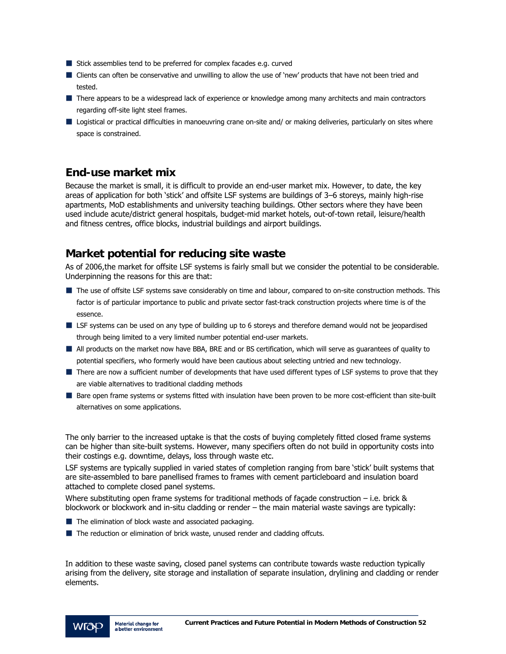- Stick assemblies tend to be preferred for complex facades e.g. curved
- Clients can often be conservative and unwilling to allow the use of 'new' products that have not been tried and tested.
- **T** There appears to be a widespread lack of experience or knowledge among many architects and main contractors regarding off-site light steel frames.
- Logistical or practical difficulties in manoeuvring crane on-site and/ or making deliveries, particularly on sites where space is constrained.

# **End-use market mix**

Because the market is small, it is difficult to provide an end-user market mix. However, to date, the key areas of application for both 'stick' and offsite LSF systems are buildings of 3–6 storeys, mainly high-rise apartments, MoD establishments and university teaching buildings. Other sectors where they have been used include acute/district general hospitals, budget-mid market hotels, out-of-town retail, leisure/health and fitness centres, office blocks, industrial buildings and airport buildings.

# **Market potential for reducing site waste**

As of 2006,the market for offsite LSF systems is fairly small but we consider the potential to be considerable. Underpinning the reasons for this are that:

- The use of offsite LSF systems save considerably on time and labour, compared to on-site construction methods. This factor is of particular importance to public and private sector fast-track construction projects where time is of the essence.
- LSF systems can be used on any type of building up to 6 storeys and therefore demand would not be jeopardised through being limited to a very limited number potential end-user markets.
- All products on the market now have BBA, BRE and or BS certification, which will serve as guarantees of quality to potential specifiers, who formerly would have been cautious about selecting untried and new technology.
- There are now a sufficient number of developments that have used different types of LSF systems to prove that they are viable alternatives to traditional cladding methods
- Bare open frame systems or systems fitted with insulation have been proven to be more cost-efficient than site-built alternatives on some applications.

The only barrier to the increased uptake is that the costs of buying completely fitted closed frame systems can be higher than site-built systems. However, many specifiers often do not build in opportunity costs into their costings e.g. downtime, delays, loss through waste etc.

LSF systems are typically supplied in varied states of completion ranging from bare 'stick' built systems that are site-assembled to bare panellised frames to frames with cement particleboard and insulation board attached to complete closed panel systems.

Where substituting open frame systems for traditional methods of façade construction – i.e. brick & blockwork or blockwork and in-situ cladding or render – the main material waste savings are typically:

- The elimination of block waste and associated packaging.
- The reduction or elimination of brick waste, unused render and cladding offcuts.

In addition to these waste saving, closed panel systems can contribute towards waste reduction typically arising from the delivery, site storage and installation of separate insulation, drylining and cladding or render elements.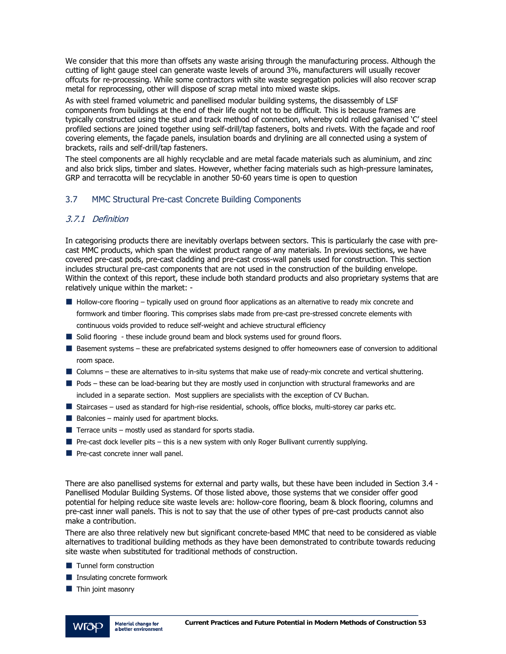We consider that this more than offsets any waste arising through the manufacturing process. Although the cutting of light gauge steel can generate waste levels of around 3%, manufacturers will usually recover offcuts for re-processing. While some contractors with site waste segregation policies will also recover scrap metal for reprocessing, other will dispose of scrap metal into mixed waste skips.

As with steel framed volumetric and panellised modular building systems, the disassembly of LSF components from buildings at the end of their life ought not to be difficult. This is because frames are typically constructed using the stud and track method of connection, whereby cold rolled galvanised 'C' steel profiled sections are joined together using self-drill/tap fasteners, bolts and rivets. With the façade and roof covering elements, the façade panels, insulation boards and drylining are all connected using a system of brackets, rails and self-drill/tap fasteners.

The steel components are all highly recyclable and are metal facade materials such as aluminium, and zinc and also brick slips, timber and slates. However, whether facing materials such as high-pressure laminates, GRP and terracotta will be recyclable in another 50-60 years time is open to question

### 3.7 MMC Structural Pre-cast Concrete Building Components

### 3.7.1 Definition

In categorising products there are inevitably overlaps between sectors. This is particularly the case with precast MMC products, which span the widest product range of any materials. In previous sections, we have covered pre-cast pods, pre-cast cladding and pre-cast cross-wall panels used for construction. This section includes structural pre-cast components that are not used in the construction of the building envelope. Within the context of this report, these include both standard products and also proprietary systems that are relatively unique within the market: -

- Hollow-core flooring typically used on ground floor applications as an alternative to ready mix concrete and formwork and timber flooring. This comprises slabs made from pre-cast pre-stressed concrete elements with continuous voids provided to reduce self-weight and achieve structural efficiency
- Solid flooring these include ground beam and block systems used for ground floors.
- Basement systems these are prefabricated systems designed to offer homeowners ease of conversion to additional room space.
- Columns these are alternatives to in-situ systems that make use of ready-mix concrete and vertical shuttering.
- Pods these can be load-bearing but they are mostly used in conjunction with structural frameworks and are included in a separate section. Most suppliers are specialists with the exception of CV Buchan.
- Staircases used as standard for high-rise residential, schools, office blocks, multi-storey car parks etc.
- $\blacksquare$  Balconies mainly used for apartment blocks.
- $\blacksquare$  Terrace units mostly used as standard for sports stadia.
- $\blacksquare$  Pre-cast dock leveller pits this is a new system with only Roger Bullivant currently supplying.
- $\blacksquare$  Pre-cast concrete inner wall panel.

There are also panellised systems for external and party walls, but these have been included in Section 3.4 - Panellised Modular Building Systems. Of those listed above, those systems that we consider offer good potential for helping reduce site waste levels are: hollow-core flooring, beam & block flooring, columns and pre-cast inner wall panels. This is not to say that the use of other types of pre-cast products cannot also make a contribution.

There are also three relatively new but significant concrete-based MMC that need to be considered as viable alternatives to traditional building methods as they have been demonstrated to contribute towards reducing site waste when substituted for traditional methods of construction.

- **Tunnel form construction**
- **Insulating concrete formwork**
- $\blacksquare$  Thin joint masonry

VIO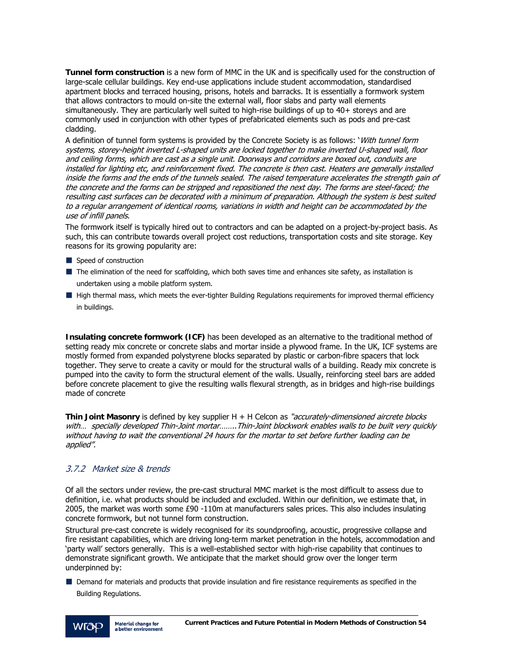**Tunnel form construction** is a new form of MMC in the UK and is specifically used for the construction of large-scale cellular buildings. Key end-use applications include student accommodation, standardised apartment blocks and terraced housing, prisons, hotels and barracks. It is essentially a formwork system that allows contractors to mould on-site the external wall, floor slabs and party wall elements simultaneously. They are particularly well suited to high-rise buildings of up to 40+ storeys and are commonly used in conjunction with other types of prefabricated elements such as pods and pre-cast cladding.

A definition of tunnel form systems is provided by the Concrete Society is as follows: 'With tunnel form systems, storey-height inverted L-shaped units are locked together to make inverted U-shaped wall, floor and ceiling forms, which are cast as a single unit. Doorways and corridors are boxed out, conduits are installed for lighting etc, and reinforcement fixed. The concrete is then cast. Heaters are generally installed inside the forms and the ends of the tunnels sealed. The raised temperature accelerates the strength gain of the concrete and the forms can be stripped and repositioned the next day. The forms are steel-faced; the resulting cast surfaces can be decorated with a minimum of preparation. Although the system is best suited to a regular arrangement of identical rooms, variations in width and height can be accommodated by the use of infill panels.

The formwork itself is typically hired out to contractors and can be adapted on a project-by-project basis. As such, this can contribute towards overall project cost reductions, transportation costs and site storage. Key reasons for its growing popularity are:

- Speed of construction
- The elimination of the need for scaffolding, which both saves time and enhances site safety, as installation is undertaken using a mobile platform system.
- High thermal mass, which meets the ever-tighter Building Regulations requirements for improved thermal efficiency in buildings.

**Insulating concrete formwork (ICF)** has been developed as an alternative to the traditional method of setting ready mix concrete or concrete slabs and mortar inside a plywood frame. In the UK, ICF systems are mostly formed from expanded polystyrene blocks separated by plastic or carbon-fibre spacers that lock together. They serve to create a cavity or mould for the structural walls of a building. Ready mix concrete is pumped into the cavity to form the structural element of the walls. Usually, reinforcing steel bars are added before concrete placement to give the resulting walls flexural strength, as in bridges and high-rise buildings made of concrete

**Thin Joint Masonry** is defined by key supplier H + H Celcon as "accurately-dimensioned aircrete blocks with... specially developed Thin-Joint mortar.......Thin-Joint blockwork enables walls to be built very quickly without having to wait the conventional 24 hours for the mortar to set before further loading can be applied".

### 3.7.2 Market size & trends

Of all the sectors under review, the pre-cast structural MMC market is the most difficult to assess due to definition, i.e. what products should be included and excluded. Within our definition, we estimate that, in 2005, the market was worth some £90 -110m at manufacturers sales prices. This also includes insulating concrete formwork, but not tunnel form construction.

Structural pre-cast concrete is widely recognised for its soundproofing, acoustic, progressive collapse and fire resistant capabilities, which are driving long-term market penetration in the hotels, accommodation and 'party wall' sectors generally. This is a well-established sector with high-rise capability that continues to demonstrate significant growth. We anticipate that the market should grow over the longer term underpinned by:

Demand for materials and products that provide insulation and fire resistance requirements as specified in the Building Regulations.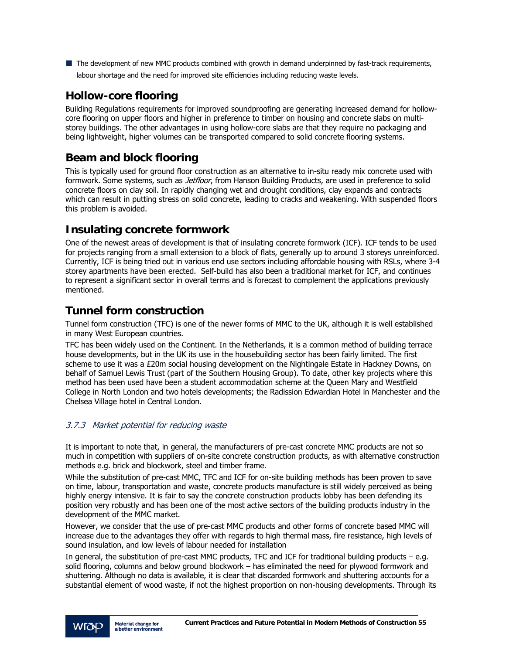■ The development of new MMC products combined with growth in demand underpinned by fast-track requirements, labour shortage and the need for improved site efficiencies including reducing waste levels.

# **Hollow-core flooring**

Building Regulations requirements for improved soundproofing are generating increased demand for hollowcore flooring on upper floors and higher in preference to timber on housing and concrete slabs on multistorey buildings. The other advantages in using hollow-core slabs are that they require no packaging and being lightweight, higher volumes can be transported compared to solid concrete flooring systems.

# **Beam and block flooring**

This is typically used for ground floor construction as an alternative to in-situ ready mix concrete used with formwork. Some systems, such as *Jetfloor*, from Hanson Building Products, are used in preference to solid concrete floors on clay soil. In rapidly changing wet and drought conditions, clay expands and contracts which can result in putting stress on solid concrete, leading to cracks and weakening. With suspended floors this problem is avoided.

# **Insulating concrete formwork**

One of the newest areas of development is that of insulating concrete formwork (ICF). ICF tends to be used for projects ranging from a small extension to a block of flats, generally up to around 3 storeys unreinforced. Currently, ICF is being tried out in various end use sectors including affordable housing with RSLs, where 3-4 storey apartments have been erected. Self-build has also been a traditional market for ICF, and continues to represent a significant sector in overall terms and is forecast to complement the applications previously mentioned.

# **Tunnel form construction**

Tunnel form construction (TFC) is one of the newer forms of MMC to the UK, although it is well established in many West European countries.

TFC has been widely used on the Continent. In the Netherlands, it is a common method of building terrace house developments, but in the UK its use in the housebuilding sector has been fairly limited. The first scheme to use it was a £20m social housing development on the Nightingale Estate in Hackney Downs, on behalf of Samuel Lewis Trust (part of the Southern Housing Group). To date, other key projects where this method has been used have been a student accommodation scheme at the Queen Mary and Westfield College in North London and two hotels developments; the Radission Edwardian Hotel in Manchester and the Chelsea Village hotel in Central London.

### 3.7.3 Market potential for reducing waste

It is important to note that, in general, the manufacturers of pre-cast concrete MMC products are not so much in competition with suppliers of on-site concrete construction products, as with alternative construction methods e.g. brick and blockwork, steel and timber frame.

While the substitution of pre-cast MMC, TFC and ICF for on-site building methods has been proven to save on time, labour, transportation and waste, concrete products manufacture is still widely perceived as being highly energy intensive. It is fair to say the concrete construction products lobby has been defending its position very robustly and has been one of the most active sectors of the building products industry in the development of the MMC market.

However, we consider that the use of pre-cast MMC products and other forms of concrete based MMC will increase due to the advantages they offer with regards to high thermal mass, fire resistance, high levels of sound insulation, and low levels of labour needed for installation

In general, the substitution of pre-cast MMC products, TFC and ICF for traditional building products – e.g. solid flooring, columns and below ground blockwork – has eliminated the need for plywood formwork and shuttering. Although no data is available, it is clear that discarded formwork and shuttering accounts for a substantial element of wood waste, if not the highest proportion on non-housing developments. Through its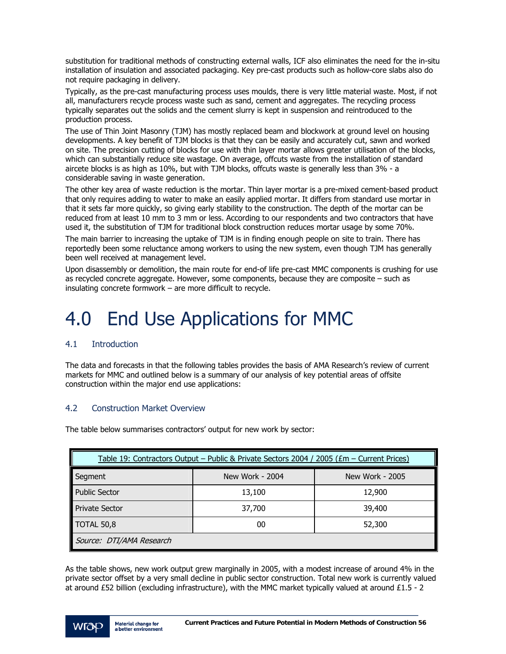substitution for traditional methods of constructing external walls, ICF also eliminates the need for the in-situ installation of insulation and associated packaging. Key pre-cast products such as hollow-core slabs also do not require packaging in delivery.

Typically, as the pre-cast manufacturing process uses moulds, there is very little material waste. Most, if not all, manufacturers recycle process waste such as sand, cement and aggregates. The recycling process typically separates out the solids and the cement slurry is kept in suspension and reintroduced to the production process.

The use of Thin Joint Masonry (TJM) has mostly replaced beam and blockwork at ground level on housing developments. A key benefit of TJM blocks is that they can be easily and accurately cut, sawn and worked on site. The precision cutting of blocks for use with thin layer mortar allows greater utilisation of the blocks, which can substantially reduce site wastage. On average, offcuts waste from the installation of standard aircete blocks is as high as 10%, but with TJM blocks, offcuts waste is generally less than 3% - a considerable saving in waste generation.

The other key area of waste reduction is the mortar. Thin layer mortar is a pre-mixed cement-based product that only requires adding to water to make an easily applied mortar. It differs from standard use mortar in that it sets far more quickly, so giving early stability to the construction. The depth of the mortar can be reduced from at least 10 mm to 3 mm or less. According to our respondents and two contractors that have used it, the substitution of TJM for traditional block construction reduces mortar usage by some 70%.

The main barrier to increasing the uptake of TJM is in finding enough people on site to train. There has reportedly been some reluctance among workers to using the new system, even though TJM has generally been well received at management level.

Upon disassembly or demolition, the main route for end-of life pre-cast MMC components is crushing for use as recycled concrete aggregate. However, some components, because they are composite – such as insulating concrete formwork – are more difficult to recycle.

# 4.0 End Use Applications for MMC

### 4.1 Introduction

The data and forecasts in that the following tables provides the basis of AMA Research's review of current markets for MMC and outlined below is a summary of our analysis of key potential areas of offsite construction within the major end use applications:

### 4.2 Construction Market Overview

The table below summarises contractors' output for new work by sector:

| Table 19: Contractors Output - Public & Private Sectors 2004 / 2005 (£m - Current Prices) |                 |                 |
|-------------------------------------------------------------------------------------------|-----------------|-----------------|
| Segment                                                                                   | New Work - 2004 | New Work - 2005 |
| <b>Public Sector</b>                                                                      | 13,100          | 12,900          |
| <b>Private Sector</b>                                                                     | 37,700          | 39,400          |
| <b>TOTAL 50,8</b>                                                                         | 00              | 52,300          |
| Source: DTI/AMA Research                                                                  |                 |                 |

As the table shows, new work output grew marginally in 2005, with a modest increase of around 4% in the private sector offset by a very small decline in public sector construction. Total new work is currently valued at around £52 billion (excluding infrastructure), with the MMC market typically valued at around £1.5 - 2

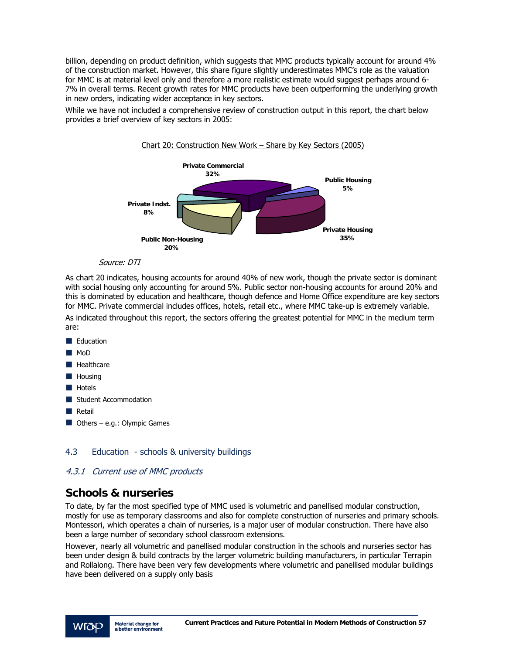billion, depending on product definition, which suggests that MMC products typically account for around 4% of the construction market. However, this share figure slightly underestimates MMC's role as the valuation for MMC is at material level only and therefore a more realistic estimate would suggest perhaps around 6- 7% in overall terms. Recent growth rates for MMC products have been outperforming the underlying growth in new orders, indicating wider acceptance in key sectors.

While we have not included a comprehensive review of construction output in this report, the chart below provides a brief overview of key sectors in 2005:



#### Source: DTI

As chart 20 indicates, housing accounts for around 40% of new work, though the private sector is dominant with social housing only accounting for around 5%. Public sector non-housing accounts for around 20% and this is dominated by education and healthcare, though defence and Home Office expenditure are key sectors for MMC. Private commercial includes offices, hotels, retail etc., where MMC take-up is extremely variable. As indicated throughout this report, the sectors offering the greatest potential for MMC in the medium term are:

- Education
- MoD
- **Healthcare**
- **Housing**
- **Hotels**
- Student Accommodation
- **Retail**
- $\blacksquare$  Others e.g.: Olympic Games

### 4.3 Education - schools & university buildings

### 4.3.1 Current use of MMC products

### **Schools & nurseries**

To date, by far the most specified type of MMC used is volumetric and panellised modular construction, mostly for use as temporary classrooms and also for complete construction of nurseries and primary schools. Montessori, which operates a chain of nurseries, is a major user of modular construction. There have also been a large number of secondary school classroom extensions.

However, nearly all volumetric and panellised modular construction in the schools and nurseries sector has been under design & build contracts by the larger volumetric building manufacturers, in particular Terrapin and Rollalong. There have been very few developments where volumetric and panellised modular buildings have been delivered on a supply only basis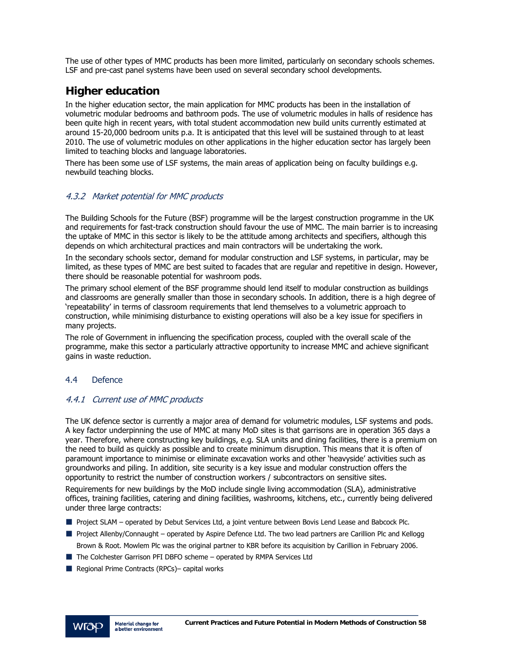The use of other types of MMC products has been more limited, particularly on secondary schools schemes. LSF and pre-cast panel systems have been used on several secondary school developments.

# **Higher education**

In the higher education sector, the main application for MMC products has been in the installation of volumetric modular bedrooms and bathroom pods. The use of volumetric modules in halls of residence has been quite high in recent years, with total student accommodation new build units currently estimated at around 15-20,000 bedroom units p.a. It is anticipated that this level will be sustained through to at least 2010. The use of volumetric modules on other applications in the higher education sector has largely been limited to teaching blocks and language laboratories.

There has been some use of LSF systems, the main areas of application being on faculty buildings e.g. newbuild teaching blocks.

### 4.3.2 Market potential for MMC products

The Building Schools for the Future (BSF) programme will be the largest construction programme in the UK and requirements for fast-track construction should favour the use of MMC. The main barrier is to increasing the uptake of MMC in this sector is likely to be the attitude among architects and specifiers, although this depends on which architectural practices and main contractors will be undertaking the work.

In the secondary schools sector, demand for modular construction and LSF systems, in particular, may be limited, as these types of MMC are best suited to facades that are regular and repetitive in design. However, there should be reasonable potential for washroom pods.

The primary school element of the BSF programme should lend itself to modular construction as buildings and classrooms are generally smaller than those in secondary schools. In addition, there is a high degree of 'repeatability' in terms of classroom requirements that lend themselves to a volumetric approach to construction, while minimising disturbance to existing operations will also be a key issue for specifiers in many projects.

The role of Government in influencing the specification process, coupled with the overall scale of the programme, make this sector a particularly attractive opportunity to increase MMC and achieve significant gains in waste reduction.

### 4.4 Defence

### 4.4.1 Current use of MMC products

The UK defence sector is currently a major area of demand for volumetric modules, LSF systems and pods. A key factor underpinning the use of MMC at many MoD sites is that garrisons are in operation 365 days a year. Therefore, where constructing key buildings, e.g. SLA units and dining facilities, there is a premium on the need to build as quickly as possible and to create minimum disruption. This means that it is often of paramount importance to minimise or eliminate excavation works and other 'heavyside' activities such as groundworks and piling. In addition, site security is a key issue and modular construction offers the opportunity to restrict the number of construction workers / subcontractors on sensitive sites.

Requirements for new buildings by the MoD include single living accommodation (SLA), administrative offices, training facilities, catering and dining facilities, washrooms, kitchens, etc., currently being delivered under three large contracts:

- **Project SLAM** operated by Debut Services Ltd, a joint venture between Bovis Lend Lease and Babcock Plc.
- Project Allenby/Connaught operated by Aspire Defence Ltd. The two lead partners are Carillion Plc and Kellogg Brown & Root. Mowlem Plc was the original partner to KBR before its acquisition by Carillion in February 2006.
- The Colchester Garrison PFI DBFO scheme operated by RMPA Services Ltd
- Regional Prime Contracts (RPCs)– capital works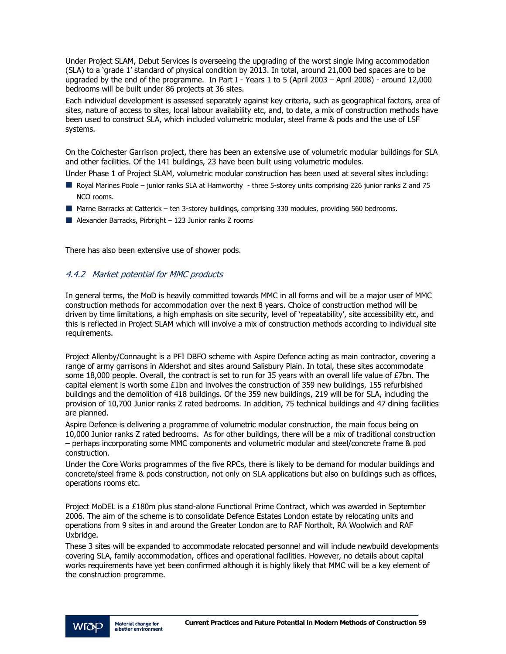Under Project SLAM, Debut Services is overseeing the upgrading of the worst single living accommodation (SLA) to a 'grade 1' standard of physical condition by 2013. In total, around 21,000 bed spaces are to be upgraded by the end of the programme. In Part I - Years 1 to 5 (April 2003 – April 2008) - around 12,000 bedrooms will be built under 86 projects at 36 sites.

Each individual development is assessed separately against key criteria, such as geographical factors, area of sites, nature of access to sites, local labour availability etc, and, to date, a mix of construction methods have been used to construct SLA, which included volumetric modular, steel frame & pods and the use of LSF systems.

On the Colchester Garrison project, there has been an extensive use of volumetric modular buildings for SLA and other facilities. Of the 141 buildings, 23 have been built using volumetric modules.

Under Phase 1 of Project SLAM, volumetric modular construction has been used at several sites including:

- Royal Marines Poole junior ranks SLA at Hamworthy three 5-storey units comprising 226 junior ranks Z and 75 NCO rooms.
- Marne Barracks at Catterick ten 3-storey buildings, comprising 330 modules, providing 560 bedrooms.
- Alexander Barracks, Pirbright  $-123$  Junior ranks Z rooms

There has also been extensive use of shower pods.

### 4.4.2 Market potential for MMC products

In general terms, the MoD is heavily committed towards MMC in all forms and will be a major user of MMC construction methods for accommodation over the next 8 years. Choice of construction method will be driven by time limitations, a high emphasis on site security, level of 'repeatability', site accessibility etc, and this is reflected in Project SLAM which will involve a mix of construction methods according to individual site requirements.

Project Allenby/Connaught is a PFI DBFO scheme with Aspire Defence acting as main contractor, covering a range of army garrisons in Aldershot and sites around Salisbury Plain. In total, these sites accommodate some 18,000 people. Overall, the contract is set to run for 35 years with an overall life value of £7bn. The capital element is worth some £1bn and involves the construction of 359 new buildings, 155 refurbished buildings and the demolition of 418 buildings. Of the 359 new buildings, 219 will be for SLA, including the provision of 10,700 Junior ranks Z rated bedrooms. In addition, 75 technical buildings and 47 dining facilities are planned.

Aspire Defence is delivering a programme of volumetric modular construction, the main focus being on 10,000 Junior ranks Z rated bedrooms. As for other buildings, there will be a mix of traditional construction – perhaps incorporating some MMC components and volumetric modular and steel/concrete frame & pod construction.

Under the Core Works programmes of the five RPCs, there is likely to be demand for modular buildings and concrete/steel frame & pods construction, not only on SLA applications but also on buildings such as offices, operations rooms etc.

Project MoDEL is a £180m plus stand-alone Functional Prime Contract, which was awarded in September 2006. The aim of the scheme is to consolidate Defence Estates London estate by relocating units and operations from 9 sites in and around the Greater London are to RAF Northolt, RA Woolwich and RAF Uxbridge.

These 3 sites will be expanded to accommodate relocated personnel and will include newbuild developments covering SLA, family accommodation, offices and operational facilities. However, no details about capital works requirements have yet been confirmed although it is highly likely that MMC will be a key element of the construction programme.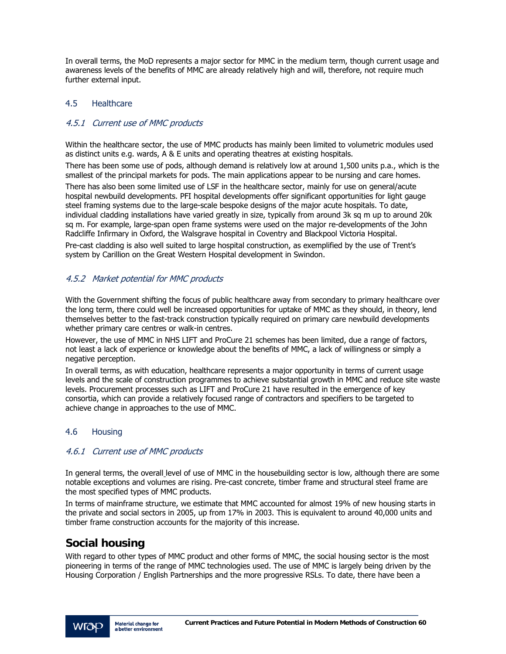In overall terms, the MoD represents a major sector for MMC in the medium term, though current usage and awareness levels of the benefits of MMC are already relatively high and will, therefore, not require much further external input.

### 4.5 Healthcare

### 4.5.1 Current use of MMC products

Within the healthcare sector, the use of MMC products has mainly been limited to volumetric modules used as distinct units e.g. wards, A & E units and operating theatres at existing hospitals.

There has been some use of pods, although demand is relatively low at around 1,500 units p.a., which is the smallest of the principal markets for pods. The main applications appear to be nursing and care homes.

There has also been some limited use of LSF in the healthcare sector, mainly for use on general/acute hospital newbuild developments. PFI hospital developments offer significant opportunities for light gauge steel framing systems due to the large-scale bespoke designs of the major acute hospitals. To date, individual cladding installations have varied greatly in size, typically from around 3k sq m up to around 20k sq m. For example, large-span open frame systems were used on the major re-developments of the John Radcliffe Infirmary in Oxford, the Walsgrave hospital in Coventry and Blackpool Victoria Hospital.

Pre-cast cladding is also well suited to large hospital construction, as exemplified by the use of Trent's system by Carillion on the Great Western Hospital development in Swindon.

### 4.5.2 Market potential for MMC products

With the Government shifting the focus of public healthcare away from secondary to primary healthcare over the long term, there could well be increased opportunities for uptake of MMC as they should, in theory, lend themselves better to the fast-track construction typically required on primary care newbuild developments whether primary care centres or walk-in centres.

However, the use of MMC in NHS LIFT and ProCure 21 schemes has been limited, due a range of factors, not least a lack of experience or knowledge about the benefits of MMC, a lack of willingness or simply a negative perception.

In overall terms, as with education, healthcare represents a major opportunity in terms of current usage levels and the scale of construction programmes to achieve substantial growth in MMC and reduce site waste levels. Procurement processes such as LIFT and ProCure 21 have resulted in the emergence of key consortia, which can provide a relatively focused range of contractors and specifiers to be targeted to achieve change in approaches to the use of MMC.

### 4.6 Housing

### 4.6.1 Current use of MMC products

In general terms, the overall level of use of MMC in the housebuilding sector is low, although there are some notable exceptions and volumes are rising. Pre-cast concrete, timber frame and structural steel frame are the most specified types of MMC products.

In terms of mainframe structure, we estimate that MMC accounted for almost 19% of new housing starts in the private and social sectors in 2005, up from 17% in 2003. This is equivalent to around 40,000 units and timber frame construction accounts for the majority of this increase.

# **Social housing**

With regard to other types of MMC product and other forms of MMC, the social housing sector is the most pioneering in terms of the range of MMC technologies used. The use of MMC is largely being driven by the Housing Corporation / English Partnerships and the more progressive RSLs. To date, there have been a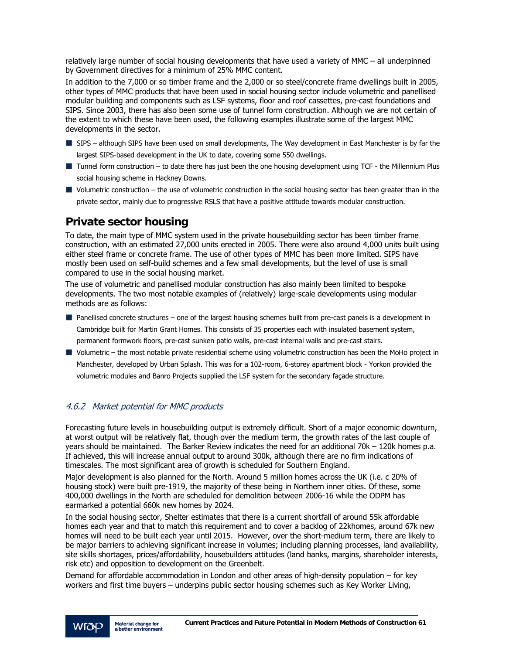relatively large number of social housing developments that have used a variety of MMC – all underpinned by Government directives for a minimum of 25% MMC content.

In addition to the 7,000 or so timber frame and the 2,000 or so steel/concrete frame dwellings built in 2005, other types of MMC products that have been used in social housing sector include volumetric and panellised modular building and components such as LSF systems, floor and roof cassettes, pre-cast foundations and SIPS. Since 2003, there has also been some use of tunnel form construction. Although we are not certain of the extent to which these have been used, the following examples illustrate some of the largest MMC developments in the sector.

- SIPS although SIPS have been used on small developments, The Way development in East Manchester is by far the largest SIPS-based development in the UK to date, covering some 550 dwellings.
- Tunnel form construction to date there has just been the one housing development using TCF the Millennium Plus social housing scheme in Hackney Downs.
- $\blacksquare$  Volumetric construction the use of volumetric construction in the social housing sector has been greater than in the private sector, mainly due to progressive RSLS that have a positive attitude towards modular construction.

# **Private sector housing**

To date, the main type of MMC system used in the private housebuilding sector has been timber frame construction, with an estimated 27,000 units erected in 2005. There were also around 4,000 units built using either steel frame or concrete frame. The use of other types of MMC has been more limited. SIPS have mostly been used on self-build schemes and a few small developments, but the level of use is small compared to use in the social housing market.

The use of volumetric and panellised modular construction has also mainly been limited to bespoke developments. The two most notable examples of (relatively) large-scale developments using modular methods are as follows:

- Panellised concrete structures one of the largest housing schemes built from pre-cast panels is a development in Cambridge built for Martin Grant Homes. This consists of 35 properties each with insulated basement system, permanent formwork floors, pre-cast sunken patio walls, pre-cast internal walls and pre-cast stairs.
- Volumetric the most notable private residential scheme using volumetric construction has been the MoHo project in Manchester, developed by Urban Splash. This was for a 102-room, 6-storey apartment block - Yorkon provided the volumetric modules and Banro Projects supplied the LSF system for the secondary façade structure.

### 4.6.2 Market potential for MMC products

Forecasting future levels in housebuilding output is extremely difficult. Short of a major economic downturn, at worst output will be relatively flat, though over the medium term, the growth rates of the last couple of years should be maintained. The Barker Review indicates the need for an additional 70k – 120k homes p.a. If achieved, this will increase annual output to around 300k, although there are no firm indications of timescales. The most significant area of growth is scheduled for Southern England.

Major development is also planned for the North. Around 5 million homes across the UK (i.e. c 20% of housing stock) were built pre-1919, the majority of these being in Northern inner cities. Of these, some 400,000 dwellings in the North are scheduled for demolition between 2006-16 while the ODPM has earmarked a potential 660k new homes by 2024.

In the social housing sector, Shelter estimates that there is a current shortfall of around 55k affordable homes each year and that to match this requirement and to cover a backlog of 22khomes, around 67k new homes will need to be built each year until 2015. However, over the short-medium term, there are likely to be major barriers to achieving significant increase in volumes; including planning processes, land availability, site skills shortages, prices/affordability, housebuilders attitudes (land banks, margins, shareholder interests, risk etc) and opposition to development on the Greenbelt.

Demand for affordable accommodation in London and other areas of high-density population – for key workers and first time buyers – underpins public sector housing schemes such as Key Worker Living,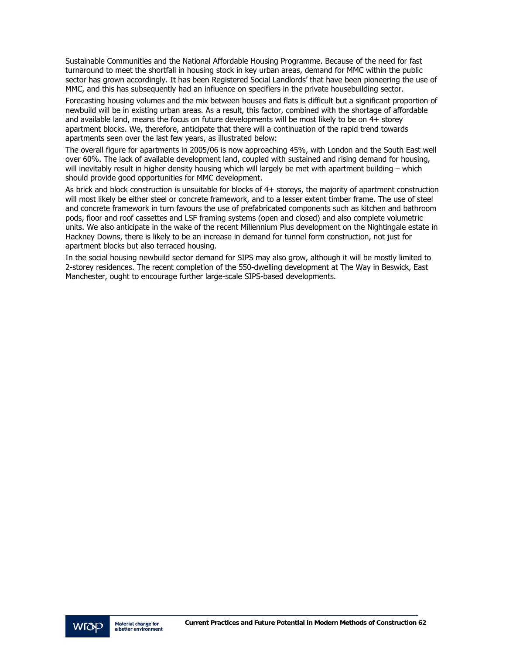Sustainable Communities and the National Affordable Housing Programme. Because of the need for fast turnaround to meet the shortfall in housing stock in key urban areas, demand for MMC within the public sector has grown accordingly. It has been Registered Social Landlords' that have been pioneering the use of MMC, and this has subsequently had an influence on specifiers in the private housebuilding sector.

Forecasting housing volumes and the mix between houses and flats is difficult but a significant proportion of newbuild will be in existing urban areas. As a result, this factor, combined with the shortage of affordable and available land, means the focus on future developments will be most likely to be on 4+ storey apartment blocks. We, therefore, anticipate that there will a continuation of the rapid trend towards apartments seen over the last few years, as illustrated below:

The overall figure for apartments in 2005/06 is now approaching 45%, with London and the South East well over 60%. The lack of available development land, coupled with sustained and rising demand for housing, will inevitably result in higher density housing which will largely be met with apartment building – which should provide good opportunities for MMC development.

As brick and block construction is unsuitable for blocks of 4+ storeys, the majority of apartment construction will most likely be either steel or concrete framework, and to a lesser extent timber frame. The use of steel and concrete framework in turn favours the use of prefabricated components such as kitchen and bathroom pods, floor and roof cassettes and LSF framing systems (open and closed) and also complete volumetric units. We also anticipate in the wake of the recent Millennium Plus development on the Nightingale estate in Hackney Downs, there is likely to be an increase in demand for tunnel form construction, not just for apartment blocks but also terraced housing.

In the social housing newbuild sector demand for SIPS may also grow, although it will be mostly limited to 2-storey residences. The recent completion of the 550-dwelling development at The Way in Beswick, East Manchester, ought to encourage further large-scale SIPS-based developments.

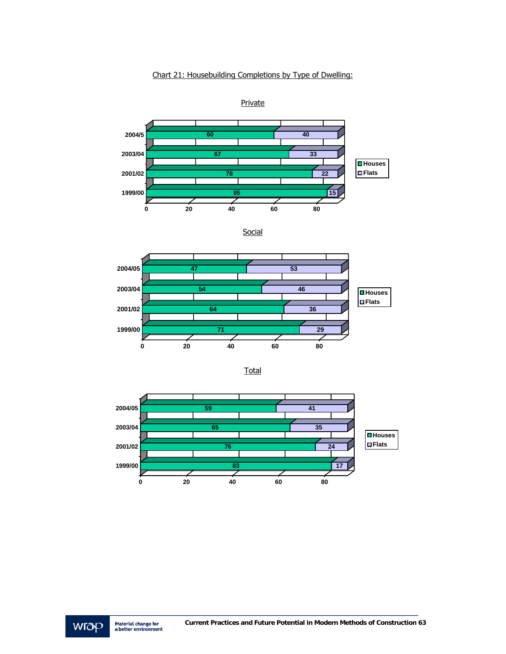### Chart 21: Housebuilding Completions by Type of Dwelling:



**Social** 





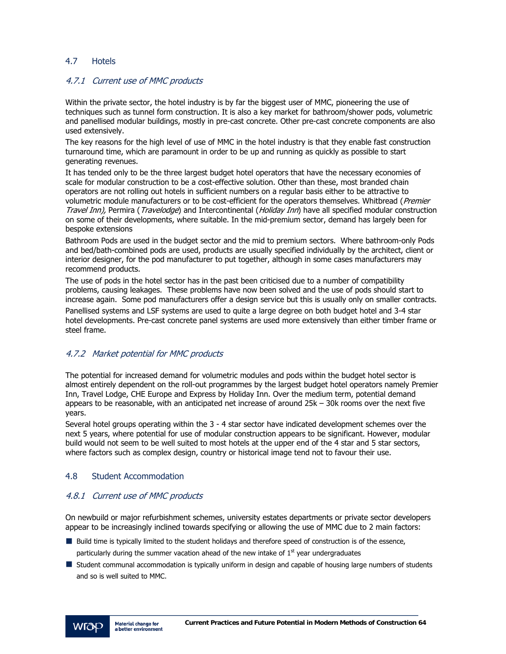### 4.7 Hotels

### 4.7.1 Current use of MMC products

Within the private sector, the hotel industry is by far the biggest user of MMC, pioneering the use of techniques such as tunnel form construction. It is also a key market for bathroom/shower pods, volumetric and panellised modular buildings, mostly in pre-cast concrete. Other pre-cast concrete components are also used extensively.

The key reasons for the high level of use of MMC in the hotel industry is that they enable fast construction turnaround time, which are paramount in order to be up and running as quickly as possible to start generating revenues.

It has tended only to be the three largest budget hotel operators that have the necessary economies of scale for modular construction to be a cost-effective solution. Other than these, most branded chain operators are not rolling out hotels in sufficient numbers on a regular basis either to be attractive to volumetric module manufacturers or to be cost-efficient for the operators themselves. Whitbread (Premier Travel Inn), Permira (Travelodge) and Intercontinental (Holiday Inn) have all specified modular construction on some of their developments, where suitable. In the mid-premium sector, demand has largely been for bespoke extensions

Bathroom Pods are used in the budget sector and the mid to premium sectors. Where bathroom-only Pods and bed/bath-combined pods are used, products are usually specified individually by the architect, client or interior designer, for the pod manufacturer to put together, although in some cases manufacturers may recommend products.

The use of pods in the hotel sector has in the past been criticised due to a number of compatibility problems, causing leakages. These problems have now been solved and the use of pods should start to increase again. Some pod manufacturers offer a design service but this is usually only on smaller contracts.

Panellised systems and LSF systems are used to quite a large degree on both budget hotel and 3-4 star hotel developments. Pre-cast concrete panel systems are used more extensively than either timber frame or steel frame.

### 4.7.2 Market potential for MMC products

The potential for increased demand for volumetric modules and pods within the budget hotel sector is almost entirely dependent on the roll-out programmes by the largest budget hotel operators namely Premier Inn, Travel Lodge, CHE Europe and Express by Holiday Inn. Over the medium term, potential demand appears to be reasonable, with an anticipated net increase of around 25k – 30k rooms over the next five years.

Several hotel groups operating within the 3 - 4 star sector have indicated development schemes over the next 5 years, where potential for use of modular construction appears to be significant. However, modular build would not seem to be well suited to most hotels at the upper end of the 4 star and 5 star sectors, where factors such as complex design, country or historical image tend not to favour their use.

#### 4.8 Student Accommodation

### 4.8.1 Current use of MMC products

On newbuild or major refurbishment schemes, university estates departments or private sector developers appear to be increasingly inclined towards specifying or allowing the use of MMC due to 2 main factors:

- Build time is typically limited to the student holidays and therefore speed of construction is of the essence, particularly during the summer vacation ahead of the new intake of  $1<sup>st</sup>$  year undergraduates
- Student communal accommodation is typically uniform in design and capable of housing large numbers of students and so is well suited to MMC.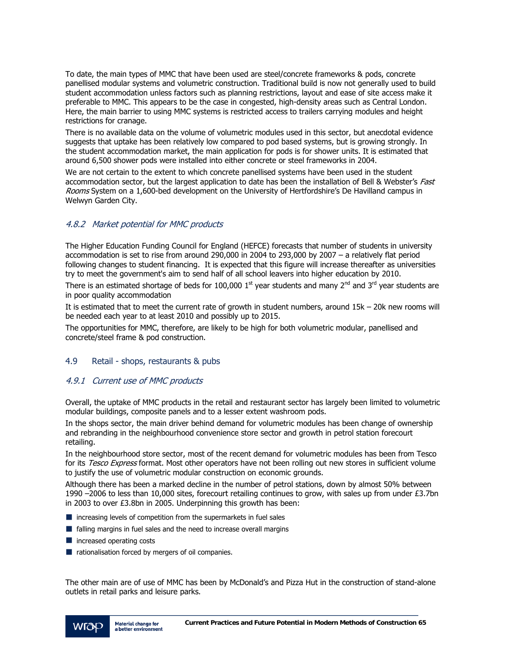To date, the main types of MMC that have been used are steel/concrete frameworks & pods, concrete panellised modular systems and volumetric construction. Traditional build is now not generally used to build student accommodation unless factors such as planning restrictions, layout and ease of site access make it preferable to MMC. This appears to be the case in congested, high-density areas such as Central London. Here, the main barrier to using MMC systems is restricted access to trailers carrying modules and height restrictions for cranage.

There is no available data on the volume of volumetric modules used in this sector, but anecdotal evidence suggests that uptake has been relatively low compared to pod based systems, but is growing strongly. In the student accommodation market, the main application for pods is for shower units. It is estimated that around 6,500 shower pods were installed into either concrete or steel frameworks in 2004.

We are not certain to the extent to which concrete panellised systems have been used in the student accommodation sector, but the largest application to date has been the installation of Bell & Webster's Fast Rooms System on a 1,600-bed development on the University of Hertfordshire's De Havilland campus in Welwyn Garden City.

### 4.8.2 Market potential for MMC products

The Higher Education Funding Council for England (HEFCE) forecasts that number of students in university accommodation is set to rise from around 290,000 in 2004 to 293,000 by 2007 – a relatively flat period following changes to student financing. It is expected that this figure will increase thereafter as universities try to meet the government's aim to send half of all school leavers into higher education by 2010.

There is an estimated shortage of beds for 100,000  $1<sup>st</sup>$  year students and many  $2<sup>nd</sup>$  and  $3<sup>rd</sup>$  year students are in poor quality accommodation

It is estimated that to meet the current rate of growth in student numbers, around 15k – 20k new rooms will be needed each year to at least 2010 and possibly up to 2015.

The opportunities for MMC, therefore, are likely to be high for both volumetric modular, panellised and concrete/steel frame & pod construction.

### 4.9 Retail - shops, restaurants & pubs

### 4.9.1 Current use of MMC products

Overall, the uptake of MMC products in the retail and restaurant sector has largely been limited to volumetric modular buildings, composite panels and to a lesser extent washroom pods.

In the shops sector, the main driver behind demand for volumetric modules has been change of ownership and rebranding in the neighbourhood convenience store sector and growth in petrol station forecourt retailing.

In the neighbourhood store sector, most of the recent demand for volumetric modules has been from Tesco for its Tesco Express format. Most other operators have not been rolling out new stores in sufficient volume to justify the use of volumetric modular construction on economic grounds.

Although there has been a marked decline in the number of petrol stations, down by almost 50% between 1990 –2006 to less than 10,000 sites, forecourt retailing continues to grow, with sales up from under £3.7bn in 2003 to over £3.8bn in 2005. Underpinning this growth has been:

- $\blacksquare$  increasing levels of competition from the supermarkets in fuel sales
- $\blacksquare$  falling margins in fuel sales and the need to increase overall margins
- **n** increased operating costs
- rationalisation forced by mergers of oil companies.

The other main are of use of MMC has been by McDonald's and Pizza Hut in the construction of stand-alone outlets in retail parks and leisure parks.

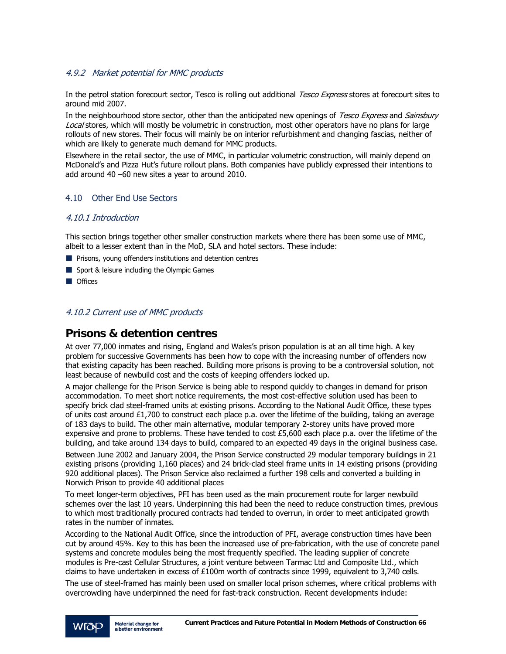### 4.9.2 Market potential for MMC products

In the petrol station forecourt sector, Tesco is rolling out additional Tesco Express stores at forecourt sites to around mid 2007.

In the neighbourhood store sector, other than the anticipated new openings of Tesco Express and Sainsbury Local stores, which will mostly be volumetric in construction, most other operators have no plans for large rollouts of new stores. Their focus will mainly be on interior refurbishment and changing fascias, neither of which are likely to generate much demand for MMC products.

Elsewhere in the retail sector, the use of MMC, in particular volumetric construction, will mainly depend on McDonald's and Pizza Hut's future rollout plans. Both companies have publicly expressed their intentions to add around 40 –60 new sites a year to around 2010.

### 4.10 Other End Use Sectors

### 4.10.1 Introduction

This section brings together other smaller construction markets where there has been some use of MMC, albeit to a lesser extent than in the MoD, SLA and hotel sectors. These include:

- **Prisons, young offenders institutions and detention centres**
- Sport & leisure including the Olympic Games
- **Offices**

### 4.10.2 Current use of MMC products

# **Prisons & detention centres**

At over 77,000 inmates and rising, England and Wales's prison population is at an all time high. A key problem for successive Governments has been how to cope with the increasing number of offenders now that existing capacity has been reached. Building more prisons is proving to be a controversial solution, not least because of newbuild cost and the costs of keeping offenders locked up.

A major challenge for the Prison Service is being able to respond quickly to changes in demand for prison accommodation. To meet short notice requirements, the most cost-effective solution used has been to specify brick clad steel-framed units at existing prisons. According to the National Audit Office, these types of units cost around  $£1,700$  to construct each place p.a. over the lifetime of the building, taking an average of 183 days to build. The other main alternative, modular temporary 2-storey units have proved more expensive and prone to problems. These have tended to cost  $£5,600$  each place p.a. over the lifetime of the building, and take around 134 days to build, compared to an expected 49 days in the original business case.

Between June 2002 and January 2004, the Prison Service constructed 29 modular temporary buildings in 21 existing prisons (providing 1,160 places) and 24 brick-clad steel frame units in 14 existing prisons (providing 920 additional places). The Prison Service also reclaimed a further 198 cells and converted a building in Norwich Prison to provide 40 additional places

To meet longer-term objectives, PFI has been used as the main procurement route for larger newbuild schemes over the last 10 years. Underpinning this had been the need to reduce construction times, previous to which most traditionally procured contracts had tended to overrun, in order to meet anticipated growth rates in the number of inmates.

According to the National Audit Office, since the introduction of PFI, average construction times have been cut by around 45%. Key to this has been the increased use of pre-fabrication, with the use of concrete panel systems and concrete modules being the most frequently specified. The leading supplier of concrete modules is Pre-cast Cellular Structures, a joint venture between Tarmac Ltd and Composite Ltd., which claims to have undertaken in excess of £100m worth of contracts since 1999, equivalent to 3,740 cells.

The use of steel-framed has mainly been used on smaller local prison schemes, where critical problems with overcrowding have underpinned the need for fast-track construction. Recent developments include: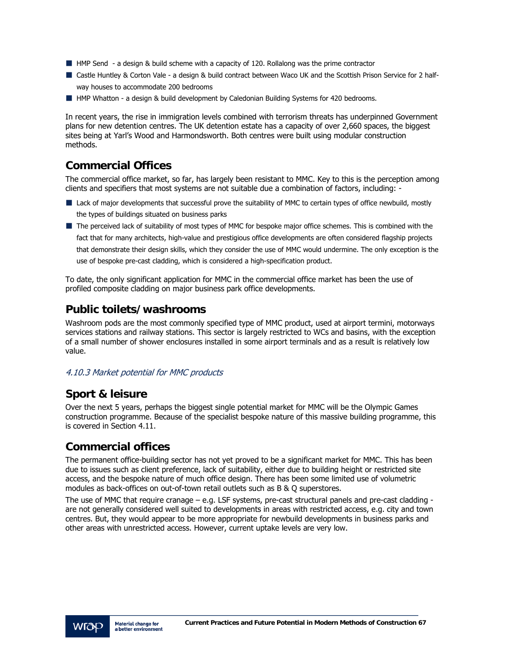- HMP Send a design & build scheme with a capacity of 120. Rollalong was the prime contractor
- Castle Huntley & Corton Vale a design & build contract between Waco UK and the Scottish Prison Service for 2 halfway houses to accommodate 200 bedrooms
- **Hemogler HMP Whatton a design & build development by Caledonian Building Systems for 420 bedrooms.**

In recent years, the rise in immigration levels combined with terrorism threats has underpinned Government plans for new detention centres. The UK detention estate has a capacity of over 2,660 spaces, the biggest sites being at Yarl's Wood and Harmondsworth. Both centres were built using modular construction methods.

# **Commercial Offices**

The commercial office market, so far, has largely been resistant to MMC. Key to this is the perception among clients and specifiers that most systems are not suitable due a combination of factors, including: -

- Lack of major developments that successful prove the suitability of MMC to certain types of office newbuild, mostly the types of buildings situated on business parks
- The perceived lack of suitability of most types of MMC for bespoke major office schemes. This is combined with the fact that for many architects, high-value and prestigious office developments are often considered flagship projects that demonstrate their design skills, which they consider the use of MMC would undermine. The only exception is the use of bespoke pre-cast cladding, which is considered a high-specification product.

To date, the only significant application for MMC in the commercial office market has been the use of profiled composite cladding on major business park office developments.

# **Public toilets/washrooms**

Washroom pods are the most commonly specified type of MMC product, used at airport termini, motorways services stations and railway stations. This sector is largely restricted to WCs and basins, with the exception of a small number of shower enclosures installed in some airport terminals and as a result is relatively low value.

### 4.10.3 Market potential for MMC products

# **Sport & leisure**

Over the next 5 years, perhaps the biggest single potential market for MMC will be the Olympic Games construction programme. Because of the specialist bespoke nature of this massive building programme, this is covered in Section 4.11.

# **Commercial offices**

The permanent office-building sector has not yet proved to be a significant market for MMC. This has been due to issues such as client preference, lack of suitability, either due to building height or restricted site access, and the bespoke nature of much office design. There has been some limited use of volumetric modules as back-offices on out-of-town retail outlets such as B & Q superstores.

The use of MMC that require cranage – e.g. LSF systems, pre-cast structural panels and pre-cast cladding are not generally considered well suited to developments in areas with restricted access, e.g. city and town centres. But, they would appear to be more appropriate for newbuild developments in business parks and other areas with unrestricted access. However, current uptake levels are very low.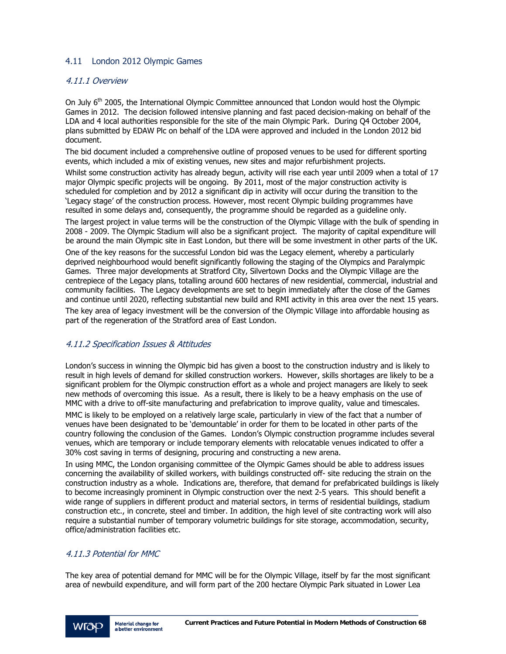### 4.11 London 2012 Olympic Games

### 4.11.1 Overview

On July 6<sup>th</sup> 2005, the International Olympic Committee announced that London would host the Olympic Games in 2012. The decision followed intensive planning and fast paced decision-making on behalf of the LDA and 4 local authorities responsible for the site of the main Olympic Park. During Q4 October 2004, plans submitted by EDAW Plc on behalf of the LDA were approved and included in the London 2012 bid document.

The bid document included a comprehensive outline of proposed venues to be used for different sporting events, which included a mix of existing venues, new sites and major refurbishment projects.

Whilst some construction activity has already begun, activity will rise each year until 2009 when a total of 17 major Olympic specific projects will be ongoing. By 2011, most of the major construction activity is scheduled for completion and by 2012 a significant dip in activity will occur during the transition to the 'Legacy stage' of the construction process. However, most recent Olympic building programmes have resulted in some delays and, consequently, the programme should be regarded as a guideline only.

The largest project in value terms will be the construction of the Olympic Village with the bulk of spending in 2008 - 2009. The Olympic Stadium will also be a significant project. The majority of capital expenditure will be around the main Olympic site in East London, but there will be some investment in other parts of the UK.

One of the key reasons for the successful London bid was the Legacy element, whereby a particularly deprived neighbourhood would benefit significantly following the staging of the Olympics and Paralympic Games. Three major developments at Stratford City, Silvertown Docks and the Olympic Village are the centrepiece of the Legacy plans, totalling around 600 hectares of new residential, commercial, industrial and community facilities. The Legacy developments are set to begin immediately after the close of the Games and continue until 2020, reflecting substantial new build and RMI activity in this area over the next 15 years.

The key area of legacy investment will be the conversion of the Olympic Village into affordable housing as part of the regeneration of the Stratford area of East London.

#### 4.11.2 Specification Issues & Attitudes

London's success in winning the Olympic bid has given a boost to the construction industry and is likely to result in high levels of demand for skilled construction workers. However, skills shortages are likely to be a significant problem for the Olympic construction effort as a whole and project managers are likely to seek new methods of overcoming this issue. As a result, there is likely to be a heavy emphasis on the use of MMC with a drive to off-site manufacturing and prefabrication to improve quality, value and timescales.

MMC is likely to be employed on a relatively large scale, particularly in view of the fact that a number of venues have been designated to be 'demountable' in order for them to be located in other parts of the country following the conclusion of the Games. London's Olympic construction programme includes several venues, which are temporary or include temporary elements with relocatable venues indicated to offer a 30% cost saving in terms of designing, procuring and constructing a new arena.

In using MMC, the London organising committee of the Olympic Games should be able to address issues concerning the availability of skilled workers, with buildings constructed off- site reducing the strain on the construction industry as a whole. Indications are, therefore, that demand for prefabricated buildings is likely to become increasingly prominent in Olympic construction over the next 2-5 years. This should benefit a wide range of suppliers in different product and material sectors, in terms of residential buildings, stadium construction etc., in concrete, steel and timber. In addition, the high level of site contracting work will also require a substantial number of temporary volumetric buildings for site storage, accommodation, security, office/administration facilities etc.

### 4.11.3 Potential for MMC

The key area of potential demand for MMC will be for the Olympic Village, itself by far the most significant area of newbuild expenditure, and will form part of the 200 hectare Olympic Park situated in Lower Lea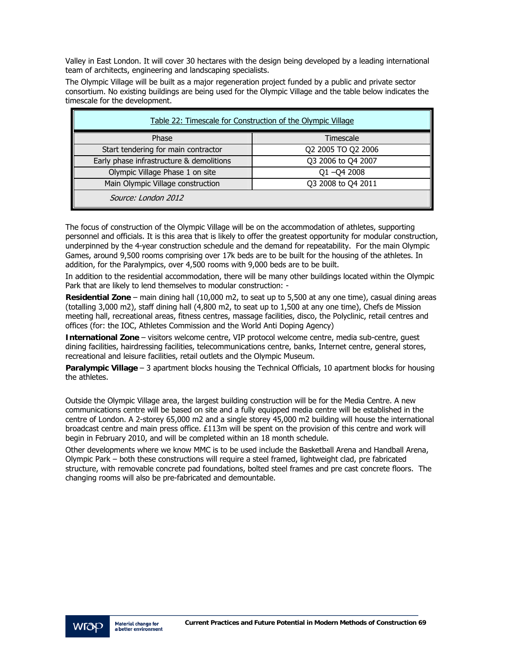Valley in East London. It will cover 30 hectares with the design being developed by a leading international team of architects, engineering and landscaping specialists.

The Olympic Village will be built as a major regeneration project funded by a public and private sector consortium. No existing buildings are being used for the Olympic Village and the table below indicates the timescale for the development.

| Table 22: Timescale for Construction of the Olympic Village |                    |  |  |
|-------------------------------------------------------------|--------------------|--|--|
| Phase                                                       | Timescale          |  |  |
| Start tendering for main contractor                         | Q2 2005 TO Q2 2006 |  |  |
| Early phase infrastructure & demolitions                    | Q3 2006 to Q4 2007 |  |  |
| Olympic Village Phase 1 on site                             | $Q1 - Q42008$      |  |  |
| Main Olympic Village construction                           | Q3 2008 to Q4 2011 |  |  |
| Source: London 2012                                         |                    |  |  |

The focus of construction of the Olympic Village will be on the accommodation of athletes, supporting personnel and officials. It is this area that is likely to offer the greatest opportunity for modular construction, underpinned by the 4-year construction schedule and the demand for repeatability. For the main Olympic Games, around 9,500 rooms comprising over 17k beds are to be built for the housing of the athletes. In addition, for the Paralympics, over 4,500 rooms with 9,000 beds are to be built.

In addition to the residential accommodation, there will be many other buildings located within the Olympic Park that are likely to lend themselves to modular construction: -

**Residential Zone** – main dining hall (10,000 m2, to seat up to 5,500 at any one time), casual dining areas (totalling 3,000 m2), staff dining hall (4,800 m2, to seat up to 1,500 at any one time), Chefs de Mission meeting hall, recreational areas, fitness centres, massage facilities, disco, the Polyclinic, retail centres and offices (for: the IOC, Athletes Commission and the World Anti Doping Agency)

**International Zone** – visitors welcome centre, VIP protocol welcome centre, media sub-centre, guest dining facilities, hairdressing facilities, telecommunications centre, banks, Internet centre, general stores, recreational and leisure facilities, retail outlets and the Olympic Museum.

**Paralympic Village** – 3 apartment blocks housing the Technical Officials, 10 apartment blocks for housing the athletes.

Outside the Olympic Village area, the largest building construction will be for the Media Centre. A new communications centre will be based on site and a fully equipped media centre will be established in the centre of London. A 2-storey 65,000 m2 and a single storey 45,000 m2 building will house the international broadcast centre and main press office. £113m will be spent on the provision of this centre and work will begin in February 2010, and will be completed within an 18 month schedule.

Other developments where we know MMC is to be used include the Basketball Arena and Handball Arena, Olympic Park – both these constructions will require a steel framed, lightweight clad, pre fabricated structure, with removable concrete pad foundations, bolted steel frames and pre cast concrete floors. The changing rooms will also be pre-fabricated and demountable.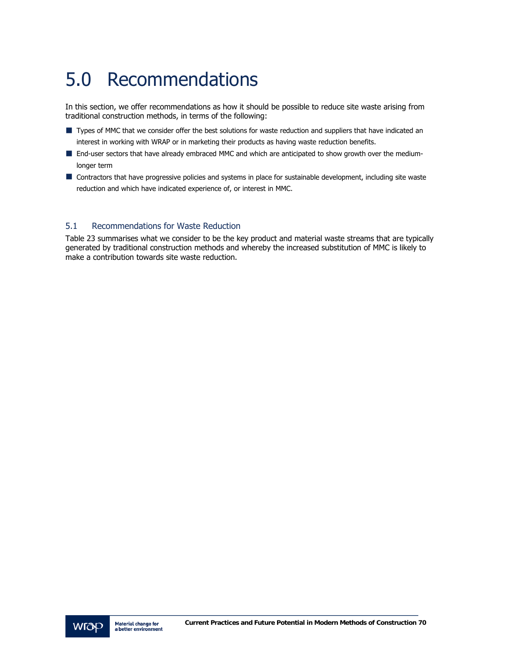# 5.0 Recommendations

In this section, we offer recommendations as how it should be possible to reduce site waste arising from traditional construction methods, in terms of the following:

- Types of MMC that we consider offer the best solutions for waste reduction and suppliers that have indicated an interest in working with WRAP or in marketing their products as having waste reduction benefits.
- End-user sectors that have already embraced MMC and which are anticipated to show growth over the mediumlonger term
- Contractors that have progressive policies and systems in place for sustainable development, including site waste reduction and which have indicated experience of, or interest in MMC.

### 5.1 Recommendations for Waste Reduction

Table 23 summarises what we consider to be the key product and material waste streams that are typically generated by traditional construction methods and whereby the increased substitution of MMC is likely to make a contribution towards site waste reduction.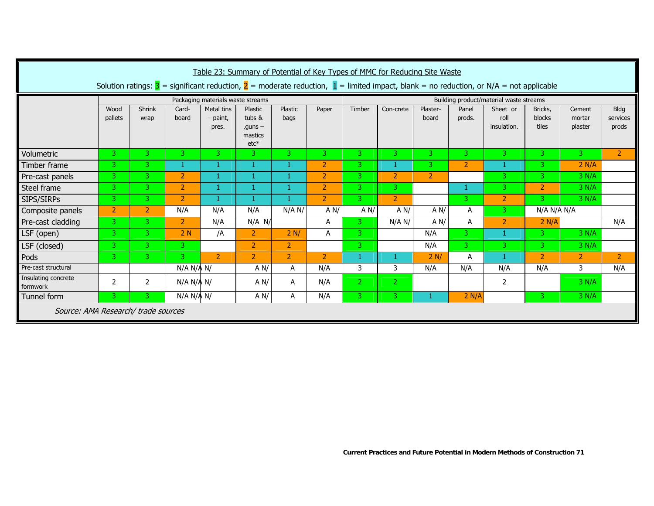| Table 23: Summary of Potential of Key Types of MMC for Reducing Site Waste                                                                                                    |                                   |                |                |                                   |                                                    |                 |                |                                         |                |                   |                 |                                 |                            |                             |                                  |  |
|-------------------------------------------------------------------------------------------------------------------------------------------------------------------------------|-----------------------------------|----------------|----------------|-----------------------------------|----------------------------------------------------|-----------------|----------------|-----------------------------------------|----------------|-------------------|-----------------|---------------------------------|----------------------------|-----------------------------|----------------------------------|--|
| Solution ratings: $\overline{3}$ = significant reduction, $\overline{2}$ = moderate reduction, $\overline{1}$ = limited impact, blank = no reduction, or N/A = not applicable |                                   |                |                |                                   |                                                    |                 |                |                                         |                |                   |                 |                                 |                            |                             |                                  |  |
|                                                                                                                                                                               | Packaging materials waste streams |                |                |                                   |                                                    |                 |                | Building product/material waste streams |                |                   |                 |                                 |                            |                             |                                  |  |
|                                                                                                                                                                               | Wood<br>pallets                   | Shrink<br>wrap | Card-<br>board | Metal tins<br>$-$ paint,<br>pres. | Plastic<br>tubs &<br>$quns -$<br>mastics<br>$etc*$ | Plastic<br>bags | Paper          | Timber                                  | Con-crete      | Plaster-<br>board | Panel<br>prods. | Sheet or<br>roll<br>insulation. | Bricks,<br>blocks<br>tiles | Cement<br>mortar<br>plaster | <b>Bldg</b><br>services<br>prods |  |
| Volumetric                                                                                                                                                                    | 3                                 | 3              | 3              | 3 <sup>1</sup>                    | 3                                                  | 3               | 3.             | 3                                       | 3              | 3.                | 3               | B.                              | 3                          | 3 <sup>1</sup>              | $\overline{2}$                   |  |
| Timber frame                                                                                                                                                                  | 3.                                | 3              | 1              | 1                                 | 1                                                  |                 | $\overline{2}$ | 3.                                      | 1              | 3.                | $\overline{2}$  | -1                              | 3.                         | 2 N/A                       |                                  |  |
| Pre-cast panels                                                                                                                                                               | 3                                 | 3              | $\overline{2}$ | $\mathbf{1}$                      | 1                                                  |                 | $\overline{2}$ | 3.                                      | $\overline{2}$ | $\overline{2}$    |                 | 3                               | 3.                         | 3 N/A                       |                                  |  |
| Steel frame                                                                                                                                                                   | 3                                 | 3              | $\overline{2}$ | 1                                 | 1                                                  |                 | $\overline{2}$ | 3                                       | 3              |                   |                 | 3                               | $\overline{2}$             | 3 N/A                       |                                  |  |
| SIPS/SIRPs                                                                                                                                                                    | 3.                                | 3.             | $\overline{2}$ | 1                                 |                                                    |                 | $\overline{2}$ | 3.                                      | $\overline{2}$ |                   | 3.              | $\overline{2}$                  | 3.                         | 3 N/A                       |                                  |  |
| Composite panels                                                                                                                                                              | $\overline{2}$                    | $\overline{2}$ | N/A            | N/A                               | N/A                                                | N/A N/          | A N/           | A N/                                    | AN/            | A N/              | A               | N/A N/A N/A<br>3                |                            |                             |                                  |  |
| Pre-cast cladding                                                                                                                                                             | 3                                 | 3              | $\overline{2}$ | N/A                               | $N/A$ $N/$                                         |                 | A              | 3.                                      | N/A N/         | A N/              | Α               | $\overline{2}$                  | 2 N/A                      |                             | N/A                              |  |
| LSF (open)                                                                                                                                                                    | 3                                 | 3              | 2N             | /A                                | 2                                                  | 2 N/            | A              | 3 <sup>1</sup>                          |                | N/A               | 3               |                                 | 3 <sup>1</sup>             | 3 N/A                       |                                  |  |
| LSF (closed)                                                                                                                                                                  | 3                                 | 3              | 3              |                                   | $\overline{2}$                                     | $\overline{2}$  |                | 3.                                      |                | N/A               | 3.              | 3.                              | 3.                         | 3 N/A                       |                                  |  |
| Pods                                                                                                                                                                          | 3.                                | 3              | 3.             | $\overline{2}$                    | 2                                                  | $\mathbf{2}$    | $\overline{2}$ | 1                                       | 1              | 2 N/              | A               | -1                              | $\overline{2}$             | $\overline{2}$              | 2                                |  |
| Pre-cast structural                                                                                                                                                           |                                   |                | N/A N/A N/     |                                   | A N/                                               | A               | N/A            | 3                                       | 3              | N/A               | N/A             | N/A                             | N/A                        | 3                           | N/A                              |  |
| Insulating concrete<br>formwork                                                                                                                                               | $\overline{2}$                    | 2              | N/A N/A N/     |                                   | A N/                                               | A               | N/A            | $\overline{2}$                          | 2              |                   |                 | 2                               |                            | 3 N/A                       |                                  |  |
| Tunnel form                                                                                                                                                                   | З                                 | 3              | N/A N/A N/     |                                   | A N/                                               | A               | N/A            | 3                                       | 3              | 1                 | 2 N/A           |                                 | 3.                         | 3 N/A                       |                                  |  |
| Source: AMA Research/ trade sources                                                                                                                                           |                                   |                |                |                                   |                                                    |                 |                |                                         |                |                   |                 |                                 |                            |                             |                                  |  |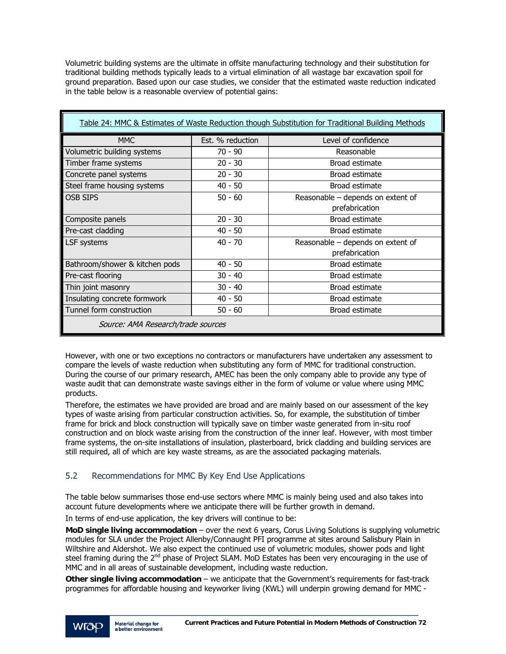Volumetric building systems are the ultimate in offsite manufacturing technology and their substitution for traditional building methods typically leads to a virtual elimination of all wastage bar excavation spoil for ground preparation. Based upon our case studies, we consider that the estimated waste reduction indicated in the table below is a reasonable overview of potential gains:

| Table 24: MMC & Estimates of Waste Reduction though Substitution for Traditional Building Methods |                  |                                   |  |  |  |  |  |  |  |
|---------------------------------------------------------------------------------------------------|------------------|-----------------------------------|--|--|--|--|--|--|--|
| <b>MMC</b>                                                                                        | Est. % reduction | Level of confidence               |  |  |  |  |  |  |  |
| Volumetric building systems                                                                       | 70 - 90          | Reasonable                        |  |  |  |  |  |  |  |
| Timber frame systems                                                                              | $20 - 30$        | Broad estimate                    |  |  |  |  |  |  |  |
| Concrete panel systems                                                                            | $20 - 30$        | Broad estimate                    |  |  |  |  |  |  |  |
| Steel frame housing systems                                                                       | $40 - 50$        | Broad estimate                    |  |  |  |  |  |  |  |
| <b>OSB SIPS</b>                                                                                   | $50 - 60$        | Reasonable - depends on extent of |  |  |  |  |  |  |  |
|                                                                                                   |                  | prefabrication                    |  |  |  |  |  |  |  |
| Composite panels                                                                                  | $20 - 30$        | Broad estimate                    |  |  |  |  |  |  |  |
| Pre-cast cladding                                                                                 | $40 - 50$        | Broad estimate                    |  |  |  |  |  |  |  |
| LSF systems                                                                                       | $40 - 70$        | Reasonable - depends on extent of |  |  |  |  |  |  |  |
|                                                                                                   |                  | prefabrication                    |  |  |  |  |  |  |  |
| Bathroom/shower & kitchen pods                                                                    | $40 - 50$        | Broad estimate                    |  |  |  |  |  |  |  |
| Pre-cast flooring                                                                                 | $30 - 40$        | Broad estimate                    |  |  |  |  |  |  |  |
| Thin joint masonry                                                                                | $30 - 40$        | Broad estimate                    |  |  |  |  |  |  |  |
| Insulating concrete formwork                                                                      | $40 - 50$        | Broad estimate                    |  |  |  |  |  |  |  |
| Tunnel form construction                                                                          | $50 - 60$        | Broad estimate                    |  |  |  |  |  |  |  |
| Source: AMA Research/trade sources                                                                |                  |                                   |  |  |  |  |  |  |  |

However, with one or two exceptions no contractors or manufacturers have undertaken any assessment to compare the levels of waste reduction when substituting any form of MMC for traditional construction. During the course of our primary research, AMEC has been the only company able to provide any type of waste audit that can demonstrate waste savings either in the form of volume or value where using MMC products.

Therefore, the estimates we have provided are broad and are mainly based on our assessment of the key types of waste arising from particular construction activities. So, for example, the substitution of timber frame for brick and block construction will typically save on timber waste generated from in-situ roof construction and on block waste arising from the construction of the inner leaf. However, with most timber frame systems, the on-site installations of insulation, plasterboard, brick cladding and building services are still required, all of which are key waste streams, as are the associated packaging materials.

## 5.2 Recommendations for MMC By Key End Use Applications

The table below summarises those end-use sectors where MMC is mainly being used and also takes into account future developments where we anticipate there will be further growth in demand.

In terms of end-use application, the key drivers will continue to be:

**MoD single living accommodation** – over the next 6 years, Corus Living Solutions is supplying volumetric modules for SLA under the Project Allenby/Connaught PFI programme at sites around Salisbury Plain in Wiltshire and Aldershot. We also expect the continued use of volumetric modules, shower pods and light steel framing during the 2<sup>nd</sup> phase of Project SLAM. MoD Estates has been very encouraging in the use of MMC and in all areas of sustainable development, including waste reduction.

**Other single living accommodation** – we anticipate that the Government's requirements for fast-track programmes for affordable housing and keyworker living (KWL) will underpin growing demand for MMC -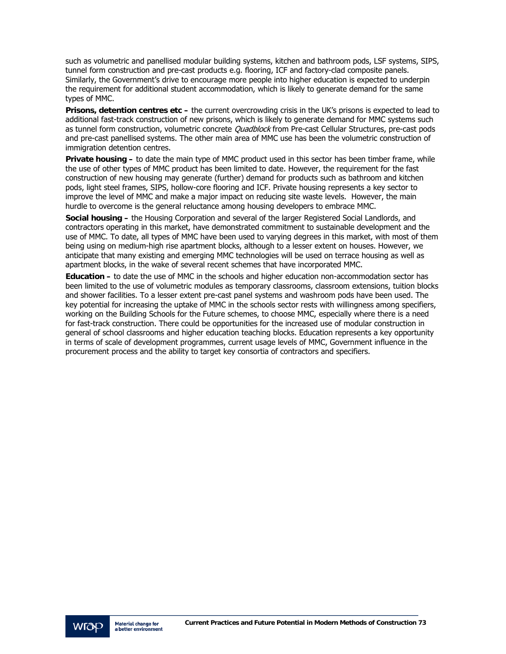such as volumetric and panellised modular building systems, kitchen and bathroom pods, LSF systems, SIPS, tunnel form construction and pre-cast products e.g. flooring, ICF and factory-clad composite panels. Similarly, the Government's drive to encourage more people into higher education is expected to underpin the requirement for additional student accommodation, which is likely to generate demand for the same types of MMC.

**Prisons, detention centres etc –** the current overcrowding crisis in the UK's prisons is expected to lead to additional fast-track construction of new prisons, which is likely to generate demand for MMC systems such as tunnel form construction, volumetric concrete *Quadblock* from Pre-cast Cellular Structures, pre-cast pods and pre-cast panellised systems. The other main area of MMC use has been the volumetric construction of immigration detention centres.

**Private housing –** to date the main type of MMC product used in this sector has been timber frame, while the use of other types of MMC product has been limited to date. However, the requirement for the fast construction of new housing may generate (further) demand for products such as bathroom and kitchen pods, light steel frames, SIPS, hollow-core flooring and ICF. Private housing represents a key sector to improve the level of MMC and make a major impact on reducing site waste levels. However, the main hurdle to overcome is the general reluctance among housing developers to embrace MMC.

**Social housing –** the Housing Corporation and several of the larger Registered Social Landlords, and contractors operating in this market, have demonstrated commitment to sustainable development and the use of MMC. To date, all types of MMC have been used to varying degrees in this market, with most of them being using on medium-high rise apartment blocks, although to a lesser extent on houses. However, we anticipate that many existing and emerging MMC technologies will be used on terrace housing as well as apartment blocks, in the wake of several recent schemes that have incorporated MMC.

**Education –** to date the use of MMC in the schools and higher education non-accommodation sector has been limited to the use of volumetric modules as temporary classrooms, classroom extensions, tuition blocks and shower facilities. To a lesser extent pre-cast panel systems and washroom pods have been used. The key potential for increasing the uptake of MMC in the schools sector rests with willingness among specifiers, working on the Building Schools for the Future schemes, to choose MMC, especially where there is a need for fast-track construction. There could be opportunities for the increased use of modular construction in general of school classrooms and higher education teaching blocks. Education represents a key opportunity in terms of scale of development programmes, current usage levels of MMC, Government influence in the procurement process and the ability to target key consortia of contractors and specifiers.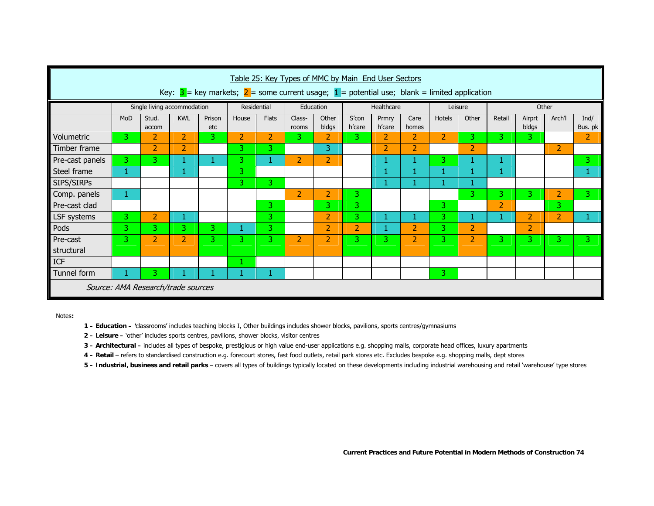| Table 25: Key Types of MMC by Main End User Sectors<br>Key: $3 =$ key markets; $2 =$ some current usage; $1 =$ potential use; blank = limited application |     |                             |                |               |                |                |                 |                |                 |                 |                |                |                |                |                 |                     |                 |
|-----------------------------------------------------------------------------------------------------------------------------------------------------------|-----|-----------------------------|----------------|---------------|----------------|----------------|-----------------|----------------|-----------------|-----------------|----------------|----------------|----------------|----------------|-----------------|---------------------|-----------------|
|                                                                                                                                                           |     | Single living accommodation |                |               |                | Residential    | Education       |                | Healthcare      |                 | Leisure        |                | Other          |                |                 |                     |                 |
|                                                                                                                                                           | MoD | Stud.<br>accom              | <b>KWL</b>     | Prison<br>etc | House          | <b>Flats</b>   | Class-<br>rooms | Other<br>bldgs | S'con<br>h'care | Prmry<br>h'care | Care<br>homes  | Hotels         | Other          | Retail         | Airprt<br>bldgs | Arch <sup>'</sup> l | Ind/<br>Bus. pk |
| Volumetric                                                                                                                                                | 3   | $\overline{2}$              | $\overline{2}$ | 3             | $\overline{2}$ | $\overline{2}$ | 3.              | 2              | 3.              | $\overline{2}$  | $\overline{2}$ | $\overline{2}$ | 3              | 3.             | 3.              |                     | $\overline{2}$  |
| Timber frame                                                                                                                                              |     | $\overline{2}$              | 2              |               | 3              | 31             |                 | 3              |                 | 2               | $\overline{2}$ |                | $\overline{2}$ |                |                 | $\overline{2}$      |                 |
| Pre-cast panels                                                                                                                                           | 3   | 3                           | 1              | 1             | 3.             |                | $\overline{2}$  | $\overline{2}$ |                 | 1               | 1              | 3.             |                |                |                 |                     | 3.              |
| Steel frame                                                                                                                                               | 1   |                             | 1              |               | 3              |                |                 |                |                 | 1               | 1              | 1              |                |                |                 |                     |                 |
| SIPS/SIRPs                                                                                                                                                |     |                             |                |               | 3.             | 3.             |                 |                |                 |                 |                |                |                |                |                 |                     |                 |
| Comp. panels                                                                                                                                              | 1   |                             |                |               |                |                | $\overline{2}$  | $\overline{2}$ | 3.              |                 |                |                | 3              | 3.             | 3.              | $\overline{2}$      | 3               |
| Pre-cast clad                                                                                                                                             |     |                             |                |               |                | 3              |                 | 3.             | 3               |                 |                | 3.             |                | $\overline{2}$ |                 | 3.                  |                 |
| LSF systems                                                                                                                                               | 3   | $\overline{2}$              | 1              |               |                | 3              |                 | $\overline{2}$ | 3.              | 1               | $\mathbf{1}$   | 3.             | 1              |                | $\overline{2}$  | $\overline{2}$      |                 |
| Pods                                                                                                                                                      | 3   | 3                           | $\overline{3}$ | 3.            |                | 3.             |                 | 2              | $\overline{2}$  | 1               | $\overline{2}$ | 3.             | $\overline{2}$ |                | 2               |                     |                 |
| Pre-cast                                                                                                                                                  | 3   | $\overline{2}$              | 2              | 3.            | 3              | 3              | $\overline{2}$  | 2              | 3               | 3               | 2              | 3              | $\overline{2}$ | 3              | 3.              | 3.                  | 3               |
| structural                                                                                                                                                |     |                             |                |               |                |                |                 |                |                 |                 |                |                |                |                |                 |                     |                 |
| <b>ICF</b>                                                                                                                                                |     |                             |                |               |                |                |                 |                |                 |                 |                |                |                |                |                 |                     |                 |
| Tunnel form                                                                                                                                               | 1   | 3                           | 1              |               |                | ÷.             |                 |                |                 |                 |                | 3.             |                |                |                 |                     |                 |
| Source: AMA Research/trade sources                                                                                                                        |     |                             |                |               |                |                |                 |                |                 |                 |                |                |                |                |                 |                     |                 |

Notes**:** 

- **1 Education '**classrooms' includes teaching blocks I, Other buildings includes shower blocks, pavilions, sports centres/gymnasiums
- **2 Leisure** 'other' includes sports centres, pavilions, shower blocks, visitor centres
- **3 Architectural** includes all types of bespoke, prestigious or high value end-user applications e.g. shopping malls, corporate head offices, luxury apartments
- **4 Retail**  refers to standardised construction e.g. forecourt stores, fast food outlets, retail park stores etc. Excludes bespoke e.g. shopping malls, dept stores
- **5 Industrial, business and retail parks** covers all types of buildings typically located on these developments including industrial warehousing and retail 'warehouse' type stores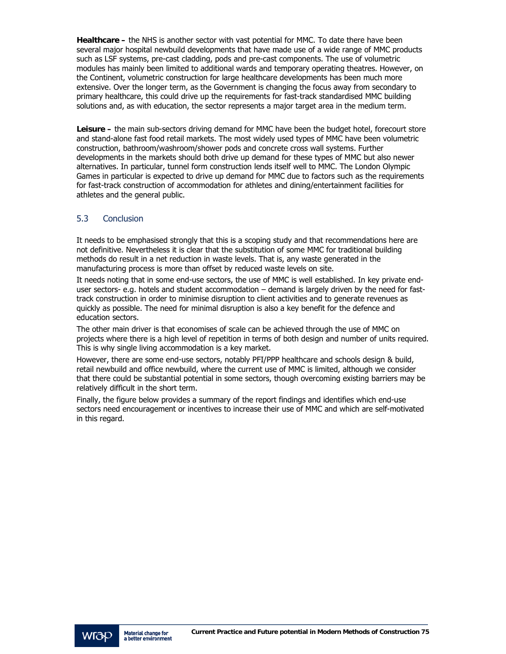**Healthcare –** the NHS is another sector with vast potential for MMC. To date there have been several major hospital newbuild developments that have made use of a wide range of MMC products such as LSF systems, pre-cast cladding, pods and pre-cast components. The use of volumetric modules has mainly been limited to additional wards and temporary operating theatres. However, on the Continent, volumetric construction for large healthcare developments has been much more extensive. Over the longer term, as the Government is changing the focus away from secondary to primary healthcare, this could drive up the requirements for fast-track standardised MMC building solutions and, as with education, the sector represents a major target area in the medium term.

**Leisure –** the main sub-sectors driving demand for MMC have been the budget hotel, forecourt store and stand-alone fast food retail markets. The most widely used types of MMC have been volumetric construction, bathroom/washroom/shower pods and concrete cross wall systems. Further developments in the markets should both drive up demand for these types of MMC but also newer alternatives. In particular, tunnel form construction lends itself well to MMC. The London Olympic Games in particular is expected to drive up demand for MMC due to factors such as the requirements for fast-track construction of accommodation for athletes and dining/entertainment facilities for athletes and the general public.

## 5.3 Conclusion

It needs to be emphasised strongly that this is a scoping study and that recommendations here are not definitive. Nevertheless it is clear that the substitution of some MMC for traditional building methods do result in a net reduction in waste levels. That is, any waste generated in the manufacturing process is more than offset by reduced waste levels on site.

It needs noting that in some end-use sectors, the use of MMC is well established. In key private enduser sectors- e.g. hotels and student accommodation – demand is largely driven by the need for fasttrack construction in order to minimise disruption to client activities and to generate revenues as quickly as possible. The need for minimal disruption is also a key benefit for the defence and education sectors.

The other main driver is that economises of scale can be achieved through the use of MMC on projects where there is a high level of repetition in terms of both design and number of units required. This is why single living accommodation is a key market.

However, there are some end-use sectors, notably PFI/PPP healthcare and schools design & build, retail newbuild and office newbuild, where the current use of MMC is limited, although we consider that there could be substantial potential in some sectors, though overcoming existing barriers may be relatively difficult in the short term.

Finally, the figure below provides a summary of the report findings and identifies which end-use sectors need encouragement or incentives to increase their use of MMC and which are self-motivated in this regard.

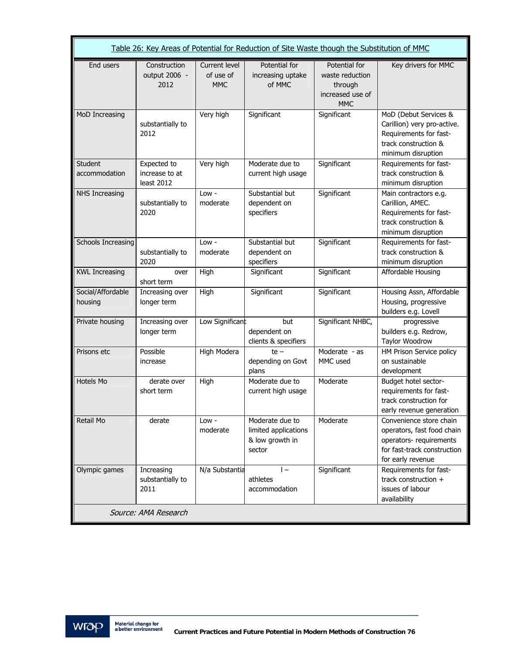| Table 26: Key Areas of Potential for Reduction of Site Waste though the Substitution of MMC |                                             |                                          |                                                                      |                                                                               |                                                                                                                                      |  |  |  |  |  |
|---------------------------------------------------------------------------------------------|---------------------------------------------|------------------------------------------|----------------------------------------------------------------------|-------------------------------------------------------------------------------|--------------------------------------------------------------------------------------------------------------------------------------|--|--|--|--|--|
| End users                                                                                   | Construction<br>output 2006 -<br>2012       | Current level<br>of use of<br><b>MMC</b> | Potential for<br>increasing uptake<br>of MMC                         | Potential for<br>waste reduction<br>through<br>increased use of<br><b>MMC</b> | Key drivers for MMC                                                                                                                  |  |  |  |  |  |
| MoD Increasing                                                                              | substantially to<br>2012                    | Very high                                | Significant                                                          | Significant                                                                   | MoD (Debut Services &<br>Carillion) very pro-active.<br>Requirements for fast-<br>track construction &<br>minimum disruption         |  |  |  |  |  |
| <b>Student</b><br>accommodation                                                             | Expected to<br>increase to at<br>least 2012 | Very high                                | Moderate due to<br>current high usage                                | Significant                                                                   | Requirements for fast-<br>track construction &<br>minimum disruption                                                                 |  |  |  |  |  |
| NHS Increasing                                                                              | substantially to<br>2020                    | Low -<br>moderate                        | Substantial but<br>dependent on<br>specifiers                        | Significant                                                                   | Main contractors e.g.<br>Carillion, AMEC.<br>Requirements for fast-<br>track construction &<br>minimum disruption                    |  |  |  |  |  |
| Schools Increasing                                                                          | substantially to<br>2020                    | Low -<br>moderate                        | Substantial but<br>dependent on<br>specifiers                        | Significant                                                                   | Requirements for fast-<br>track construction &<br>minimum disruption                                                                 |  |  |  |  |  |
| <b>KWL Increasing</b>                                                                       | over<br>short term                          | High                                     | Significant                                                          | Significant                                                                   | Affordable Housing                                                                                                                   |  |  |  |  |  |
| Social/Affordable<br>housing                                                                | Increasing over<br>longer term              | High                                     | Significant                                                          | Significant                                                                   | Housing Assn, Affordable<br>Housing, progressive<br>builders e.g. Lovell                                                             |  |  |  |  |  |
| Private housing                                                                             | Increasing over<br>longer term              | Low Significant                          | but<br>dependent on<br>clients & specifiers                          | Significant NHBC,                                                             | progressive<br>builders e.g. Redrow,<br>Taylor Woodrow                                                                               |  |  |  |  |  |
| Prisons etc                                                                                 | Possible<br>increase                        | High Modera                              | $te -$<br>depending on Govt<br>plans                                 | Moderate - as<br>MMC used                                                     | HM Prison Service policy<br>on sustainable<br>development                                                                            |  |  |  |  |  |
| Hotels Mo                                                                                   | derate over<br>short term                   | High                                     | Moderate due to<br>current high usage                                | Moderate                                                                      | Budget hotel sector-<br>requirements for fast-<br>track construction for<br>early revenue generation                                 |  |  |  |  |  |
| Retail Mo                                                                                   | derate                                      | Low -<br>moderate                        | Moderate due to<br>limited applications<br>& low growth in<br>sector | Moderate                                                                      | Convenience store chain<br>operators, fast food chain<br>operators- requirements<br>for fast-track construction<br>for early revenue |  |  |  |  |  |
| Olympic games                                                                               | Increasing<br>substantially to<br>2011      | N/a Substantia                           | $\mathsf{I}$ $-$<br>athletes<br>accommodation                        | Significant                                                                   | Requirements for fast-<br>track construction +<br>issues of labour<br>availability                                                   |  |  |  |  |  |
|                                                                                             | Source: AMA Research                        |                                          |                                                                      |                                                                               |                                                                                                                                      |  |  |  |  |  |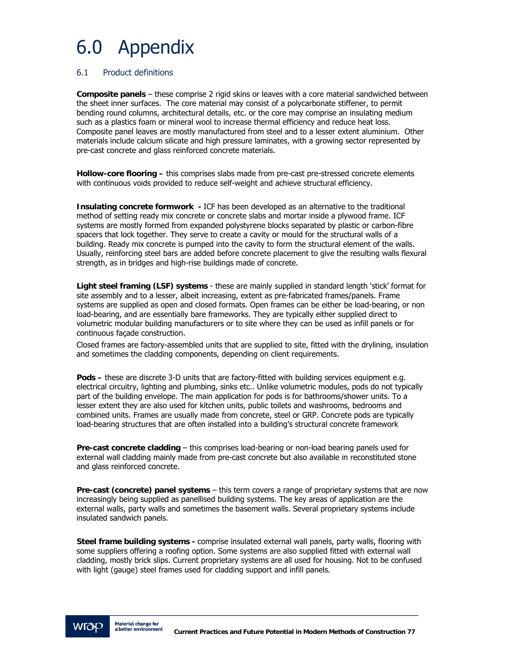## 6.0 Appendix

## 6.1 Product definitions

**Composite panels** – these comprise 2 rigid skins or leaves with a core material sandwiched between the sheet inner surfaces. The core material may consist of a polycarbonate stiffener, to permit bending round columns, architectural details, etc. or the core may comprise an insulating medium such as a plastics foam or mineral wool to increase thermal efficiency and reduce heat loss. Composite panel leaves are mostly manufactured from steel and to a lesser extent aluminium. Other materials include calcium silicate and high pressure laminates, with a growing sector represented by pre-cast concrete and glass reinforced concrete materials.

**Hollow-core flooring –** this comprises slabs made from pre-cast pre-stressed concrete elements with continuous voids provided to reduce self-weight and achieve structural efficiency.

**Insulating concrete formwork -** ICF has been developed as an alternative to the traditional method of setting ready mix concrete or concrete slabs and mortar inside a plywood frame. ICF systems are mostly formed from expanded polystyrene blocks separated by plastic or carbon-fibre spacers that lock together. They serve to create a cavity or mould for the structural walls of a building. Ready mix concrete is pumped into the cavity to form the structural element of the walls. Usually, reinforcing steel bars are added before concrete placement to give the resulting walls flexural strength, as in bridges and high-rise buildings made of concrete.

**Light steel framing (LSF) systems** - these are mainly supplied in standard length 'stick' format for site assembly and to a lesser, albeit increasing, extent as pre-fabricated frames/panels. Frame systems are supplied as open and closed formats. Open frames can be either be load-bearing, or non load-bearing, and are essentially bare frameworks. They are typically either supplied direct to volumetric modular building manufacturers or to site where they can be used as infill panels or for continuous façade construction.

Closed frames are factory-assembled units that are supplied to site, fitted with the drylining, insulation and sometimes the cladding components, depending on client requirements.

**Pods –** these are discrete 3-D units that are factory-fitted with building services equipment e.g. electrical circuitry, lighting and plumbing, sinks etc.. Unlike volumetric modules, pods do not typically part of the building envelope. The main application for pods is for bathrooms/shower units. To a lesser extent they are also used for kitchen units, public toilets and washrooms, bedrooms and combined units. Frames are usually made from concrete, steel or GRP. Concrete pods are typically load-bearing structures that are often installed into a building's structural concrete framework

**Pre-cast concrete cladding** – this comprises load-bearing or non-load bearing panels used for external wall cladding mainly made from pre-cast concrete but also available in reconstituted stone and glass reinforced concrete.

**Pre-cast (concrete) panel systems** – this term covers a range of proprietary systems that are now increasingly being supplied as panellised building systems. The key areas of application are the external walls, party walls and sometimes the basement walls. Several proprietary systems include insulated sandwich panels.

**Steel frame building systems -** comprise insulated external wall panels, party walls, flooring with some suppliers offering a roofing option. Some systems are also supplied fitted with external wall cladding, mostly brick slips. Current proprietary systems are all used for housing. Not to be confused with light (gauge) steel frames used for cladding support and infill panels.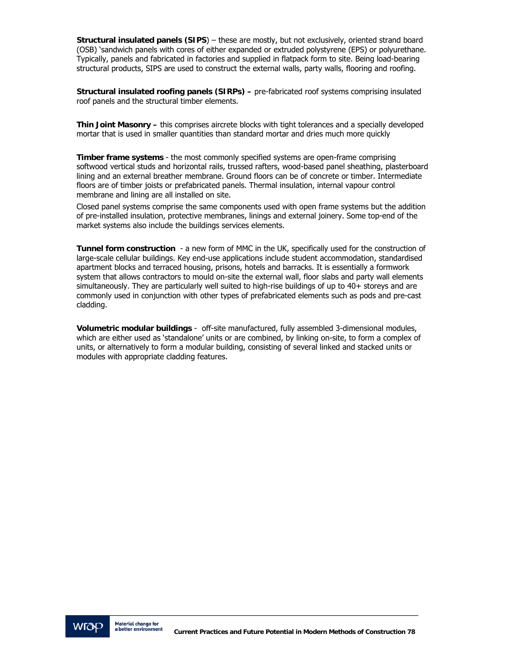**Structural insulated panels (SIPS**) – these are mostly, but not exclusively, oriented strand board (OSB) 'sandwich panels with cores of either expanded or extruded polystyrene (EPS) or polyurethane. Typically, panels and fabricated in factories and supplied in flatpack form to site. Being load-bearing structural products, SIPS are used to construct the external walls, party walls, flooring and roofing.

**Structural insulated roofing panels (SIRPs) –** pre-fabricated roof systems comprising insulated roof panels and the structural timber elements.

**Thin Joint Masonry –** this comprises aircrete blocks with tight tolerances and a specially developed mortar that is used in smaller quantities than standard mortar and dries much more quickly

**Timber frame systems** - the most commonly specified systems are open-frame comprising softwood vertical studs and horizontal rails, trussed rafters, wood-based panel sheathing, plasterboard lining and an external breather membrane. Ground floors can be of concrete or timber. Intermediate floors are of timber joists or prefabricated panels. Thermal insulation, internal vapour control membrane and lining are all installed on site.

Closed panel systems comprise the same components used with open frame systems but the addition of pre-installed insulation, protective membranes, linings and external joinery. Some top-end of the market systems also include the buildings services elements.

**Tunnel form construction** - a new form of MMC in the UK, specifically used for the construction of large-scale cellular buildings. Key end-use applications include student accommodation, standardised apartment blocks and terraced housing, prisons, hotels and barracks. It is essentially a formwork system that allows contractors to mould on-site the external wall, floor slabs and party wall elements simultaneously. They are particularly well suited to high-rise buildings of up to 40+ storeys and are commonly used in conjunction with other types of prefabricated elements such as pods and pre-cast cladding.

**Volumetric modular buildings** - off-site manufactured, fully assembled 3-dimensional modules, which are either used as 'standalone' units or are combined, by linking on-site, to form a complex of units, or alternatively to form a modular building, consisting of several linked and stacked units or modules with appropriate cladding features.